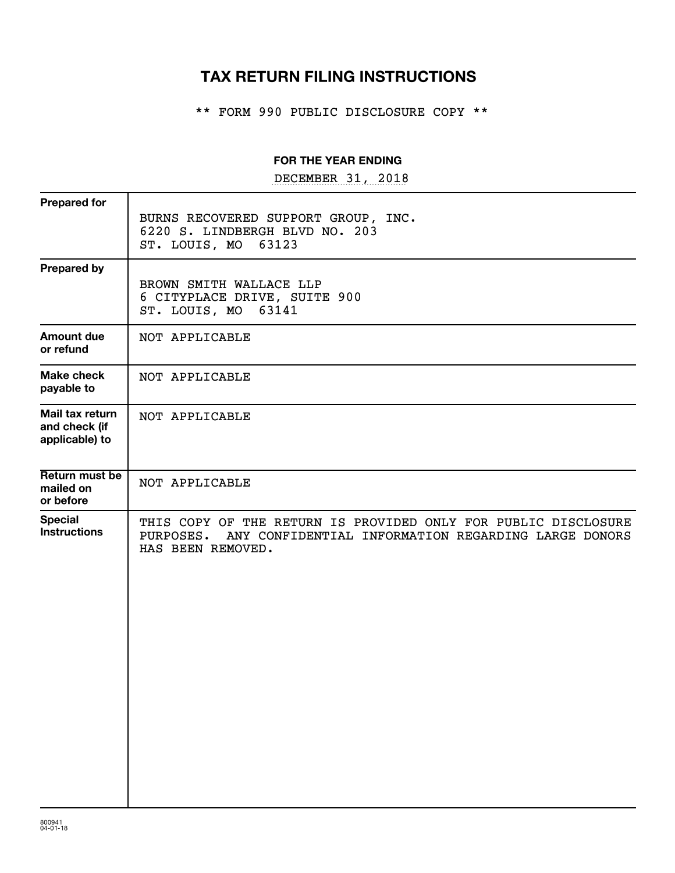## **TAX RETURN FILING INSTRUCTIONS**

\*\* FORM 990 PUBLIC DISCLOSURE COPY \*\*

#### **FOR THE YEAR ENDING**

DECEMBER 31, 2018

| <b>Prepared for</b>                                |                                                                                                                                                      |
|----------------------------------------------------|------------------------------------------------------------------------------------------------------------------------------------------------------|
|                                                    | BURNS RECOVERED SUPPORT GROUP, INC.<br>6220 S. LINDBERGH BLVD NO. 203<br>ST. LOUIS, MO 63123                                                         |
| <b>Prepared by</b>                                 | BROWN SMITH WALLACE LLP<br>6 CITYPLACE DRIVE, SUITE 900<br>ST. LOUIS, MO 63141                                                                       |
| Amount due<br>or refund                            | NOT APPLICABLE                                                                                                                                       |
| Make check<br>payable to                           | NOT APPLICABLE                                                                                                                                       |
| Mail tax return<br>and check (if<br>applicable) to | NOT APPLICABLE                                                                                                                                       |
| Return must be<br>mailed on<br>or before           | NOT APPLICABLE                                                                                                                                       |
| <b>Special</b><br><b>Instructions</b>              | THIS COPY OF THE RETURN IS PROVIDED ONLY FOR PUBLIC DISCLOSURE<br>PURPOSES. ANY CONFIDENTIAL INFORMATION REGARDING LARGE DONORS<br>HAS BEEN REMOVED. |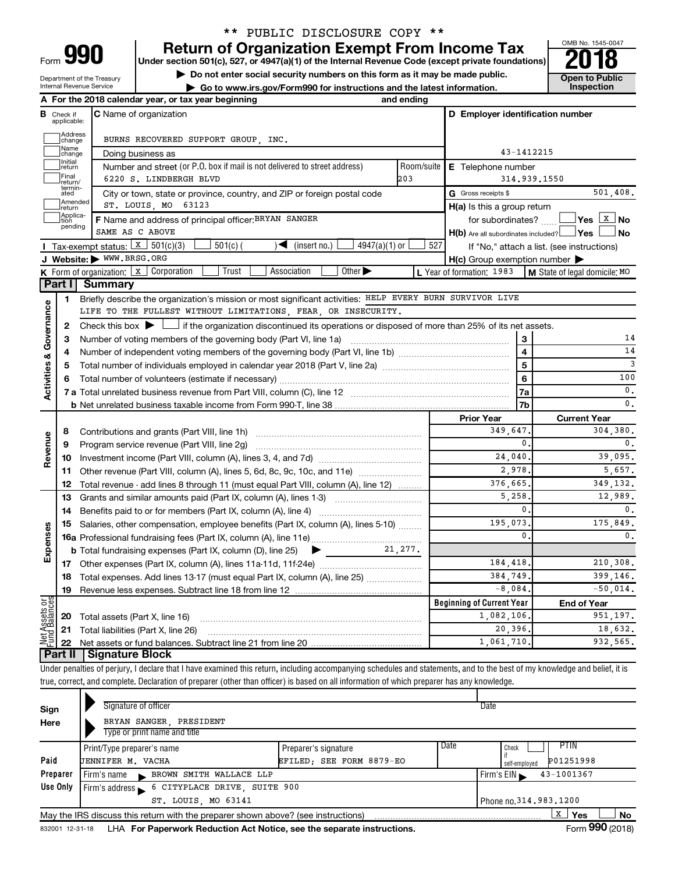## \*\* PUBLIC DISCLOSURE COPY \*\*

**990** Return of Organization Exempt From Income Tax **Punce 1845-004 Puncer section 501(c), 527, or 4947(a)(1)** of the Internal Revenue Code (except private foundations) **2018** 

▶ Do not enter social security numbers on this form as it may be made public. <br>● Go to www.irs.gov/Form990 for instructions and the latest information. **Department in the latest** information. **| Go to www.irs.gov/Form990 for instructions and the latest information. Inspection**



Department of the Treasury Internal Revenue Service

|                         |                                  | A For the 2018 calendar year, or tax year beginning                                                                                                                        | and ending |                                                     |                                            |
|-------------------------|----------------------------------|----------------------------------------------------------------------------------------------------------------------------------------------------------------------------|------------|-----------------------------------------------------|--------------------------------------------|
|                         | <b>B</b> Check if<br>applicable: | <b>C</b> Name of organization                                                                                                                                              |            | D Employer identification number                    |                                            |
|                         | Address<br>change                | BURNS RECOVERED SUPPORT GROUP, INC.                                                                                                                                        |            |                                                     |                                            |
|                         | Name<br>change                   | Doing business as                                                                                                                                                          | 43-1412215 |                                                     |                                            |
|                         | Initial<br>return                | Number and street (or P.O. box if mail is not delivered to street address)                                                                                                 | Room/suite | E Telephone number                                  |                                            |
|                         | Final<br> return/                | 6220 S. LINDBERGH BLVD                                                                                                                                                     | 203        | 314.939.1550                                        |                                            |
|                         | termin-<br>ated                  | City or town, state or province, country, and ZIP or foreign postal code                                                                                                   |            | G Gross receipts \$                                 | 501,408.                                   |
|                         | Amended<br>return                | ST. LOUIS, MO 63123                                                                                                                                                        |            | $H(a)$ is this a group return                       |                                            |
|                         | Applica-<br>tion                 | F Name and address of principal officer: BRYAN SANGER                                                                                                                      |            | for subordinates?                                   |                                            |
|                         | pending                          | SAME AS C ABOVE                                                                                                                                                            |            | $H(b)$ Are all subordinates included? $\Box$ Yes    | l No                                       |
|                         |                                  | Tax-exempt status: $X \mid 501(c)(3)$<br>$\sqrt{\bullet}$ (insert no.)<br>$4947(a)(1)$ or<br>$501(c)$ (                                                                    | 527        |                                                     | If "No," attach a list. (see instructions) |
|                         |                                  | J Website: WWW.BRSG.ORG                                                                                                                                                    |            | $H(c)$ Group exemption number $\blacktriangleright$ |                                            |
|                         |                                  | Other $\blacktriangleright$<br><b>K</b> Form of organization: $\boxed{x}$ Corporation<br>Trust<br>Association                                                              |            | L Year of formation: 1983                           | M State of legal domicile: MO              |
|                         | Part I                           | <b>Summary</b>                                                                                                                                                             |            |                                                     |                                            |
|                         | 1                                | Briefly describe the organization's mission or most significant activities: HELP EVERY BURN SURVIVOR LIVE                                                                  |            |                                                     |                                            |
|                         |                                  | LIFE TO THE FULLEST WITHOUT LIMITATIONS, FEAR, OR INSECURITY.                                                                                                              |            |                                                     |                                            |
| Governance              | 2                                | Check this box $\blacktriangleright$ $\Box$ if the organization discontinued its operations or disposed of more than 25% of its net assets.                                |            |                                                     |                                            |
|                         | з                                |                                                                                                                                                                            |            | 3                                                   | 14                                         |
|                         | 4                                |                                                                                                                                                                            |            | $\overline{\mathbf{4}}$                             | 14                                         |
|                         | 5                                |                                                                                                                                                                            |            | $\overline{5}$                                      | $\overline{3}$                             |
| <b>Activities &amp;</b> | 6                                |                                                                                                                                                                            | 6          | 100                                                 |                                            |
|                         |                                  |                                                                                                                                                                            |            | <b>7a</b>                                           | 0.                                         |
|                         |                                  |                                                                                                                                                                            |            | 7b                                                  | 0.                                         |
|                         |                                  |                                                                                                                                                                            |            | <b>Prior Year</b>                                   | <b>Current Year</b>                        |
|                         | 8                                |                                                                                                                                                                            |            | 349,647.<br>0.                                      | 304,380.                                   |
| Revenue                 | 9                                | Program service revenue (Part VIII, line 2g)                                                                                                                               |            | 24,040.                                             | 0.<br>39,095.                              |
|                         | 10                               |                                                                                                                                                                            |            | 2,978.                                              | 5,657.                                     |
|                         | 11                               | Other revenue (Part VIII, column (A), lines 5, 6d, 8c, 9c, 10c, and 11e)                                                                                                   |            | 376,665.                                            | 349, 132.                                  |
|                         | 12                               | Total revenue - add lines 8 through 11 (must equal Part VIII, column (A), line 12)<br>Grants and similar amounts paid (Part IX, column (A), lines 1-3)                     |            | 5,258                                               | 12,989.                                    |
|                         | 13<br>14                         |                                                                                                                                                                            |            | 0.                                                  | 0.                                         |
|                         | 15                               | Salaries, other compensation, employee benefits (Part IX, column (A), lines 5-10)                                                                                          |            | 195,073.                                            | 175,849.                                   |
| Expenses                |                                  |                                                                                                                                                                            |            | $\mathbf{0}$ .                                      | 0.                                         |
|                         |                                  | <b>b</b> Total fundraising expenses (Part IX, column (D), line 25)<br>$\begin{array}{c} \hline \end{array}$                                                                | 21,277.    |                                                     |                                            |
|                         |                                  |                                                                                                                                                                            |            | 184,418.                                            | 210,308.                                   |
|                         |                                  | 18 Total expenses. Add lines 13-17 (must equal Part IX, column (A), line 25)                                                                                               |            | 384,749.                                            | 399,146.                                   |
|                         | 19                               |                                                                                                                                                                            |            | $-8,084.$                                           | $-50,014.$                                 |
|                         |                                  |                                                                                                                                                                            |            | <b>Beginning of Current Year</b>                    | <b>End of Year</b>                         |
| Net Assets or           | 20                               | Total assets (Part X, line 16)                                                                                                                                             |            | 1,082,106.                                          | 951.197.                                   |
|                         | 21                               | Total liabilities (Part X, line 26)                                                                                                                                        |            | 20,396.                                             | 18,632.                                    |
|                         | 22                               |                                                                                                                                                                            |            | 1,061,710                                           | 932,565.                                   |
|                         | <b>Part II</b>                   | <b>Signature Block</b>                                                                                                                                                     |            |                                                     |                                            |
|                         |                                  | Under penalties of perjury, I declare that I have examined this return, including accompanying schedules and statements, and to the best of my knowledge and belief, it is |            |                                                     |                                            |
|                         |                                  | true, correct, and complete. Declaration of preparer (other than officer) is based on all information of which preparer has any knowledge.                                 |            |                                                     |                                            |
|                         |                                  |                                                                                                                                                                            |            |                                                     |                                            |
| Sign                    |                                  | Signature of officer                                                                                                                                                       |            | Date                                                |                                            |

| Sign     | Signature of officer                                                              |                          | Date                   |                |  |  |  |  |  |
|----------|-----------------------------------------------------------------------------------|--------------------------|------------------------|----------------|--|--|--|--|--|
| Here     | BRYAN SANGER, PRESIDENT                                                           |                          |                        |                |  |  |  |  |  |
|          | Type or print name and title                                                      |                          |                        |                |  |  |  |  |  |
|          | Print/Type preparer's name                                                        | Preparer's signature     | Date<br>Check          | <b>PTIN</b>    |  |  |  |  |  |
| Paid     | <b>JENNIFER M. VACHA</b>                                                          | EFILED: SEE FORM 8879-EO | self-employed          | P01251998      |  |  |  |  |  |
| Preparer | BROWN SMITH WALLACE LLP<br>l Firm's name<br><b>CONTRACTOR</b>                     |                          | Firm's $EIN$           | 43-1001367     |  |  |  |  |  |
| Use Only | 6 CITYPLACE DRIVE, SUITE 900<br>Firm's address                                    |                          |                        |                |  |  |  |  |  |
|          | ST. LOUIS, MO 63141                                                               |                          | Phone no. 314.983.1200 |                |  |  |  |  |  |
|          | May the IRS discuss this return with the preparer shown above? (see instructions) |                          |                        | x<br>Yes<br>No |  |  |  |  |  |
|          |                                                                                   |                          |                        | $\mathbf{A}$   |  |  |  |  |  |

832001 12-31-18 **For Paperwork Reduction Act Notice, see the separate instructions.** LHA Form (2018)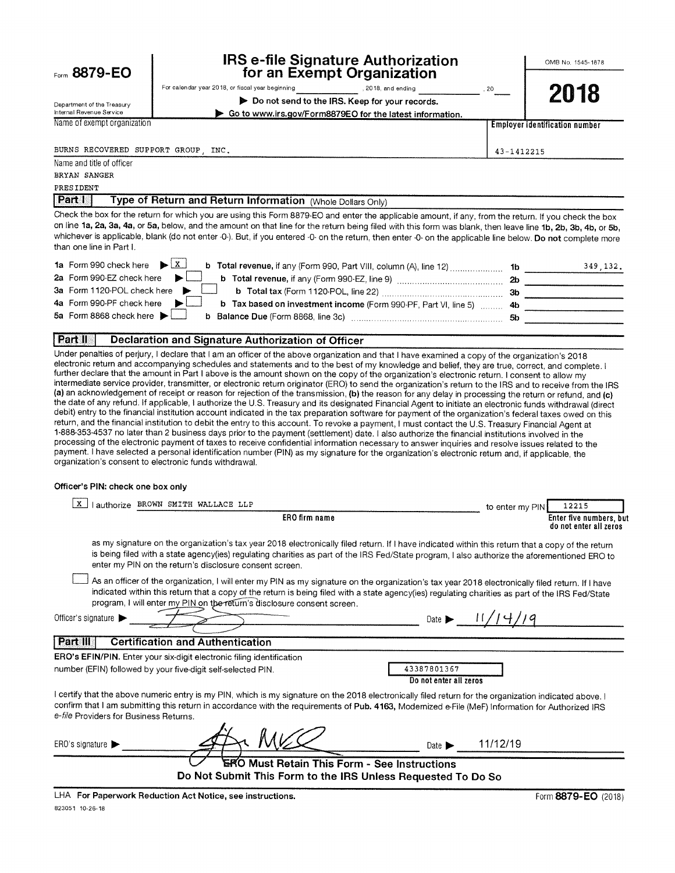|  | Form 8879-EO |
|--|--------------|
|  |              |

Department of the Treasury

### **IRS e-file Signature Authorization** for an Exempt Organization

OMB No. 1545-1878

|  |  |  |  |  |     |  | ompt organization. |  |  |  |  |
|--|--|--|--|--|-----|--|--------------------|--|--|--|--|
|  |  |  |  |  | --- |  |                    |  |  |  |  |

For calendar year 2018, or fiscal year beginning , 2018, and ending Do not send to the IRS. Keep for your records.

Go to www.irs.gov/Form8879EO for the latest information.

2018

**Employer identification number** 

43-1412215

20

Internal Revenue Service Name of exempt organization

BURNS RECOVERED SUPPORT GROUP INC.

Name and title of officer

BRYAN SANGER

PRESIDENT

Part I Type of Return and Return Information (Whole Dollars Only)

Check the box for the return for which you are using this Form 8879-EO and enter the applicable amount, if any, from the return. If you check the box on line 1a, 2a, 3a, 4a, or 5a, below, and the amount on that line for the return being filed with this form was blank, then leave line 1b, 2b, 3b, 4b, or 5b, whichever is applicable, blank (do not enter -0-). But, if you entered -0- on the return, then enter -0- on the applicable line below. Do not complete more than one line in Part L

| 1a Form 990 check here $\blacktriangleright$ $\begin{array}{c} x \\ x \end{array}$                                     |     | 349.132. |
|------------------------------------------------------------------------------------------------------------------------|-----|----------|
| 2a Form 990-EZ check here $\blacktriangleright$                                                                        | -2b |          |
| 3a Form 1120-POL check here '                                                                                          | -3b |          |
| 4a Form 990-PF check here $\blacktriangleright$<br>b Tax based on investment income (Form 990-PF, Part VI, line 5)  4b |     |          |
| 5a Form 8868 check here $\blacktriangleright$                                                                          | 5b  |          |
|                                                                                                                        |     |          |

#### Part II **Declaration and Signature Authorization of Officer**

Under penalties of perjury, I declare that I am an officer of the above organization and that I have examined a copy of the organization's 2018 electronic return and accompanying schedules and statements and to the best of my knowledge and belief, they are true, correct, and complete. I further declare that the amount in Part I above is the amount shown on the copy of the organization's electronic return. I consent to allow my intermediate service provider, transmitter, or electronic return originator (ERO) to send the organization's return to the IRS and to receive from the IRS (a) an acknowledgement of receipt or reason for rejection of the transmission, (b) the reason for any delay in processing the return or refund, and (c) the date of any refund. If applicable, I authorize the U.S. Treasury and its designated Financial Agent to initiate an electronic funds withdrawal (direct debit) entry to the financial institution account indicated in the tax preparation software for payment of the organization's federal taxes owed on this return, and the financial institution to debit the entry to this account. To revoke a payment, I must contact the U.S. Treasury Financial Agent at 1-888-353-4537 no later than 2 business days prior to the payment (settlement) date. I also authorize the financial institutions involved in the processing of the electronic payment of taxes to receive confidential information necessary to answer inquiries and resolve issues related to the payment. I have selected a personal identification number (PIN) as my signature for the organization's electronic retum and, if applicable, the organization's consent to electronic funds withdrawal.

#### Officer's PIN: check one box only

| X<br>authorize BROWN SMITH WALLACE LLP                                                                                                                                                                                                                                                                                                                                           | to enter my PIN | 12215                                             |
|----------------------------------------------------------------------------------------------------------------------------------------------------------------------------------------------------------------------------------------------------------------------------------------------------------------------------------------------------------------------------------|-----------------|---------------------------------------------------|
| ERO firm name                                                                                                                                                                                                                                                                                                                                                                    |                 | Enter five numbers, but<br>do not enter all zeros |
| as my signature on the organization's tax year 2018 electronically filed return. If I have indicated within this return that a copy of the return<br>is being filed with a state agency(ies) regulating charities as part of the IRS Fed/State program, I also authorize the aforementioned ERO to<br>enter my PIN on the return's disclosure consent screen.                    |                 |                                                   |
| As an officer of the organization, I will enter my PIN as my signature on the organization's tax year 2018 electronically filed return. If I have<br>indicated within this return that a copy of the return is being filed with a state agency(ies) regulating charities as part of the IRS Fed/State<br>program, I will enter my PIN on the return's disclosure consent screen. |                 |                                                   |
| Date $\blacktriangleright$<br>Officer's signature                                                                                                                                                                                                                                                                                                                                |                 |                                                   |
| <b>Part III</b><br><b>Certification and Authentication</b>                                                                                                                                                                                                                                                                                                                       |                 |                                                   |
| <b>ERO's EFIN/PIN.</b> Enter your six-digit electronic filing identification                                                                                                                                                                                                                                                                                                     |                 |                                                   |
| 43387801367<br>number (EFIN) followed by your five-digit self-selected PIN.<br>Do not enter all zeros                                                                                                                                                                                                                                                                            |                 |                                                   |
| I certify that the above numeric entry is my PIN, which is my signature on the 2018 electronically filed return for the organization indicated above. I<br>confirm that I am submitting this return in accordance with the requirements of Pub. 4163, Modernized e-File (MeF) Information for Authorized IRS<br>e-file Providers for Business Returns.                           |                 |                                                   |
| ERO's signature $\blacktriangleright$<br>Date $\blacktriangleright$                                                                                                                                                                                                                                                                                                              | 11/12/19        |                                                   |
| ERO Must Retain This Form - See Instructions<br>Do Not Submit This Form to the IRS Unless Requested To Do So                                                                                                                                                                                                                                                                     |                 |                                                   |
| $1.11A$ . Provided and the decision of the first state $\mathbf{r} = \mathbf{r} + \mathbf{r} + \mathbf{r}$                                                                                                                                                                                                                                                                       |                 | $\sim$                                            |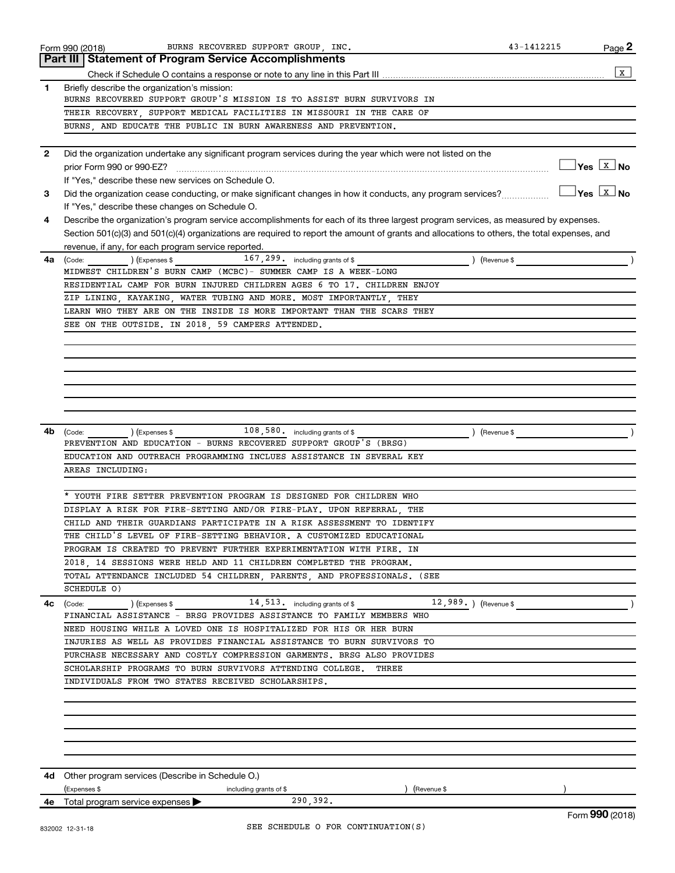|                | BURNS RECOVERED SUPPORT GROUP, INC.<br>Form 990 (2018)                                                                                       | 43-1412215 | Page 2                                |
|----------------|----------------------------------------------------------------------------------------------------------------------------------------------|------------|---------------------------------------|
|                | <b>Part III   Statement of Program Service Accomplishments</b>                                                                               |            |                                       |
|                |                                                                                                                                              |            | X                                     |
| 1              | Briefly describe the organization's mission:                                                                                                 |            |                                       |
|                | BURNS RECOVERED SUPPORT GROUP'S MISSION IS TO ASSIST BURN SURVIVORS IN                                                                       |            |                                       |
|                | THEIR RECOVERY SUPPORT MEDICAL FACILITIES IN MISSOURI IN THE CARE OF                                                                         |            |                                       |
|                | BURNS, AND EDUCATE THE PUBLIC IN BURN AWARENESS AND PREVENTION.                                                                              |            |                                       |
|                |                                                                                                                                              |            |                                       |
| $\overline{2}$ | Did the organization undertake any significant program services during the year which were not listed on the                                 |            |                                       |
|                | prior Form 990 or 990-EZ?                                                                                                                    |            | $\Box$ Yes $\boxed{\text{x}}$ No      |
|                | If "Yes," describe these new services on Schedule O.                                                                                         |            |                                       |
| 3              | Did the organization cease conducting, or make significant changes in how it conducts, any program services?                                 |            | $\bigcap$ Yes $\boxed{\mathbf{X}}$ No |
|                | If "Yes," describe these changes on Schedule O.                                                                                              |            |                                       |
| 4              | Describe the organization's program service accomplishments for each of its three largest program services, as measured by expenses.         |            |                                       |
|                | Section 501(c)(3) and 501(c)(4) organizations are required to report the amount of grants and allocations to others, the total expenses, and |            |                                       |
|                | revenue, if any, for each program service reported.                                                                                          |            |                                       |
| 4a             | 167, 299. including grants of \$<br>(Code: ) (Expenses \$<br>) (Revenue \$                                                                   |            |                                       |
|                | MIDWEST CHILDREN'S BURN CAMP (MCBC)- SUMMER CAMP IS A WEEK-LONG                                                                              |            |                                       |
|                | RESIDENTIAL CAMP FOR BURN INJURED CHILDREN AGES 6 TO 17. CHILDREN ENJOY                                                                      |            |                                       |
|                | ZIP LINING KAYAKING WATER TUBING AND MORE. MOST IMPORTANTLY THEY                                                                             |            |                                       |
|                | LEARN WHO THEY ARE ON THE INSIDE IS MORE IMPORTANT THAN THE SCARS THEY                                                                       |            |                                       |
|                | SEE ON THE OUTSIDE. IN 2018, 59 CAMPERS ATTENDED.                                                                                            |            |                                       |
|                |                                                                                                                                              |            |                                       |
|                |                                                                                                                                              |            |                                       |
|                |                                                                                                                                              |            |                                       |
|                |                                                                                                                                              |            |                                       |
|                |                                                                                                                                              |            |                                       |
|                |                                                                                                                                              |            |                                       |
|                |                                                                                                                                              |            |                                       |
| 4b             | $(\textsf{Expenses}\,\$ \qquad \qquad 108\,,580\,. \quad$ including grants of \$<br>) (Revenue \$<br>(Code:                                  |            |                                       |
|                | PREVENTION AND EDUCATION - BURNS RECOVERED SUPPORT GROUP'S (BRSG)                                                                            |            |                                       |
|                | EDUCATION AND OUTREACH PROGRAMMING INCLUES ASSISTANCE IN SEVERAL KEY                                                                         |            |                                       |
|                | AREAS INCLUDING:                                                                                                                             |            |                                       |
|                |                                                                                                                                              |            |                                       |
|                | YOUTH FIRE SETTER PREVENTION PROGRAM IS DESIGNED FOR CHILDREN WHO                                                                            |            |                                       |
|                | DISPLAY A RISK FOR FIRE-SETTING AND/OR FIRE-PLAY. UPON REFERRAL, THE                                                                         |            |                                       |
|                | CHILD AND THEIR GUARDIANS PARTICIPATE IN A RISK ASSESSMENT TO IDENTIFY                                                                       |            |                                       |
|                | THE CHILD'S LEVEL OF FIRE-SETTING BEHAVIOR. A CUSTOMIZED EDUCATIONAL                                                                         |            |                                       |
|                | PROGRAM IS CREATED TO PREVENT FURTHER EXPERIMENTATION WITH FIRE. IN                                                                          |            |                                       |
|                | 2018, 14 SESSIONS WERE HELD AND 11 CHILDREN COMPLETED THE PROGRAM.                                                                           |            |                                       |
|                | TOTAL ATTENDANCE INCLUDED 54 CHILDREN, PARENTS, AND PROFESSIONALS. (SEE                                                                      |            |                                       |
|                | SCHEDULE 0)                                                                                                                                  |            |                                       |
| 4с             | $(14, 513, 11)$ (Expenses \$ $14, 513, 111$<br>12,989.) (Revenue \$<br>(Code:                                                                |            |                                       |
|                | FINANCIAL ASSISTANCE - BRSG PROVIDES ASSISTANCE TO FAMILY MEMBERS WHO                                                                        |            |                                       |
|                | NEED HOUSING WHILE A LOVED ONE IS HOSPITALIZED FOR HIS OR HER BURN                                                                           |            |                                       |
|                | INJURIES AS WELL AS PROVIDES FINANCIAL ASSISTANCE TO BURN SURVIVORS TO                                                                       |            |                                       |
|                | PURCHASE NECESSARY AND COSTLY COMPRESSION GARMENTS. BRSG ALSO PROVIDES                                                                       |            |                                       |
|                | SCHOLARSHIP PROGRAMS TO BURN SURVIVORS ATTENDING COLLEGE.<br>THREE                                                                           |            |                                       |
|                | INDIVIDUALS FROM TWO STATES RECEIVED SCHOLARSHIPS.                                                                                           |            |                                       |
|                |                                                                                                                                              |            |                                       |
|                |                                                                                                                                              |            |                                       |
|                |                                                                                                                                              |            |                                       |
|                |                                                                                                                                              |            |                                       |
|                |                                                                                                                                              |            |                                       |
|                |                                                                                                                                              |            |                                       |
|                | <b>4d</b> Other program services (Describe in Schedule O.)                                                                                   |            |                                       |
|                | (Expenses \$<br>(Revenue \$<br>including grants of \$                                                                                        |            |                                       |
|                | 290,392.<br><b>4e</b> Total program service expenses $\blacktriangleright$                                                                   |            |                                       |
|                |                                                                                                                                              |            | Form 990 (2018)                       |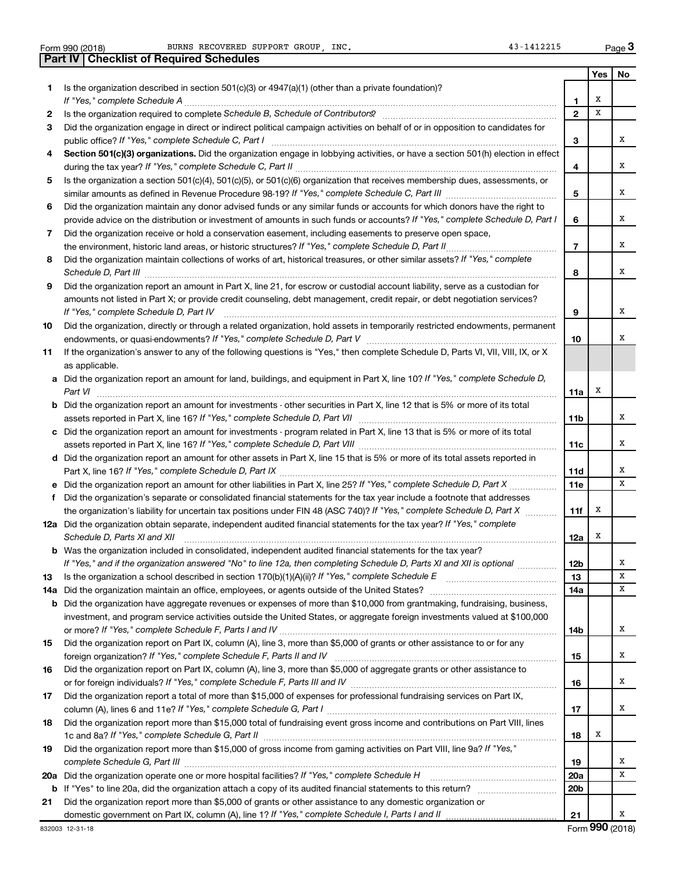|     | BURNS RECOVERED SUPPORT GROUP, INC.<br>43-1412215<br>Form 990 (2018)                                                                                                    |                 |     | Page 3 |
|-----|-------------------------------------------------------------------------------------------------------------------------------------------------------------------------|-----------------|-----|--------|
|     | <b>Part IV   Checklist of Required Schedules</b>                                                                                                                        |                 |     |        |
|     |                                                                                                                                                                         |                 | Yes | No     |
| 1   | Is the organization described in section 501(c)(3) or 4947(a)(1) (other than a private foundation)?                                                                     |                 |     |        |
|     |                                                                                                                                                                         | 1               | х   |        |
| 2   |                                                                                                                                                                         | $\mathbf{2}$    | x   |        |
| 3   | Did the organization engage in direct or indirect political campaign activities on behalf of or in opposition to candidates for                                         |                 |     |        |
|     |                                                                                                                                                                         | 3               |     | x      |
| 4   | Section 501(c)(3) organizations. Did the organization engage in lobbying activities, or have a section 501(h) election in effect                                        |                 |     |        |
|     |                                                                                                                                                                         | 4               |     | х      |
| 5   | Is the organization a section 501(c)(4), 501(c)(5), or 501(c)(6) organization that receives membership dues, assessments, or                                            |                 |     |        |
|     |                                                                                                                                                                         | 5               |     | х      |
| 6   | Did the organization maintain any donor advised funds or any similar funds or accounts for which donors have the right to                                               |                 |     |        |
|     | provide advice on the distribution or investment of amounts in such funds or accounts? If "Yes," complete Schedule D, Part I                                            | 6               |     | х      |
| 7   | Did the organization receive or hold a conservation easement, including easements to preserve open space,                                                               |                 |     |        |
|     |                                                                                                                                                                         | $\overline{7}$  |     | x      |
| 8   | Did the organization maintain collections of works of art, historical treasures, or other similar assets? If "Yes," complete                                            |                 |     |        |
|     | Schedule D, Part III <b>Marting Communities</b> Contract and Technical Communities Contract and Technical Communities                                                   | 8               |     | x      |
| 9   | Did the organization report an amount in Part X, line 21, for escrow or custodial account liability, serve as a custodian for                                           |                 |     |        |
|     | amounts not listed in Part X; or provide credit counseling, debt management, credit repair, or debt negotiation services?                                               |                 |     | х      |
|     | If "Yes," complete Schedule D, Part IV<br>Did the organization, directly or through a related organization, hold assets in temporarily restricted endowments, permanent | 9               |     |        |
| 10  |                                                                                                                                                                         | 10              |     | х      |
| 11  | If the organization's answer to any of the following questions is "Yes," then complete Schedule D, Parts VI, VII, VIII, IX, or X                                        |                 |     |        |
|     | as applicable.                                                                                                                                                          |                 |     |        |
|     | a Did the organization report an amount for land, buildings, and equipment in Part X, line 10? If "Yes," complete Schedule D,                                           |                 |     |        |
|     | Part VI                                                                                                                                                                 | 11a             | х   |        |
|     | <b>b</b> Did the organization report an amount for investments - other securities in Part X, line 12 that is 5% or more of its total                                    |                 |     |        |
|     |                                                                                                                                                                         | 11 <sub>b</sub> |     | х      |
|     | c Did the organization report an amount for investments - program related in Part X, line 13 that is 5% or more of its total                                            |                 |     |        |
|     |                                                                                                                                                                         | 11c             |     | х      |
|     | d Did the organization report an amount for other assets in Part X, line 15 that is 5% or more of its total assets reported in                                          |                 |     |        |
|     |                                                                                                                                                                         | 11d             |     | х      |
|     |                                                                                                                                                                         | <b>11e</b>      |     | х      |
| f   | Did the organization's separate or consolidated financial statements for the tax year include a footnote that addresses                                                 |                 |     |        |
|     | the organization's liability for uncertain tax positions under FIN 48 (ASC 740)? If "Yes," complete Schedule D, Part X                                                  | 11f             | х   |        |
|     | 12a Did the organization obtain separate, independent audited financial statements for the tax year? If "Yes," complete                                                 |                 |     |        |
|     | Schedule D, Parts XI and XII                                                                                                                                            | 12a             | x   |        |
|     | <b>b</b> Was the organization included in consolidated, independent audited financial statements for the tax year?                                                      |                 |     |        |
|     | If "Yes," and if the organization answered "No" to line 12a, then completing Schedule D, Parts XI and XII is optional                                                   | <b>12b</b>      |     | х      |
| 13  |                                                                                                                                                                         | 13              |     | x      |
| 14a |                                                                                                                                                                         | 14a             |     | х      |
| b   | Did the organization have aggregate revenues or expenses of more than \$10,000 from grantmaking, fundraising, business,                                                 |                 |     |        |
|     | investment, and program service activities outside the United States, or aggregate foreign investments valued at \$100,000                                              | 14b             |     | х      |
| 15  | Did the organization report on Part IX, column (A), line 3, more than \$5,000 of grants or other assistance to or for any                                               |                 |     |        |
|     |                                                                                                                                                                         | 15              |     | х      |
| 16  | Did the organization report on Part IX, column (A), line 3, more than \$5,000 of aggregate grants or other assistance to                                                |                 |     |        |
|     |                                                                                                                                                                         | 16              |     | х      |
| 17  | Did the organization report a total of more than \$15,000 of expenses for professional fundraising services on Part IX,                                                 |                 |     |        |
|     |                                                                                                                                                                         | 17              |     | x      |
| 18  | Did the organization report more than \$15,000 total of fundraising event gross income and contributions on Part VIII, lines                                            |                 |     |        |
|     |                                                                                                                                                                         | 18              | х   |        |
| 19  | Did the organization report more than \$15,000 of gross income from gaming activities on Part VIII, line 9a? If "Yes,"                                                  |                 |     |        |
|     |                                                                                                                                                                         | 19              |     | х      |
| 20a | Did the organization operate one or more hospital facilities? If "Yes," complete Schedule H                                                                             | 20a             |     | х      |
| b   |                                                                                                                                                                         | 20 <sub>b</sub> |     |        |
| 21  | Did the organization report more than \$5,000 of grants or other assistance to any domestic organization or                                                             |                 |     |        |
|     | domestic government on Part IX, column (A), line 1? If "Yes," complete Schedule I, Parts I and II                                                                       | 21              |     | X      |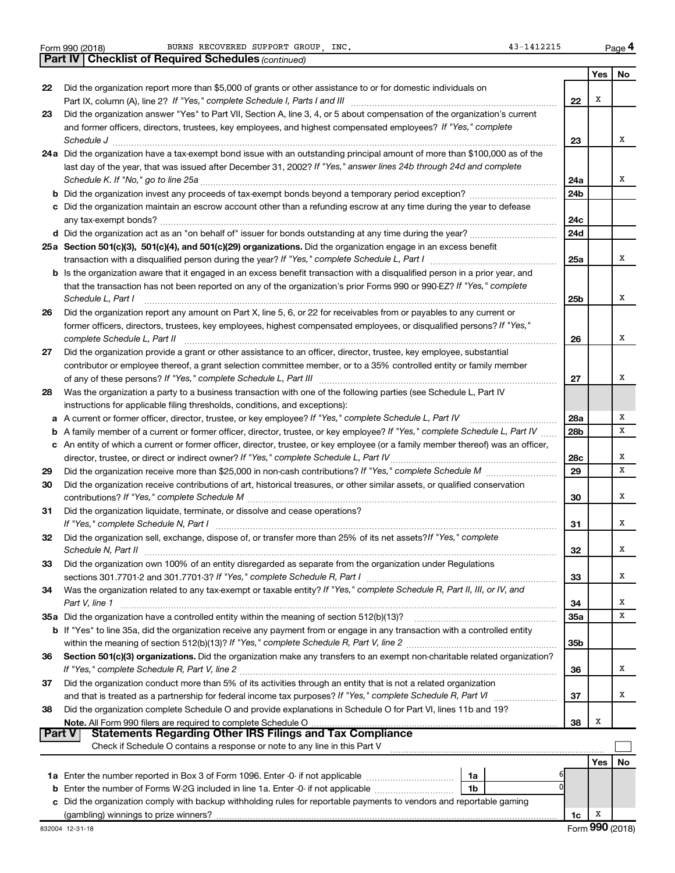|  | Form 990 (2018) |  |
|--|-----------------|--|
|  |                 |  |

**Yes No 22** Did the organization report more than \$5,000 of grants or other assistance to or for domestic individuals on **23 24 a** Did the organization have a tax-exempt bond issue with an outstanding principal amount of more than \$100,000 as of the **25 a Section 501(c)(3), 501(c)(4), and 501(c)(29) organizations.**  Did the organization engage in an excess benefit **26 27 28** Was the organization a party to a business transaction with one of the following parties (see Schedule L, Part IV **29 30 31 32 33 34** Was the organization related to any tax-exempt or taxable entity? If "Yes," complete Schedule R, Part II, III, or IV, and **35 a** Did the organization have a controlled entity within the meaning of section 512(b)(13)? **36 37 38 22 23 24a 24b 24c 24d 25a 25b 26 27 28a 28b 28c 29 30 31 32 33 34 35a 35b 36 37 38 b** Did the organization invest any proceeds of tax-exempt bonds beyond a temporary period exception? *www.communimi* **c** Did the organization maintain an escrow account other than a refunding escrow at any time during the year to defease **d** Did the organization act as an "on behalf of" issuer for bonds outstanding at any time during the year? ~~~~~~~~~~~ **b** Is the organization aware that it engaged in an excess benefit transaction with a disqualified person in a prior year, and **a** *If "Yes," complete Schedule L, Part IV* A current or former officer, director, trustee, or key employee? ~~~~~~~~~~~ **b** A family member of a current or former officer, director, trustee, or key employee? If "Yes," complete Schedule L, Part IV ...... **c** An entity of which a current or former officer, director, trustee, or key employee (or a family member thereof) was an officer, **b** If "Yes" to line 35a, did the organization receive any payment from or engage in any transaction with a controlled entity Section 501(c)(3) organizations. Did the organization make any transfers to an exempt non-charitable related organization? **Note.**  All Form 990 filers are required to complete Schedule O **Yes No** *(continued)* **Part IV Checklist of Required Schedules** Part IX, column (A), line 2? If "Yes," complete Schedule I, Parts I and III [11] [12] [12] [12] [12] [12] [12] [ and former officers, directors, trustees, key employees, and highest compensated employees? If "Yes," complete *Schedule J* ~~~~~~~~~~~~~~~~~~~~~~~~~~~~~~~~~~~~~~~~~~~~~~~~~~~~~~~~ last day of the year, that was issued after December 31, 2002? If "Yes," answer lines 24b through 24d and complete *Schedule K. If "No," go to line 25a* ~~~~~~~~~~~~~~~~~~~~~~~~~~~~~~~~~~~~~~~~~~~~~ transaction with a disqualified person during the year? If "Yes," complete Schedule L, Part I \_\_\_\_\_\_\_\_\_\_\_\_\_\_\_\_\_\_\_\_\_\_\_\_\_ that the transaction has not been reported on any of the organization's prior Forms 990 or 990-EZ? If "Yes," complete *Schedule L, Part I* former officers, directors, trustees, key employees, highest compensated employees, or disqualified persons? If "Yes," *complete Schedule L, Part II* ~~~~~~~~~~~~~~~~~~~~~~~~~~~~~~~~~~~~~~~~~~~~~~~ *If "Yes," complete Schedule L, Part III* of any of these persons? ~~~~~~~~~~~~~~~~~~~~~~~~~~~~~~ *If "Yes," complete Schedule L, Part IV* director, trustee, or direct or indirect owner? ~~~~~~~~~~~~~~~~~~~~~ *If "Yes," complete Schedule M* Did the organization receive more than \$25,000 in non-cash contributions? ~~~~~~~~~ *If "Yes," complete Schedule M* contributions? ~~~~~~~~~~~~~~~~~~~~~~~~~~~~~~~~~~~~~~~ *If "Yes," complete Schedule N, Part I* ~~~~~~~~~~~~~~~~~~~~~~~~~~~~~~~~~~~~~~~~~~~ Did the organization sell, exchange, dispose of, or transfer more than 25% of its net assets?*If "Yes," complete Schedule N, Part II* ~~~~~~~~~~~~~~~~~~~~~~~~~~~~~~~~~~~~~~~~~~~~~~~~~~~~ *If "Yes," complete Schedule R, Part I* sections 301.7701-2 and 301.7701-3? ~~~~~~~~~~~~~~~~~~~~~~~~ *Part V, line 1 If "Yes," complete Schedule R, Part V, line 2* within the meaning of section 512(b)(13)? ~~~~~~~~~~~~~~~~~~~ *If "Yes," complete Schedule R, Part V, line 2* and that is treated as a partnership for federal income tax purposes? If "Yes," complete Schedule R, Part VI medi Did the organization answer "Yes" to Part VII, Section A, line 3, 4, or 5 about compensation of the organization's current any tax-exempt bonds? ~~~~~~~~~~~~~~~~~~~~~~~~~~~~~~~~~~~~~~~~~~~~~~~~~~ ~~~~~~~~~~~~~~~~~~~~~~~~~~~~~~~~~~~~~~~~~~~~~~~~~~~~ Did the organization report any amount on Part X, line 5, 6, or 22 for receivables from or payables to any current or Did the organization provide a grant or other assistance to an officer, director, trustee, key employee, substantial contributor or employee thereof, a grant selection committee member, or to a 35% controlled entity or family member instructions for applicable filing thresholds, conditions, and exceptions): Did the organization receive contributions of art, historical treasures, or other similar assets, or qualified conservation Did the organization liquidate, terminate, or dissolve and cease operations? Did the organization own 100% of an entity disregarded as separate from the organization under Regulations ~~~~~~~~~~~~~~~~~~~~~~~~~~~~~~~~~~~~~~~~~~~~~~~~~~~~~~~ ~~~~~~~~~~~~~~~~~~ ~~~~~~~~~~~~~~~~~~~~~~~~~~~~~~~~~~~~~~~~ Did the organization conduct more than 5% of its activities through an entity that is not a related organization Did the organization complete Schedule O and provide explanations in Schedule O for Part VI, lines 11b and 19? Check if Schedule O contains a response or note to any line in this Part V **Part V Statements Regarding Other IRS Filings and Tax Compliance**  $\Box$ X X X X X X X X X X X X X X X X X X X X

| 1a Enter the number reported in Box 3 of Form 1096. Enter -0- if not applicable                                      | 1a |  |    |  |  |
|----------------------------------------------------------------------------------------------------------------------|----|--|----|--|--|
| <b>b</b> Enter the number of Forms W-2G included in line 1a. Enter -0- if not applicable                             | 1b |  |    |  |  |
| c Did the organization comply with backup withholding rules for reportable payments to vendors and reportable gaming |    |  |    |  |  |
| (gambling) winnings to prize winners?                                                                                |    |  | 1c |  |  |

**4**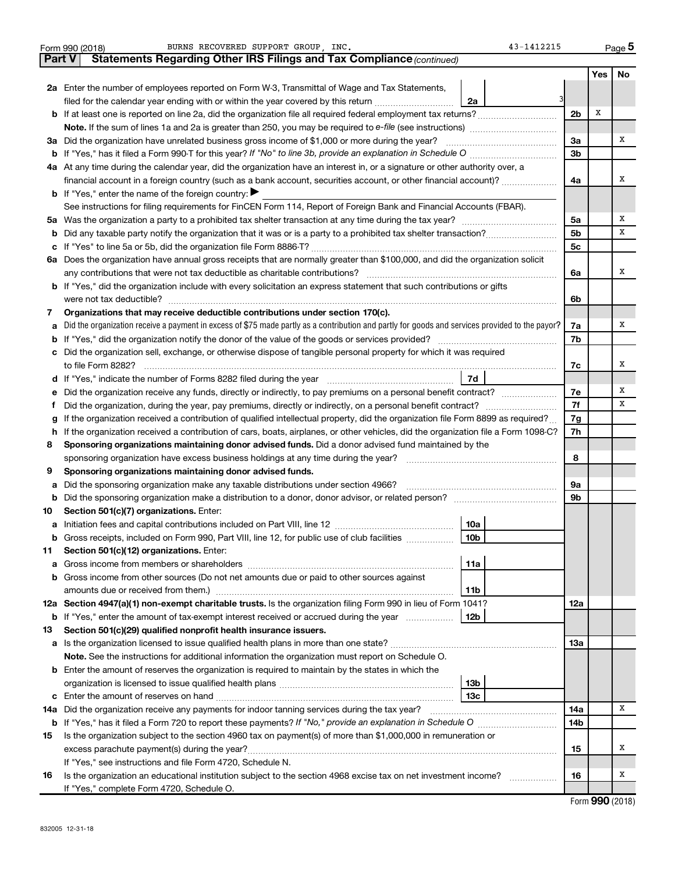|               | BURNS RECOVERED SUPPORT GROUP, INC.<br>43-1412215<br>Form 990 (2018)                                                                            |                |     | Page 5 |  |  |  |  |
|---------------|-------------------------------------------------------------------------------------------------------------------------------------------------|----------------|-----|--------|--|--|--|--|
| <b>Part V</b> | Statements Regarding Other IRS Filings and Tax Compliance (continued)                                                                           |                |     |        |  |  |  |  |
|               |                                                                                                                                                 |                | Yes | No     |  |  |  |  |
|               | 2a Enter the number of employees reported on Form W-3, Transmittal of Wage and Tax Statements,                                                  |                |     |        |  |  |  |  |
|               | filed for the calendar year ending with or within the year covered by this return <i>manumumumum</i><br>2a                                      |                |     |        |  |  |  |  |
|               |                                                                                                                                                 | 2 <sub>b</sub> | X   |        |  |  |  |  |
|               |                                                                                                                                                 |                |     |        |  |  |  |  |
|               | 3a Did the organization have unrelated business gross income of \$1,000 or more during the year?                                                | За             |     | x      |  |  |  |  |
|               |                                                                                                                                                 | 3 <sub>b</sub> |     |        |  |  |  |  |
|               | 4a At any time during the calendar year, did the organization have an interest in, or a signature or other authority over, a                    |                |     |        |  |  |  |  |
|               | financial account in a foreign country (such as a bank account, securities account, or other financial account)?                                | 4a             |     | X      |  |  |  |  |
|               | <b>b</b> If "Yes," enter the name of the foreign country: $\blacktriangleright$                                                                 |                |     |        |  |  |  |  |
|               | See instructions for filing requirements for FinCEN Form 114, Report of Foreign Bank and Financial Accounts (FBAR).                             |                |     |        |  |  |  |  |
|               |                                                                                                                                                 | 5a             |     | X      |  |  |  |  |
| b             |                                                                                                                                                 | 5 <sub>b</sub> |     | x      |  |  |  |  |
| с             |                                                                                                                                                 | 5c             |     |        |  |  |  |  |
|               | 6a Does the organization have annual gross receipts that are normally greater than \$100,000, and did the organization solicit                  |                |     |        |  |  |  |  |
|               |                                                                                                                                                 | 6а             |     | X      |  |  |  |  |
|               | <b>b</b> If "Yes," did the organization include with every solicitation an express statement that such contributions or gifts                   |                |     |        |  |  |  |  |
|               |                                                                                                                                                 | 6b             |     |        |  |  |  |  |
| 7             | Organizations that may receive deductible contributions under section 170(c).                                                                   |                |     |        |  |  |  |  |
| а             | Did the organization receive a payment in excess of \$75 made partly as a contribution and partly for goods and services provided to the payor? | 7a             |     | x      |  |  |  |  |
| b             |                                                                                                                                                 | 7b             |     |        |  |  |  |  |
| с             | Did the organization sell, exchange, or otherwise dispose of tangible personal property for which it was required                               |                |     |        |  |  |  |  |
|               |                                                                                                                                                 | 7с             |     | x      |  |  |  |  |
|               |                                                                                                                                                 |                |     |        |  |  |  |  |
| е             |                                                                                                                                                 | 7е             |     | X      |  |  |  |  |
| Ť             | Did the organization, during the year, pay premiums, directly or indirectly, on a personal benefit contract?                                    |                |     |        |  |  |  |  |
| g             | If the organization received a contribution of qualified intellectual property, did the organization file Form 8899 as required?                |                |     |        |  |  |  |  |
| h             | If the organization received a contribution of cars, boats, airplanes, or other vehicles, did the organization file a Form 1098-C?              |                |     |        |  |  |  |  |
| 8             | Sponsoring organizations maintaining donor advised funds. Did a donor advised fund maintained by the                                            |                |     |        |  |  |  |  |
|               | sponsoring organization have excess business holdings at any time during the year? [11111111111111111111111111                                  | 8              |     |        |  |  |  |  |
| 9             | Sponsoring organizations maintaining donor advised funds.                                                                                       |                |     |        |  |  |  |  |
| а             | Did the sponsoring organization make any taxable distributions under section 4966?                                                              | 9а             |     |        |  |  |  |  |
| b             |                                                                                                                                                 | 9b             |     |        |  |  |  |  |
| 10            | Section 501(c)(7) organizations. Enter:                                                                                                         |                |     |        |  |  |  |  |
|               | 10a                                                                                                                                             |                |     |        |  |  |  |  |
|               | 10 <sub>b</sub><br>Gross receipts, included on Form 990, Part VIII, line 12, for public use of club facilities                                  |                |     |        |  |  |  |  |
| 11            | Section 501(c)(12) organizations. Enter:                                                                                                        |                |     |        |  |  |  |  |
| а             | 11a                                                                                                                                             |                |     |        |  |  |  |  |
| b             | Gross income from other sources (Do not net amounts due or paid to other sources against                                                        |                |     |        |  |  |  |  |
|               | 11b                                                                                                                                             |                |     |        |  |  |  |  |
|               | 12a Section 4947(a)(1) non-exempt charitable trusts. Is the organization filing Form 990 in lieu of Form 1041?                                  | 12a            |     |        |  |  |  |  |
|               | 12b<br><b>b</b> If "Yes," enter the amount of tax-exempt interest received or accrued during the year                                           |                |     |        |  |  |  |  |
| 13            | Section 501(c)(29) qualified nonprofit health insurance issuers.                                                                                |                |     |        |  |  |  |  |
| а             | Is the organization licensed to issue qualified health plans in more than one state?                                                            | 13a            |     |        |  |  |  |  |
|               | Note. See the instructions for additional information the organization must report on Schedule O.                                               |                |     |        |  |  |  |  |
| b             | Enter the amount of reserves the organization is required to maintain by the states in which the                                                |                |     |        |  |  |  |  |
|               | 13 <sub>b</sub>                                                                                                                                 |                |     |        |  |  |  |  |
|               | 13 <sub>c</sub>                                                                                                                                 |                |     |        |  |  |  |  |
|               | 14a Did the organization receive any payments for indoor tanning services during the tax year?                                                  | 14a            |     | x      |  |  |  |  |
|               |                                                                                                                                                 | 14b            |     |        |  |  |  |  |
| 15            | Is the organization subject to the section 4960 tax on payment(s) of more than \$1,000,000 in remuneration or                                   |                |     |        |  |  |  |  |
|               | excess parachute payment(s) during the year?                                                                                                    | 15             |     | X      |  |  |  |  |
|               | If "Yes," see instructions and file Form 4720, Schedule N.                                                                                      |                |     |        |  |  |  |  |
| 16            | Is the organization an educational institution subject to the section 4968 excise tax on net investment income?                                 | 16             |     | X      |  |  |  |  |
|               | If "Yes," complete Form 4720, Schedule O.                                                                                                       |                |     |        |  |  |  |  |

Form (2018) **990**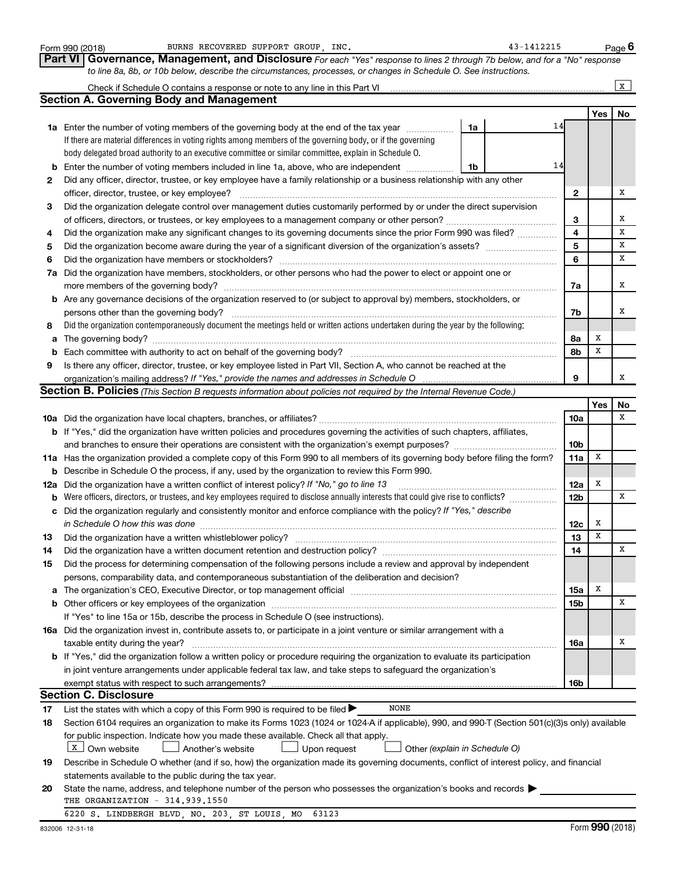|    | Form 990 (2018) | BURNS RECOVERED SUPPORT GROUP INC.                                                                                                                                                                                             |    | 43-1412215 |                 |             | Page 6       |
|----|-----------------|--------------------------------------------------------------------------------------------------------------------------------------------------------------------------------------------------------------------------------|----|------------|-----------------|-------------|--------------|
|    | <b>Part VI</b>  | Governance, Management, and Disclosure For each "Yes" response to lines 2 through 7b below, and for a "No" response                                                                                                            |    |            |                 |             |              |
|    |                 | to line 8a, 8b, or 10b below, describe the circumstances, processes, or changes in Schedule O. See instructions.                                                                                                               |    |            |                 |             |              |
|    |                 |                                                                                                                                                                                                                                |    |            |                 |             | $\mathbf{x}$ |
|    |                 | <b>Section A. Governing Body and Management</b>                                                                                                                                                                                |    |            |                 |             |              |
|    |                 |                                                                                                                                                                                                                                |    |            |                 | Yes         | No           |
|    |                 | 1a Enter the number of voting members of the governing body at the end of the tax year                                                                                                                                         | 1a | 14         |                 |             |              |
|    |                 | If there are material differences in voting rights among members of the governing body, or if the governing                                                                                                                    |    |            |                 |             |              |
|    |                 | body delegated broad authority to an executive committee or similar committee, explain in Schedule O.                                                                                                                          |    |            |                 |             |              |
| b  |                 | Enter the number of voting members included in line 1a, above, who are independent                                                                                                                                             | 1b | 14         |                 |             |              |
| 2  |                 | Did any officer, director, trustee, or key employee have a family relationship or a business relationship with any other                                                                                                       |    |            |                 |             |              |
|    |                 | officer, director, trustee, or key employee?                                                                                                                                                                                   |    |            | $\mathbf{2}$    |             | Х            |
| 3  |                 | Did the organization delegate control over management duties customarily performed by or under the direct supervision                                                                                                          |    |            |                 |             |              |
|    |                 |                                                                                                                                                                                                                                |    |            | З               |             | X            |
| 4  |                 | Did the organization make any significant changes to its governing documents since the prior Form 990 was filed?                                                                                                               |    |            | 4               |             | x            |
| 5  |                 |                                                                                                                                                                                                                                |    |            | 5               |             | х            |
| 6  |                 | Did the organization have members or stockholders?                                                                                                                                                                             |    |            | 6               |             | x            |
| 7a |                 | Did the organization have members, stockholders, or other persons who had the power to elect or appoint one or                                                                                                                 |    |            |                 |             |              |
|    |                 | more members of the governing body?                                                                                                                                                                                            |    |            | 7a              |             | х            |
|    |                 | <b>b</b> Are any governance decisions of the organization reserved to (or subject to approval by) members, stockholders, or                                                                                                    |    |            |                 |             |              |
|    |                 | persons other than the governing body?                                                                                                                                                                                         |    |            | 7b              |             | х            |
| 8  |                 | Did the organization contemporaneously document the meetings held or written actions undertaken during the year by the following:                                                                                              |    |            |                 |             |              |
| a  |                 |                                                                                                                                                                                                                                |    |            | 8a              | х           |              |
|    |                 |                                                                                                                                                                                                                                |    |            | 8b              | X           |              |
| b  |                 |                                                                                                                                                                                                                                |    |            |                 |             |              |
| 9  |                 | Is there any officer, director, trustee, or key employee listed in Part VII, Section A, who cannot be reached at the                                                                                                           |    |            | 9               |             | х            |
|    |                 | <b>Section B. Policies</b> (This Section B requests information about policies not required by the Internal Revenue Code.)                                                                                                     |    |            |                 |             |              |
|    |                 |                                                                                                                                                                                                                                |    |            |                 | Yes         |              |
|    |                 |                                                                                                                                                                                                                                |    |            | 10a             |             | No<br>x      |
|    |                 |                                                                                                                                                                                                                                |    |            |                 |             |              |
|    |                 | <b>b</b> If "Yes," did the organization have written policies and procedures governing the activities of such chapters, affiliates,                                                                                            |    |            |                 |             |              |
|    |                 |                                                                                                                                                                                                                                |    |            | 10 <sub>b</sub> | x           |              |
|    |                 | 11a Has the organization provided a complete copy of this Form 990 to all members of its governing body before filing the form?                                                                                                |    |            | 11a             |             |              |
|    |                 | <b>b</b> Describe in Schedule O the process, if any, used by the organization to review this Form 990.                                                                                                                         |    |            |                 |             |              |
|    |                 | 12a Did the organization have a written conflict of interest policy? If "No," go to line 13                                                                                                                                    |    |            | 12a             | X           |              |
| b  |                 | Were officers, directors, or trustees, and key employees required to disclose annually interests that could give rise to conflicts?                                                                                            |    |            | 12 <sub>b</sub> |             | x            |
| c  |                 | Did the organization regularly and consistently monitor and enforce compliance with the policy? If "Yes," describe                                                                                                             |    |            |                 |             |              |
|    |                 |                                                                                                                                                                                                                                |    |            | 12c             | x           |              |
| 13 |                 | Did the organization have a written whistleblower policy?                                                                                                                                                                      |    |            | 13              | $\mathbf x$ |              |
| 14 |                 | Did the organization have a written document retention and destruction policy? [11] manufaction in the organization have a written document retention and destruction policy?                                                  |    |            | 14              |             | X            |
| 15 |                 | Did the process for determining compensation of the following persons include a review and approval by independent                                                                                                             |    |            |                 |             |              |
|    |                 | persons, comparability data, and contemporaneous substantiation of the deliberation and decision?                                                                                                                              |    |            |                 |             |              |
| а  |                 | The organization's CEO, Executive Director, or top management official manufactured content of the organization's CEO, Executive Director, or top management official manufactured content of the state of the state of the st |    |            | 15a             | X           |              |
| b  |                 | Other officers or key employees of the organization                                                                                                                                                                            |    |            | <b>15b</b>      |             | X            |
|    |                 | If "Yes" to line 15a or 15b, describe the process in Schedule O (see instructions).                                                                                                                                            |    |            |                 |             |              |
|    |                 | 16a Did the organization invest in, contribute assets to, or participate in a joint venture or similar arrangement with a                                                                                                      |    |            |                 |             |              |
|    |                 | taxable entity during the year?                                                                                                                                                                                                |    |            | 16a             |             | х            |
|    |                 | <b>b</b> If "Yes," did the organization follow a written policy or procedure requiring the organization to evaluate its participation                                                                                          |    |            |                 |             |              |
|    |                 | in joint venture arrangements under applicable federal tax law, and take steps to safeguard the organization's                                                                                                                 |    |            |                 |             |              |
|    |                 | exempt status with respect to such arrangements?                                                                                                                                                                               |    |            | 16b             |             |              |
|    |                 | <b>Section C. Disclosure</b>                                                                                                                                                                                                   |    |            |                 |             |              |
| 17 |                 | <b>NONE</b><br>List the states with which a copy of this Form 990 is required to be filed >                                                                                                                                    |    |            |                 |             |              |
| 18 |                 | Section 6104 requires an organization to make its Forms 1023 (1024 or 1024 A if applicable), 990, and 990 T (Section 501(c)(3)s only) available                                                                                |    |            |                 |             |              |
|    |                 | for public inspection. Indicate how you made these available. Check all that apply.                                                                                                                                            |    |            |                 |             |              |
|    |                 | X   Own website<br>Another's website<br>Upon request<br>Other (explain in Schedule O)                                                                                                                                          |    |            |                 |             |              |
| 19 |                 | Describe in Schedule O whether (and if so, how) the organization made its governing documents, conflict of interest policy, and financial                                                                                      |    |            |                 |             |              |
|    |                 | statements available to the public during the tax year.                                                                                                                                                                        |    |            |                 |             |              |
| 20 |                 | State the name, address, and telephone number of the person who possesses the organization's books and records                                                                                                                 |    |            |                 |             |              |
|    |                 | THE ORGANIZATION - 314.939.1550                                                                                                                                                                                                |    |            |                 |             |              |
|    |                 | 6220 S. LINDBERGH BLVD, NO. 203, ST LOUIS, MO<br>63123                                                                                                                                                                         |    |            |                 |             |              |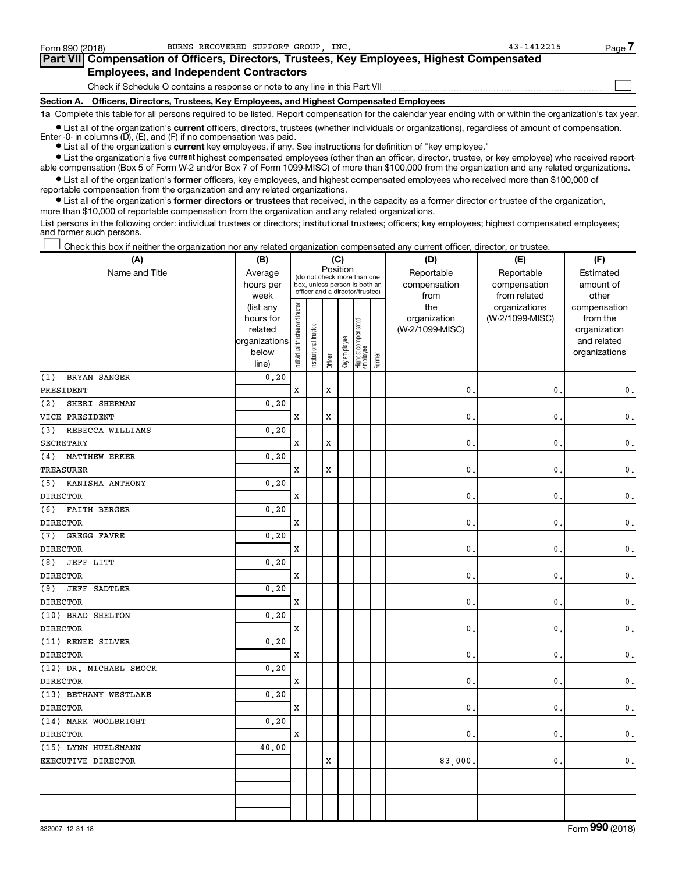| Form 990 (2018) | BURNS RECOVERED SUPPORT GROUP INC.                                                         | 43-1412215 | Page |
|-----------------|--------------------------------------------------------------------------------------------|------------|------|
|                 | Part VII Compensation of Officers, Directors, Trustees, Key Employees, Highest Compensated |            |      |
|                 | <b>Employees, and Independent Contractors</b>                                              |            |      |
|                 | Check if Schedule O contains a response or note to any line in this Part VII               |            |      |
|                 | Section A. Officers, Directors, Trustees, Key Employees, and Highest Compensated Employees |            |      |

**1a**  Complete this table for all persons required to be listed. Report compensation for the calendar year ending with or within the organization's tax year.

**•** List all of the organization's current officers, directors, trustees (whether individuals or organizations), regardless of amount of compensation. Enter -0- in columns (D), (E), and (F) if no compensation was paid.

**•** List all of the organization's **current** key employees, if any. See instructions for definition of "key employee."

**•** List the organization's five current highest compensated employees (other than an officer, director, trustee, or key employee) who received reportable compensation (Box 5 of Form W-2 and/or Box 7 of Form 1099-MISC) of more than \$100,000 from the organization and any related organizations.

**•** List all of the organization's former officers, key employees, and highest compensated employees who received more than \$100,000 of reportable compensation from the organization and any related organizations.

**•** List all of the organization's former directors or trustees that received, in the capacity as a former director or trustee of the organization, more than \$10,000 of reportable compensation from the organization and any related organizations.

List persons in the following order: individual trustees or directors; institutional trustees; officers; key employees; highest compensated employees; and former such persons.

Check this box if neither the organization nor any related organization compensated any current officer, director, or trustee. †

| (A)                         | (B)                    | (C)                           |                       |                                         |              |                                 |        | (D)             | (E)             | (F)                          |
|-----------------------------|------------------------|-------------------------------|-----------------------|-----------------------------------------|--------------|---------------------------------|--------|-----------------|-----------------|------------------------------|
| Name and Title              | Average                |                               |                       | Position<br>(do not check more than one |              |                                 |        | Reportable      | Reportable      | Estimated                    |
|                             | hours per              |                               |                       | box, unless person is both an           |              |                                 |        | compensation    | compensation    | amount of                    |
|                             | week                   |                               |                       | officer and a director/trustee)         |              |                                 |        | from            | from related    | other                        |
|                             | (list any              |                               |                       |                                         |              |                                 |        | the             | organizations   | compensation                 |
|                             | hours for              |                               |                       |                                         |              |                                 |        | organization    | (W-2/1099-MISC) | from the                     |
|                             | related                |                               |                       |                                         |              |                                 |        | (W-2/1099-MISC) |                 | organization                 |
|                             | organizations<br>below |                               |                       |                                         |              |                                 |        |                 |                 | and related<br>organizations |
|                             | line)                  | ndividual trustee or director | Institutional trustee | Officer                                 | Key employee | Highest compensated<br>employee | Former |                 |                 |                              |
| BRYAN SANGER<br>(1)         | 0.20                   |                               |                       |                                         |              |                                 |        |                 |                 |                              |
| PRESIDENT                   |                        | $\mathbf x$                   |                       | $\mathbf x$                             |              |                                 |        | 0.              | 0               | 0.                           |
| SHERI SHERMAN<br>(2)        | 0.20                   |                               |                       |                                         |              |                                 |        |                 |                 |                              |
| VICE PRESIDENT              |                        | $\mathbf x$                   |                       | Х                                       |              |                                 |        | 0.              | 0               | 0.                           |
| (3)<br>REBECCA WILLIAMS     | 0.20                   |                               |                       |                                         |              |                                 |        |                 |                 |                              |
| <b>SECRETARY</b>            |                        | X                             |                       | X                                       |              |                                 |        | $\mathbf{0}$ .  | 0               | 0.                           |
| <b>MATTHEW ERKER</b><br>(4) | 0.20                   |                               |                       |                                         |              |                                 |        |                 |                 |                              |
| <b>TREASURER</b>            |                        | X                             |                       | X                                       |              |                                 |        | 0.              | 0               | 0.                           |
| KANISHA ANTHONY<br>(5)      | 0.20                   |                               |                       |                                         |              |                                 |        |                 |                 |                              |
| <b>DIRECTOR</b>             |                        | X                             |                       |                                         |              |                                 |        | 0.              | 0               | 0.                           |
| <b>FAITH BERGER</b><br>(6)  | 0.20                   |                               |                       |                                         |              |                                 |        |                 |                 |                              |
| <b>DIRECTOR</b>             |                        | X                             |                       |                                         |              |                                 |        | 0.              | 0               | 0.                           |
| GREGG FAVRE<br>(7)          | 0.20                   |                               |                       |                                         |              |                                 |        |                 |                 |                              |
| <b>DIRECTOR</b>             |                        | X                             |                       |                                         |              |                                 |        | 0.              | 0               | 0.                           |
| <b>JEFF LITT</b><br>(8)     | 0, 20                  |                               |                       |                                         |              |                                 |        |                 |                 |                              |
| <b>DIRECTOR</b>             |                        | X                             |                       |                                         |              |                                 |        | $\mathbf{0}$ .  | 0               | 0.                           |
| <b>JEFF SADTLER</b><br>(9)  | 0.20                   |                               |                       |                                         |              |                                 |        |                 |                 |                              |
| <b>DIRECTOR</b>             |                        | $\mathbf x$                   |                       |                                         |              |                                 |        | $\mathbf{0}$ .  | 0               | 0.                           |
| (10) BRAD SHELTON           | 0.20                   |                               |                       |                                         |              |                                 |        |                 |                 |                              |
| <b>DIRECTOR</b>             |                        | X                             |                       |                                         |              |                                 |        | 0.              | 0               | 0.                           |
| (11) RENEE SILVER           | 0, 20                  |                               |                       |                                         |              |                                 |        |                 |                 |                              |
| <b>DIRECTOR</b>             |                        | X                             |                       |                                         |              |                                 |        | 0.              | 0               | 0.                           |
| (12) DR. MICHAEL SMOCK      | 0.20                   |                               |                       |                                         |              |                                 |        |                 |                 |                              |
| <b>DIRECTOR</b>             |                        | X                             |                       |                                         |              |                                 |        | 0.              | 0               | $\mathbf 0$ .                |
| (13) BETHANY WESTLAKE       | 0.20                   |                               |                       |                                         |              |                                 |        |                 |                 |                              |
| <b>DIRECTOR</b>             |                        | $\mathbf x$                   |                       |                                         |              |                                 |        | $\mathbf{0}$ .  | 0               | $\mathbf 0$ .                |
| (14) MARK WOOLBRIGHT        | 0, 20                  |                               |                       |                                         |              |                                 |        |                 |                 |                              |
| <b>DIRECTOR</b>             |                        | X                             |                       |                                         |              |                                 |        | $\mathbf{0}$ .  | 0               | 0.                           |
| (15) LYNN HUELSMANN         | 40.00                  |                               |                       |                                         |              |                                 |        |                 |                 |                              |
| EXECUTIVE DIRECTOR          |                        |                               |                       | X                                       |              |                                 |        | 83,000.         | $\mathbf{0}$ .  | 0.                           |
|                             |                        |                               |                       |                                         |              |                                 |        |                 |                 |                              |
|                             |                        |                               |                       |                                         |              |                                 |        |                 |                 |                              |
|                             |                        |                               |                       |                                         |              |                                 |        |                 |                 |                              |
|                             |                        |                               |                       |                                         |              |                                 |        |                 |                 |                              |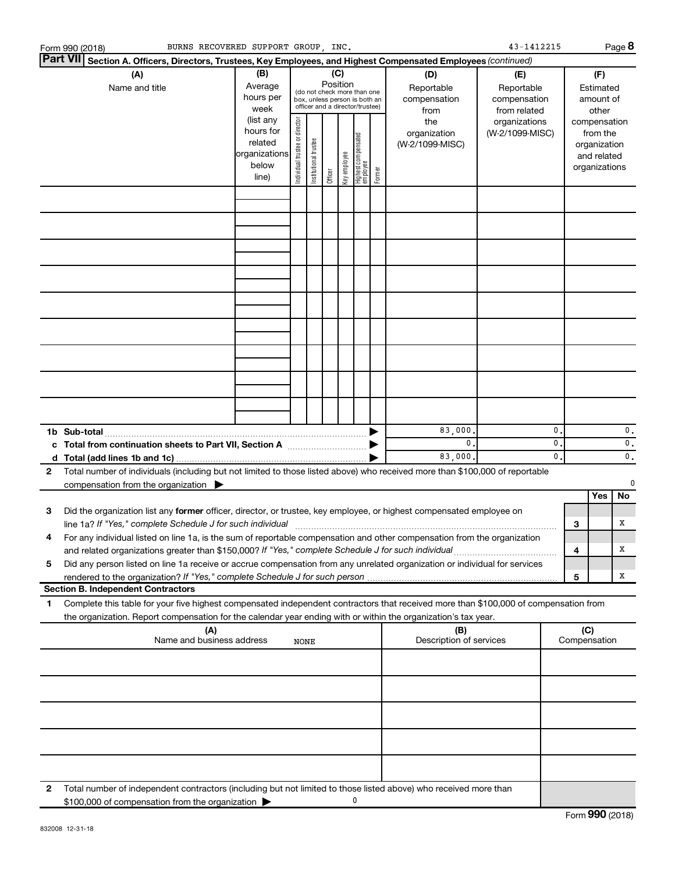|              | BURNS RECOVERED SUPPORT GROUP, INC.<br>Form 990 (2018)                                                                                                                                                                            |                                                         |                                |                       |                 |              |                                                                                                 |        |                                           | 43-1412215                                        |                                 |     |                                                                          | Page 8              |
|--------------|-----------------------------------------------------------------------------------------------------------------------------------------------------------------------------------------------------------------------------------|---------------------------------------------------------|--------------------------------|-----------------------|-----------------|--------------|-------------------------------------------------------------------------------------------------|--------|-------------------------------------------|---------------------------------------------------|---------------------------------|-----|--------------------------------------------------------------------------|---------------------|
|              | Part VII <br>Section A. Officers, Directors, Trustees, Key Employees, and Highest Compensated Employees (continued)                                                                                                               |                                                         |                                |                       |                 |              |                                                                                                 |        |                                           |                                                   |                                 |     |                                                                          |                     |
|              | (A)<br>Name and title                                                                                                                                                                                                             | (B)<br>Average<br>hours per<br>week<br>(list any        |                                |                       | (C)<br>Position |              | (do not check more than one<br>box, unless person is both an<br>officer and a director/trustee) |        | (D)<br>Reportable<br>compensation<br>from | (E)<br>Reportable<br>compensation<br>from related |                                 |     | (F)<br>Estimated<br>amount of<br>other                                   |                     |
|              |                                                                                                                                                                                                                                   | hours for<br>related<br>organizations<br>below<br>line) | Individual trustee or director | Institutional trustee | Officer         | Key employee | Highest compensated<br>employee                                                                 | Former | the<br>organization<br>(W-2/1099-MISC)    | organizations<br>(W-2/1099-MISC)                  |                                 |     | compensation<br>from the<br>organization<br>and related<br>organizations |                     |
|              |                                                                                                                                                                                                                                   |                                                         |                                |                       |                 |              |                                                                                                 |        |                                           |                                                   |                                 |     |                                                                          |                     |
|              |                                                                                                                                                                                                                                   |                                                         |                                |                       |                 |              |                                                                                                 |        |                                           |                                                   |                                 |     |                                                                          |                     |
|              |                                                                                                                                                                                                                                   |                                                         |                                |                       |                 |              |                                                                                                 |        |                                           |                                                   |                                 |     |                                                                          |                     |
|              |                                                                                                                                                                                                                                   |                                                         |                                |                       |                 |              |                                                                                                 |        |                                           |                                                   |                                 |     |                                                                          |                     |
|              |                                                                                                                                                                                                                                   |                                                         |                                |                       |                 |              |                                                                                                 |        |                                           |                                                   |                                 |     |                                                                          |                     |
|              |                                                                                                                                                                                                                                   |                                                         |                                |                       |                 |              |                                                                                                 |        |                                           |                                                   |                                 |     |                                                                          |                     |
|              |                                                                                                                                                                                                                                   |                                                         |                                |                       |                 |              |                                                                                                 |        |                                           |                                                   |                                 |     |                                                                          |                     |
|              |                                                                                                                                                                                                                                   |                                                         |                                |                       |                 |              |                                                                                                 |        |                                           |                                                   |                                 |     |                                                                          |                     |
|              |                                                                                                                                                                                                                                   |                                                         |                                |                       |                 |              |                                                                                                 |        |                                           |                                                   |                                 |     |                                                                          |                     |
|              | 1b Sub-total                                                                                                                                                                                                                      |                                                         |                                |                       |                 |              |                                                                                                 |        | 83,000.                                   |                                                   | $\mathbf{0}$                    |     |                                                                          | $\mathbf 0$ .       |
|              |                                                                                                                                                                                                                                   |                                                         |                                |                       |                 |              |                                                                                                 |        | 0.<br>83,000.                             |                                                   | $\mathbf{0}$ .<br>$\mathbf 0$ . |     |                                                                          | 0.<br>$\mathbf 0$ . |
| $\mathbf{2}$ | Total number of individuals (including but not limited to those listed above) who received more than \$100,000 of reportable                                                                                                      |                                                         |                                |                       |                 |              |                                                                                                 |        |                                           |                                                   |                                 |     |                                                                          | $\Omega$            |
|              | compensation from the organization $\blacktriangleright$                                                                                                                                                                          |                                                         |                                |                       |                 |              |                                                                                                 |        |                                           |                                                   |                                 |     | Yes                                                                      | No                  |
| 3            | Did the organization list any former officer, director, or trustee, key employee, or highest compensated employee on<br>line 1a? If "Yes," complete Schedule J for such individual                                                |                                                         |                                |                       |                 |              |                                                                                                 |        |                                           |                                                   |                                 |     |                                                                          | х                   |
| 4            | For any individual listed on line 1a, is the sum of reportable compensation and other compensation from the organization                                                                                                          |                                                         |                                |                       |                 |              |                                                                                                 |        |                                           |                                                   |                                 | 3   |                                                                          |                     |
| 5            | and related organizations greater than \$150,000? If "Yes," complete Schedule J for such individual<br>Did any person listed on line 1a receive or accrue compensation from any unrelated organization or individual for services |                                                         |                                |                       |                 |              |                                                                                                 |        |                                           |                                                   |                                 | 4   |                                                                          | х                   |
|              |                                                                                                                                                                                                                                   |                                                         |                                |                       |                 |              |                                                                                                 |        |                                           |                                                   |                                 | 5   |                                                                          | х                   |
| 1            | <b>Section B. Independent Contractors</b><br>Complete this table for your five highest compensated independent contractors that received more than \$100,000 of compensation from                                                 |                                                         |                                |                       |                 |              |                                                                                                 |        |                                           |                                                   |                                 |     |                                                                          |                     |
|              | the organization. Report compensation for the calendar year ending with or within the organization's tax year.<br>(A)                                                                                                             |                                                         |                                |                       |                 |              |                                                                                                 |        | (B)                                       |                                                   |                                 | (C) |                                                                          |                     |
|              | Name and business address                                                                                                                                                                                                         |                                                         | NONE                           |                       |                 |              |                                                                                                 |        | Description of services                   |                                                   |                                 |     | Compensation                                                             |                     |
|              |                                                                                                                                                                                                                                   |                                                         |                                |                       |                 |              |                                                                                                 |        |                                           |                                                   |                                 |     |                                                                          |                     |
|              |                                                                                                                                                                                                                                   |                                                         |                                |                       |                 |              |                                                                                                 |        |                                           |                                                   |                                 |     |                                                                          |                     |
|              |                                                                                                                                                                                                                                   |                                                         |                                |                       |                 |              |                                                                                                 |        |                                           |                                                   |                                 |     |                                                                          |                     |
|              |                                                                                                                                                                                                                                   |                                                         |                                |                       |                 |              |                                                                                                 |        |                                           |                                                   |                                 |     |                                                                          |                     |
|              |                                                                                                                                                                                                                                   |                                                         |                                |                       |                 |              |                                                                                                 |        |                                           |                                                   |                                 |     |                                                                          |                     |
| 2            | Total number of independent contractors (including but not limited to those listed above) who received more than<br>\$100,000 of compensation from the organization                                                               |                                                         |                                |                       |                 |              | 0                                                                                               |        |                                           |                                                   |                                 |     |                                                                          |                     |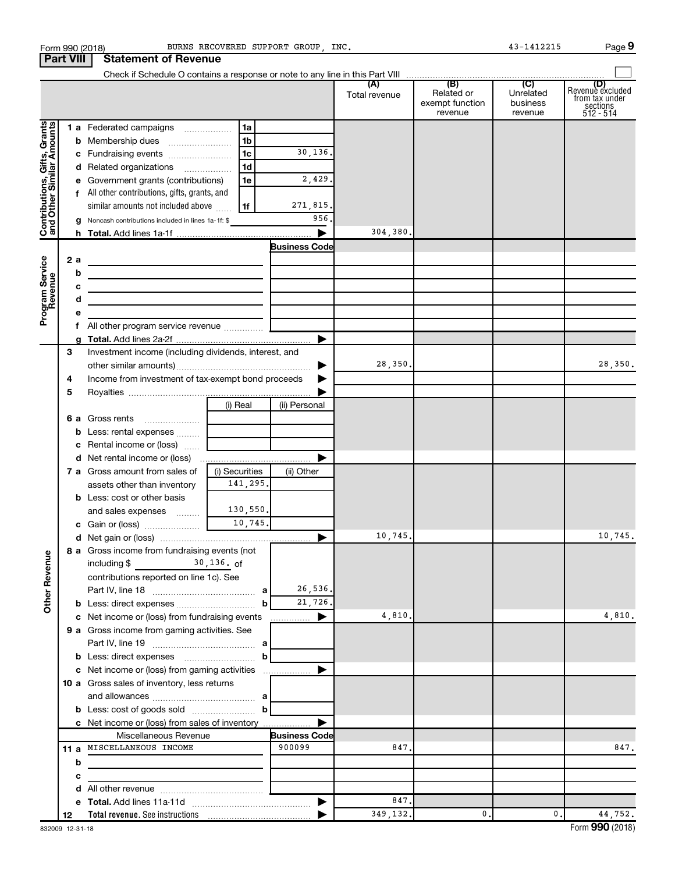|                                                           | Form 990 (2018)  |                                                                                           |                | BURNS RECOVERED SUPPORT GROUP . INC. |                      |                                                 | 43-1412215                                         | Page 9                                                               |
|-----------------------------------------------------------|------------------|-------------------------------------------------------------------------------------------|----------------|--------------------------------------|----------------------|-------------------------------------------------|----------------------------------------------------|----------------------------------------------------------------------|
|                                                           | <b>Part VIII</b> | <b>Statement of Revenue</b>                                                               |                |                                      |                      |                                                 |                                                    |                                                                      |
|                                                           |                  |                                                                                           |                |                                      |                      |                                                 |                                                    |                                                                      |
|                                                           |                  |                                                                                           |                |                                      | (A)<br>Total revenue | (B)<br>Related or<br>exempt function<br>revenue | $\overline{C}$<br>Unrelated<br>business<br>revenue | (D)<br>Revenue excluded<br>trom tax under<br>sections<br>$512 - 514$ |
|                                                           |                  | 1 a Federated campaigns                                                                   | 1a             |                                      |                      |                                                 |                                                    |                                                                      |
|                                                           |                  |                                                                                           | 1b             |                                      |                      |                                                 |                                                    |                                                                      |
|                                                           |                  | c Fundraising events                                                                      | 1 <sub>c</sub> | 30,136.                              |                      |                                                 |                                                    |                                                                      |
|                                                           |                  | d Related organizations                                                                   | 1 <sub>d</sub> |                                      |                      |                                                 |                                                    |                                                                      |
|                                                           |                  | e Government grants (contributions)                                                       | 1e             | 2,429.                               |                      |                                                 |                                                    |                                                                      |
| Contributions, Gifts, Grants<br>and Other Similar Amounts |                  | f All other contributions, gifts, grants, and                                             |                |                                      |                      |                                                 |                                                    |                                                                      |
|                                                           |                  | similar amounts not included above                                                        | 1f             | 271,815.                             |                      |                                                 |                                                    |                                                                      |
|                                                           |                  | g Noncash contributions included in lines 1a-1f: \$                                       |                | 956                                  |                      |                                                 |                                                    |                                                                      |
|                                                           |                  |                                                                                           |                | $\blacktriangleright$                | 304,380.             |                                                 |                                                    |                                                                      |
|                                                           |                  |                                                                                           |                | <b>Business Code</b>                 |                      |                                                 |                                                    |                                                                      |
|                                                           | 2 a              |                                                                                           |                |                                      |                      |                                                 |                                                    |                                                                      |
| Program Service<br>Revenue                                | b                |                                                                                           |                |                                      |                      |                                                 |                                                    |                                                                      |
|                                                           | c                | the control of the control of the control of the control of the control of the control of |                |                                      |                      |                                                 |                                                    |                                                                      |
|                                                           | d                | <u> 1980 - Johann Barn, amerikansk politiker (d. 1980)</u>                                |                |                                      |                      |                                                 |                                                    |                                                                      |
|                                                           | е                | <u> 1989 - Johann Barn, mars an t-Amerikaansk politiker (</u>                             |                |                                      |                      |                                                 |                                                    |                                                                      |
|                                                           | f.               | All other program service revenue                                                         |                |                                      |                      |                                                 |                                                    |                                                                      |
|                                                           |                  |                                                                                           |                |                                      |                      |                                                 |                                                    |                                                                      |
|                                                           | З                | Investment income (including dividends, interest, and                                     |                |                                      |                      |                                                 |                                                    |                                                                      |
|                                                           |                  |                                                                                           |                | ▶                                    | 28,350.              |                                                 |                                                    | 28,350.                                                              |
|                                                           |                  | Income from investment of tax-exempt bond proceeds                                        |                |                                      |                      |                                                 |                                                    |                                                                      |
|                                                           | 4                |                                                                                           |                |                                      |                      |                                                 |                                                    |                                                                      |
|                                                           | 5                |                                                                                           |                |                                      |                      |                                                 |                                                    |                                                                      |
|                                                           |                  |                                                                                           | (i) Real       | (ii) Personal                        |                      |                                                 |                                                    |                                                                      |
|                                                           |                  |                                                                                           |                |                                      |                      |                                                 |                                                    |                                                                      |
|                                                           |                  | <b>b</b> Less: rental expenses                                                            |                |                                      |                      |                                                 |                                                    |                                                                      |
|                                                           |                  | <b>c</b> Rental income or (loss) $\ldots$                                                 |                |                                      |                      |                                                 |                                                    |                                                                      |
|                                                           |                  |                                                                                           |                |                                      |                      |                                                 |                                                    |                                                                      |
|                                                           |                  | 7 a Gross amount from sales of                                                            | (i) Securities | (ii) Other                           |                      |                                                 |                                                    |                                                                      |
|                                                           |                  | assets other than inventory                                                               | 141,295.       |                                      |                      |                                                 |                                                    |                                                                      |
|                                                           |                  | <b>b</b> Less: cost or other basis                                                        |                |                                      |                      |                                                 |                                                    |                                                                      |
|                                                           |                  | and sales expenses                                                                        | 130,550.       |                                      |                      |                                                 |                                                    |                                                                      |
|                                                           |                  | c Gain or (loss)                                                                          | 10,745.        |                                      |                      |                                                 |                                                    |                                                                      |
|                                                           |                  |                                                                                           |                |                                      | 10,745.              |                                                 |                                                    | 10,745.                                                              |
|                                                           |                  | 8 a Gross income from fundraising events (not                                             |                |                                      |                      |                                                 |                                                    |                                                                      |
|                                                           |                  | including $\frac{2}{30}$ , 136. of                                                        |                |                                      |                      |                                                 |                                                    |                                                                      |
|                                                           |                  | contributions reported on line 1c). See                                                   |                |                                      |                      |                                                 |                                                    |                                                                      |
|                                                           |                  |                                                                                           |                | 26,536.                              |                      |                                                 |                                                    |                                                                      |
| <b>Other Revenue</b>                                      |                  | <b>b</b> Less: direct expenses <b>contained b</b> Less:                                   | b              | 21,726.                              |                      |                                                 |                                                    |                                                                      |
|                                                           |                  | c Net income or (loss) from fundraising events                                            |                | ▶                                    | 4,810.               |                                                 |                                                    | 4,810.                                                               |
|                                                           |                  | 9 a Gross income from gaming activities. See                                              |                |                                      |                      |                                                 |                                                    |                                                                      |
|                                                           |                  |                                                                                           |                |                                      |                      |                                                 |                                                    |                                                                      |
|                                                           |                  |                                                                                           |                |                                      |                      |                                                 |                                                    |                                                                      |
|                                                           |                  | c Net income or (loss) from gaming activities                                             |                | ▶                                    |                      |                                                 |                                                    |                                                                      |
|                                                           |                  | <b>10 a</b> Gross sales of inventory, less returns                                        |                |                                      |                      |                                                 |                                                    |                                                                      |
|                                                           |                  |                                                                                           |                |                                      |                      |                                                 |                                                    |                                                                      |
|                                                           |                  | <b>b</b> Less: cost of goods sold $\ldots$ <b>b</b>                                       |                |                                      |                      |                                                 |                                                    |                                                                      |
|                                                           |                  | c Net income or (loss) from sales of inventory                                            |                |                                      |                      |                                                 |                                                    |                                                                      |
|                                                           |                  | Miscellaneous Revenue                                                                     |                | <b>Business Code</b>                 |                      |                                                 |                                                    |                                                                      |
|                                                           |                  | 11 a MISCELLANEOUS INCOME                                                                 |                | 900099                               | 847.                 |                                                 |                                                    | 847.                                                                 |
|                                                           | b                |                                                                                           |                |                                      |                      |                                                 |                                                    |                                                                      |
|                                                           | с                |                                                                                           |                |                                      |                      |                                                 |                                                    |                                                                      |
|                                                           | d                |                                                                                           |                |                                      |                      |                                                 |                                                    |                                                                      |
|                                                           |                  |                                                                                           |                |                                      | 847.                 |                                                 |                                                    |                                                                      |
|                                                           | 12               |                                                                                           |                |                                      | 349,132.             | 0.                                              | $\mathbf{0}$ .                                     | 44,752.                                                              |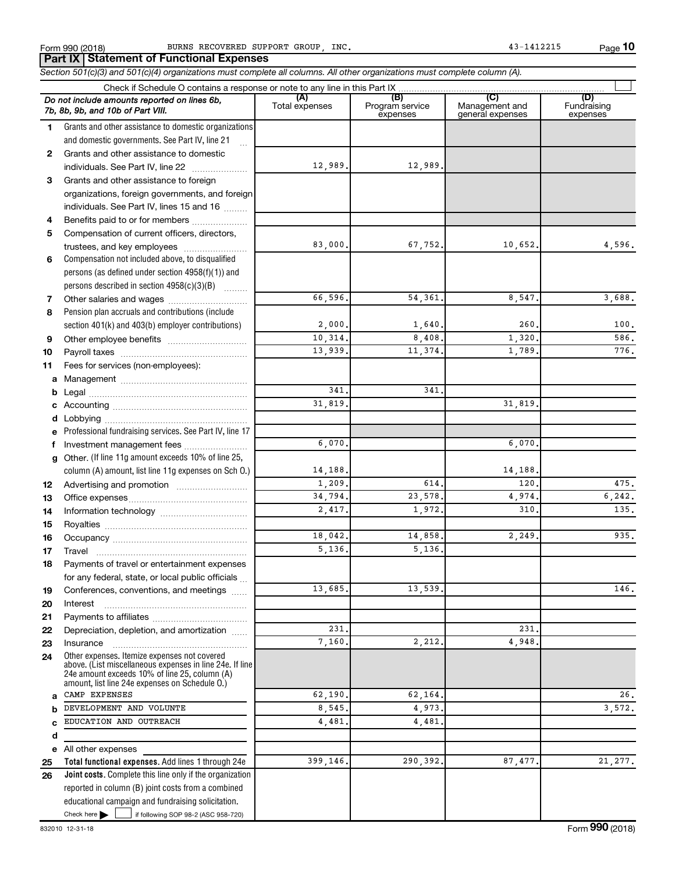**10**

 $\Box$ 

**Total functional expenses.**  Add lines 1 through 24e **Joint costs.** Complete this line only if the organization **(A) (B) (C) (D)** Fundraising **1 2 3** Grants and other assistance to foreign **4 5 6 7 8 9 10 11 a** Management ~~~~~~~~~~~~~~~~ **b c d e f g 12 13 14 15 16 17 18 19 20 21 22 23 24 a b c d e 25 26** *Section 501(c)(3) and 501(c)(4) organizations must complete all columns. All other organizations must complete column (A).* Grants and other assistance to domestic organizations and domestic governments. See Part IV, line 21 Compensation not included above, to disqualified persons (as defined under section 4958(f)(1)) and persons described in section  $4958(c)(3)(B)$   $\ldots$ Pension plan accruals and contributions (include section 401(k) and 403(b) employer contributions) Professional fundraising services. See Part IV, line 17 Other. (If line 11g amount exceeds 10% of line 25, column (A) amount, list line 11g expenses on Sch O.) Other expenses. Itemize expenses not covered above. (List miscellaneous expenses in line 24e. If line 24e amount exceeds 10% of line 25, column (A) amount, list line 24e expenses on Schedule O.) reported in column (B) joint costs from a combined Form 990 (2018) BURNS RECOVERED SUPPORT GROUP, INC. And the magnitude of the state of the Page Check if Schedule O contains a response or note to any line in this Part IX Total expenses Program service expenses Management and general expenses expenses .<br>... Grants and other assistance to domestic individuals. See Part IV, line 22 ~~~~~~~ organizations, foreign governments, and foreign individuals. See Part IV, lines 15 and 16  $\ldots$ Benefits paid to or for members ................... Compensation of current officers, directors, trustees, and key employees ........................ Other salaries and wages ~~~~~~~~~~ Other employee benefits ~~~~~~~~~~ Payroll taxes ~~~~~~~~~~~~~~~~ Fees for services (non-employees): Legal ~~~~~~~~~~~~~~~~~~~~ Accounting ~~~~~~~~~~~~~~~~~ Lobbying ~~~~~~~~~~~~~~~~~~ Investment management fees ........................ Advertising and promotion ........................... Office expenses ~~~~~~~~~~~~~~~ Information technology ~~~~~~~~~~~ Royalties ~~~~~~~~~~~~~~~~~~ Occupancy ~~~~~~~~~~~~~~~~~ Travel ~~~~~~~~~~~~~~~~~~~ Payments of travel or entertainment expenses for any federal, state, or local public officials ... Conferences, conventions, and meetings Interest ~~~~~~~~~~~~~~~~~~ Payments to affiliates ~~~~~~~~~~~~ Depreciation, depletion, and amortization ...... Insurance ~~~~~~~~~~~~~~~~~ All other expenses *Do not include amounts reported on lines 6b, 7b, 8b, 9b, and 10b of Part VIII.* **Part IX Statement of Functional Expenses** 12,989. 12,989. 83,000. 67,752. 10,652. 4,596. 66,596. 54,361. 8,547. 3,688.  $2,000$ .  $1,640$ .  $260$ .  $100$ .  $10,314.$  8,408.  $1,320.$  586. 13,939. 11,374. 1,789. 776. 341. 341. 31,819. 31,819. 6,070. 6,070. 14,188. 14,188.  $1,209.$  614. 120. 120. 475. 34,794. 23,578. 4,974. 6,242. 2,417. 1,972. 310. 135. 18,042. 14,858. 2,249. 935. 5,136. 5,136. 13,685. 13,539. 146. 231. 231. 7,160. 2,212. 4,948. CAMP EXPENSES  $62,190.$   $62,164.$  26. DEVELOPMENT AND VOLUNTE 8,545. 4,973. EDUCATION AND OUTREACH 4,481. 4,481. 399,146. 290,392. 87,477. 21,277.

Check here  $\blacktriangleright$  |

Check here  $\begin{array}{c} \begin{array}{|c} \hline \end{array} \end{array}$  if following SOP 98-2 (ASC 958-720)

educational campaign and fundraising solicitation.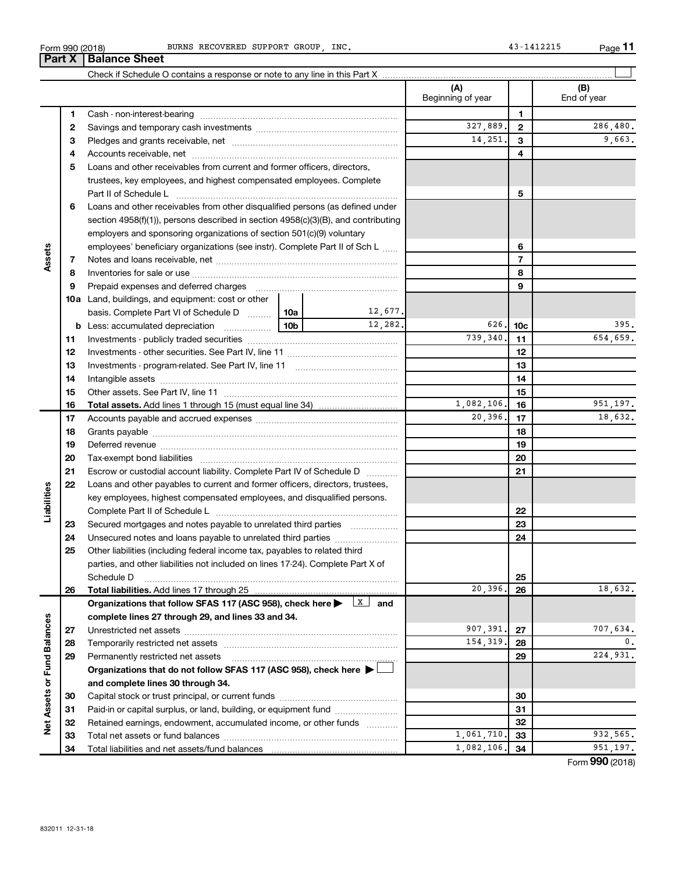| Form 990 (2018) | GROUP<br>SUPPORT<br>INC<br>BURNS RECOVERED | . <b>.</b><br>Page<br>1412215 |
|-----------------|--------------------------------------------|-------------------------------|
|-----------------|--------------------------------------------|-------------------------------|

BURNS RECOVERED SUPPORT GROUP, INC. 43-1412215

**11**

| (A)<br>(B)<br>Beginning of year<br>End of year<br>1<br>1<br>327,889.<br>$\mathbf{2}$<br>2<br>14,251.<br>3<br>З<br>4<br>4<br>Loans and other receivables from current and former officers, directors,<br>5<br>trustees, key employees, and highest compensated employees. Complete<br>5<br>Loans and other receivables from other disqualified persons (as defined under<br>6<br>section 4958(f)(1)), persons described in section 4958(c)(3)(B), and contributing<br>employers and sponsoring organizations of section 501(c)(9) voluntary<br>6<br>employees' beneficiary organizations (see instr). Complete Part II of Sch L<br>Assets<br>$\overline{7}$<br>7<br>8<br>8<br>9<br>Prepaid expenses and deferred charges<br>9<br><b>10a</b> Land, buildings, and equipment: cost or other<br>12,677.<br>basis. Complete Part VI of Schedule D    10a  <br>12,282.<br>626.<br>395.<br>10 <sub>b</sub><br><b>b</b> Less: accumulated depreciation<br>10 <sub>c</sub><br>739,340.<br>11<br>11<br>12<br>12<br>13<br>13<br>14<br>14<br>15<br>15<br>1,082,106.<br>16<br>16<br>20,396.<br>17<br>17<br>18<br>18<br>19<br>19<br>20<br>20<br>21<br>Escrow or custodial account liability. Complete Part IV of Schedule D<br>21<br>22<br>Loans and other payables to current and former officers, directors, trustees,<br>Liabilities<br>key employees, highest compensated employees, and disqualified persons.<br>22<br>Secured mortgages and notes payable to unrelated third parties<br>23<br>23<br>24<br>24<br>Other liabilities (including federal income tax, payables to related third<br>25<br>parties, and other liabilities not included on lines 17-24). Complete Part X of<br>Schedule D<br>25<br>20,396<br>Total liabilities. Add lines 17 through 25<br>26<br>26<br>$\lfloor x \rfloor$ and<br>Organizations that follow SFAS 117 (ASC 958), check here<br>complete lines 27 through 29, and lines 33 and 34.<br>Net Assets or Fund Balances<br>907,391.<br>707,634.<br>27<br>27<br>154,319.<br>0.<br>28<br>28<br>29<br>29<br>Permanently restricted net assets<br>Organizations that do not follow SFAS 117 (ASC 958), check here ▶ □<br>and complete lines 30 through 34.<br>30<br>30<br>Paid-in or capital surplus, or land, building, or equipment fund<br>31<br>31<br>32<br>Retained earnings, endowment, accumulated income, or other funds<br>32<br>1,061,710.<br>33<br>33 |  | Part X | <b>Balance Sheet</b> |  |  |            |    |                            |
|--------------------------------------------------------------------------------------------------------------------------------------------------------------------------------------------------------------------------------------------------------------------------------------------------------------------------------------------------------------------------------------------------------------------------------------------------------------------------------------------------------------------------------------------------------------------------------------------------------------------------------------------------------------------------------------------------------------------------------------------------------------------------------------------------------------------------------------------------------------------------------------------------------------------------------------------------------------------------------------------------------------------------------------------------------------------------------------------------------------------------------------------------------------------------------------------------------------------------------------------------------------------------------------------------------------------------------------------------------------------------------------------------------------------------------------------------------------------------------------------------------------------------------------------------------------------------------------------------------------------------------------------------------------------------------------------------------------------------------------------------------------------------------------------------------------------------------------------------------------------------------------------------------------------------------------------------------------------------------------------------------------------------------------------------------------------------------------------------------------------------------------------------------------------------------------------------------------------------------------------------------------------------------------------------------------------------------------------------------------------------------------|--|--------|----------------------|--|--|------------|----|----------------------------|
|                                                                                                                                                                                                                                                                                                                                                                                                                                                                                                                                                                                                                                                                                                                                                                                                                                                                                                                                                                                                                                                                                                                                                                                                                                                                                                                                                                                                                                                                                                                                                                                                                                                                                                                                                                                                                                                                                                                                                                                                                                                                                                                                                                                                                                                                                                                                                                                      |  |        |                      |  |  |            |    |                            |
|                                                                                                                                                                                                                                                                                                                                                                                                                                                                                                                                                                                                                                                                                                                                                                                                                                                                                                                                                                                                                                                                                                                                                                                                                                                                                                                                                                                                                                                                                                                                                                                                                                                                                                                                                                                                                                                                                                                                                                                                                                                                                                                                                                                                                                                                                                                                                                                      |  |        |                      |  |  |            |    |                            |
|                                                                                                                                                                                                                                                                                                                                                                                                                                                                                                                                                                                                                                                                                                                                                                                                                                                                                                                                                                                                                                                                                                                                                                                                                                                                                                                                                                                                                                                                                                                                                                                                                                                                                                                                                                                                                                                                                                                                                                                                                                                                                                                                                                                                                                                                                                                                                                                      |  |        |                      |  |  |            |    |                            |
|                                                                                                                                                                                                                                                                                                                                                                                                                                                                                                                                                                                                                                                                                                                                                                                                                                                                                                                                                                                                                                                                                                                                                                                                                                                                                                                                                                                                                                                                                                                                                                                                                                                                                                                                                                                                                                                                                                                                                                                                                                                                                                                                                                                                                                                                                                                                                                                      |  |        |                      |  |  |            |    | 286,480.                   |
|                                                                                                                                                                                                                                                                                                                                                                                                                                                                                                                                                                                                                                                                                                                                                                                                                                                                                                                                                                                                                                                                                                                                                                                                                                                                                                                                                                                                                                                                                                                                                                                                                                                                                                                                                                                                                                                                                                                                                                                                                                                                                                                                                                                                                                                                                                                                                                                      |  |        |                      |  |  |            |    | 9,663.                     |
|                                                                                                                                                                                                                                                                                                                                                                                                                                                                                                                                                                                                                                                                                                                                                                                                                                                                                                                                                                                                                                                                                                                                                                                                                                                                                                                                                                                                                                                                                                                                                                                                                                                                                                                                                                                                                                                                                                                                                                                                                                                                                                                                                                                                                                                                                                                                                                                      |  |        |                      |  |  |            |    |                            |
|                                                                                                                                                                                                                                                                                                                                                                                                                                                                                                                                                                                                                                                                                                                                                                                                                                                                                                                                                                                                                                                                                                                                                                                                                                                                                                                                                                                                                                                                                                                                                                                                                                                                                                                                                                                                                                                                                                                                                                                                                                                                                                                                                                                                                                                                                                                                                                                      |  |        |                      |  |  |            |    |                            |
|                                                                                                                                                                                                                                                                                                                                                                                                                                                                                                                                                                                                                                                                                                                                                                                                                                                                                                                                                                                                                                                                                                                                                                                                                                                                                                                                                                                                                                                                                                                                                                                                                                                                                                                                                                                                                                                                                                                                                                                                                                                                                                                                                                                                                                                                                                                                                                                      |  |        |                      |  |  |            |    |                            |
|                                                                                                                                                                                                                                                                                                                                                                                                                                                                                                                                                                                                                                                                                                                                                                                                                                                                                                                                                                                                                                                                                                                                                                                                                                                                                                                                                                                                                                                                                                                                                                                                                                                                                                                                                                                                                                                                                                                                                                                                                                                                                                                                                                                                                                                                                                                                                                                      |  |        |                      |  |  |            |    |                            |
|                                                                                                                                                                                                                                                                                                                                                                                                                                                                                                                                                                                                                                                                                                                                                                                                                                                                                                                                                                                                                                                                                                                                                                                                                                                                                                                                                                                                                                                                                                                                                                                                                                                                                                                                                                                                                                                                                                                                                                                                                                                                                                                                                                                                                                                                                                                                                                                      |  |        |                      |  |  |            |    |                            |
|                                                                                                                                                                                                                                                                                                                                                                                                                                                                                                                                                                                                                                                                                                                                                                                                                                                                                                                                                                                                                                                                                                                                                                                                                                                                                                                                                                                                                                                                                                                                                                                                                                                                                                                                                                                                                                                                                                                                                                                                                                                                                                                                                                                                                                                                                                                                                                                      |  |        |                      |  |  |            |    |                            |
|                                                                                                                                                                                                                                                                                                                                                                                                                                                                                                                                                                                                                                                                                                                                                                                                                                                                                                                                                                                                                                                                                                                                                                                                                                                                                                                                                                                                                                                                                                                                                                                                                                                                                                                                                                                                                                                                                                                                                                                                                                                                                                                                                                                                                                                                                                                                                                                      |  |        |                      |  |  |            |    |                            |
|                                                                                                                                                                                                                                                                                                                                                                                                                                                                                                                                                                                                                                                                                                                                                                                                                                                                                                                                                                                                                                                                                                                                                                                                                                                                                                                                                                                                                                                                                                                                                                                                                                                                                                                                                                                                                                                                                                                                                                                                                                                                                                                                                                                                                                                                                                                                                                                      |  |        |                      |  |  |            |    |                            |
|                                                                                                                                                                                                                                                                                                                                                                                                                                                                                                                                                                                                                                                                                                                                                                                                                                                                                                                                                                                                                                                                                                                                                                                                                                                                                                                                                                                                                                                                                                                                                                                                                                                                                                                                                                                                                                                                                                                                                                                                                                                                                                                                                                                                                                                                                                                                                                                      |  |        |                      |  |  |            |    |                            |
|                                                                                                                                                                                                                                                                                                                                                                                                                                                                                                                                                                                                                                                                                                                                                                                                                                                                                                                                                                                                                                                                                                                                                                                                                                                                                                                                                                                                                                                                                                                                                                                                                                                                                                                                                                                                                                                                                                                                                                                                                                                                                                                                                                                                                                                                                                                                                                                      |  |        |                      |  |  |            |    |                            |
|                                                                                                                                                                                                                                                                                                                                                                                                                                                                                                                                                                                                                                                                                                                                                                                                                                                                                                                                                                                                                                                                                                                                                                                                                                                                                                                                                                                                                                                                                                                                                                                                                                                                                                                                                                                                                                                                                                                                                                                                                                                                                                                                                                                                                                                                                                                                                                                      |  |        |                      |  |  |            |    |                            |
|                                                                                                                                                                                                                                                                                                                                                                                                                                                                                                                                                                                                                                                                                                                                                                                                                                                                                                                                                                                                                                                                                                                                                                                                                                                                                                                                                                                                                                                                                                                                                                                                                                                                                                                                                                                                                                                                                                                                                                                                                                                                                                                                                                                                                                                                                                                                                                                      |  |        |                      |  |  |            |    |                            |
|                                                                                                                                                                                                                                                                                                                                                                                                                                                                                                                                                                                                                                                                                                                                                                                                                                                                                                                                                                                                                                                                                                                                                                                                                                                                                                                                                                                                                                                                                                                                                                                                                                                                                                                                                                                                                                                                                                                                                                                                                                                                                                                                                                                                                                                                                                                                                                                      |  |        |                      |  |  |            |    |                            |
|                                                                                                                                                                                                                                                                                                                                                                                                                                                                                                                                                                                                                                                                                                                                                                                                                                                                                                                                                                                                                                                                                                                                                                                                                                                                                                                                                                                                                                                                                                                                                                                                                                                                                                                                                                                                                                                                                                                                                                                                                                                                                                                                                                                                                                                                                                                                                                                      |  |        |                      |  |  |            |    |                            |
|                                                                                                                                                                                                                                                                                                                                                                                                                                                                                                                                                                                                                                                                                                                                                                                                                                                                                                                                                                                                                                                                                                                                                                                                                                                                                                                                                                                                                                                                                                                                                                                                                                                                                                                                                                                                                                                                                                                                                                                                                                                                                                                                                                                                                                                                                                                                                                                      |  |        |                      |  |  |            |    | 654,659.                   |
|                                                                                                                                                                                                                                                                                                                                                                                                                                                                                                                                                                                                                                                                                                                                                                                                                                                                                                                                                                                                                                                                                                                                                                                                                                                                                                                                                                                                                                                                                                                                                                                                                                                                                                                                                                                                                                                                                                                                                                                                                                                                                                                                                                                                                                                                                                                                                                                      |  |        |                      |  |  |            |    |                            |
|                                                                                                                                                                                                                                                                                                                                                                                                                                                                                                                                                                                                                                                                                                                                                                                                                                                                                                                                                                                                                                                                                                                                                                                                                                                                                                                                                                                                                                                                                                                                                                                                                                                                                                                                                                                                                                                                                                                                                                                                                                                                                                                                                                                                                                                                                                                                                                                      |  |        |                      |  |  |            |    |                            |
|                                                                                                                                                                                                                                                                                                                                                                                                                                                                                                                                                                                                                                                                                                                                                                                                                                                                                                                                                                                                                                                                                                                                                                                                                                                                                                                                                                                                                                                                                                                                                                                                                                                                                                                                                                                                                                                                                                                                                                                                                                                                                                                                                                                                                                                                                                                                                                                      |  |        |                      |  |  |            |    |                            |
|                                                                                                                                                                                                                                                                                                                                                                                                                                                                                                                                                                                                                                                                                                                                                                                                                                                                                                                                                                                                                                                                                                                                                                                                                                                                                                                                                                                                                                                                                                                                                                                                                                                                                                                                                                                                                                                                                                                                                                                                                                                                                                                                                                                                                                                                                                                                                                                      |  |        |                      |  |  |            |    |                            |
|                                                                                                                                                                                                                                                                                                                                                                                                                                                                                                                                                                                                                                                                                                                                                                                                                                                                                                                                                                                                                                                                                                                                                                                                                                                                                                                                                                                                                                                                                                                                                                                                                                                                                                                                                                                                                                                                                                                                                                                                                                                                                                                                                                                                                                                                                                                                                                                      |  |        |                      |  |  |            |    | 951, 197.                  |
|                                                                                                                                                                                                                                                                                                                                                                                                                                                                                                                                                                                                                                                                                                                                                                                                                                                                                                                                                                                                                                                                                                                                                                                                                                                                                                                                                                                                                                                                                                                                                                                                                                                                                                                                                                                                                                                                                                                                                                                                                                                                                                                                                                                                                                                                                                                                                                                      |  |        |                      |  |  |            |    | 18,632.                    |
|                                                                                                                                                                                                                                                                                                                                                                                                                                                                                                                                                                                                                                                                                                                                                                                                                                                                                                                                                                                                                                                                                                                                                                                                                                                                                                                                                                                                                                                                                                                                                                                                                                                                                                                                                                                                                                                                                                                                                                                                                                                                                                                                                                                                                                                                                                                                                                                      |  |        |                      |  |  |            |    |                            |
|                                                                                                                                                                                                                                                                                                                                                                                                                                                                                                                                                                                                                                                                                                                                                                                                                                                                                                                                                                                                                                                                                                                                                                                                                                                                                                                                                                                                                                                                                                                                                                                                                                                                                                                                                                                                                                                                                                                                                                                                                                                                                                                                                                                                                                                                                                                                                                                      |  |        |                      |  |  |            |    |                            |
|                                                                                                                                                                                                                                                                                                                                                                                                                                                                                                                                                                                                                                                                                                                                                                                                                                                                                                                                                                                                                                                                                                                                                                                                                                                                                                                                                                                                                                                                                                                                                                                                                                                                                                                                                                                                                                                                                                                                                                                                                                                                                                                                                                                                                                                                                                                                                                                      |  |        |                      |  |  |            |    |                            |
|                                                                                                                                                                                                                                                                                                                                                                                                                                                                                                                                                                                                                                                                                                                                                                                                                                                                                                                                                                                                                                                                                                                                                                                                                                                                                                                                                                                                                                                                                                                                                                                                                                                                                                                                                                                                                                                                                                                                                                                                                                                                                                                                                                                                                                                                                                                                                                                      |  |        |                      |  |  |            |    |                            |
|                                                                                                                                                                                                                                                                                                                                                                                                                                                                                                                                                                                                                                                                                                                                                                                                                                                                                                                                                                                                                                                                                                                                                                                                                                                                                                                                                                                                                                                                                                                                                                                                                                                                                                                                                                                                                                                                                                                                                                                                                                                                                                                                                                                                                                                                                                                                                                                      |  |        |                      |  |  |            |    |                            |
|                                                                                                                                                                                                                                                                                                                                                                                                                                                                                                                                                                                                                                                                                                                                                                                                                                                                                                                                                                                                                                                                                                                                                                                                                                                                                                                                                                                                                                                                                                                                                                                                                                                                                                                                                                                                                                                                                                                                                                                                                                                                                                                                                                                                                                                                                                                                                                                      |  |        |                      |  |  |            |    |                            |
|                                                                                                                                                                                                                                                                                                                                                                                                                                                                                                                                                                                                                                                                                                                                                                                                                                                                                                                                                                                                                                                                                                                                                                                                                                                                                                                                                                                                                                                                                                                                                                                                                                                                                                                                                                                                                                                                                                                                                                                                                                                                                                                                                                                                                                                                                                                                                                                      |  |        |                      |  |  |            |    |                            |
|                                                                                                                                                                                                                                                                                                                                                                                                                                                                                                                                                                                                                                                                                                                                                                                                                                                                                                                                                                                                                                                                                                                                                                                                                                                                                                                                                                                                                                                                                                                                                                                                                                                                                                                                                                                                                                                                                                                                                                                                                                                                                                                                                                                                                                                                                                                                                                                      |  |        |                      |  |  |            |    |                            |
|                                                                                                                                                                                                                                                                                                                                                                                                                                                                                                                                                                                                                                                                                                                                                                                                                                                                                                                                                                                                                                                                                                                                                                                                                                                                                                                                                                                                                                                                                                                                                                                                                                                                                                                                                                                                                                                                                                                                                                                                                                                                                                                                                                                                                                                                                                                                                                                      |  |        |                      |  |  |            |    |                            |
|                                                                                                                                                                                                                                                                                                                                                                                                                                                                                                                                                                                                                                                                                                                                                                                                                                                                                                                                                                                                                                                                                                                                                                                                                                                                                                                                                                                                                                                                                                                                                                                                                                                                                                                                                                                                                                                                                                                                                                                                                                                                                                                                                                                                                                                                                                                                                                                      |  |        |                      |  |  |            |    |                            |
|                                                                                                                                                                                                                                                                                                                                                                                                                                                                                                                                                                                                                                                                                                                                                                                                                                                                                                                                                                                                                                                                                                                                                                                                                                                                                                                                                                                                                                                                                                                                                                                                                                                                                                                                                                                                                                                                                                                                                                                                                                                                                                                                                                                                                                                                                                                                                                                      |  |        |                      |  |  |            |    |                            |
|                                                                                                                                                                                                                                                                                                                                                                                                                                                                                                                                                                                                                                                                                                                                                                                                                                                                                                                                                                                                                                                                                                                                                                                                                                                                                                                                                                                                                                                                                                                                                                                                                                                                                                                                                                                                                                                                                                                                                                                                                                                                                                                                                                                                                                                                                                                                                                                      |  |        |                      |  |  |            |    |                            |
|                                                                                                                                                                                                                                                                                                                                                                                                                                                                                                                                                                                                                                                                                                                                                                                                                                                                                                                                                                                                                                                                                                                                                                                                                                                                                                                                                                                                                                                                                                                                                                                                                                                                                                                                                                                                                                                                                                                                                                                                                                                                                                                                                                                                                                                                                                                                                                                      |  |        |                      |  |  |            |    | 18,632.                    |
|                                                                                                                                                                                                                                                                                                                                                                                                                                                                                                                                                                                                                                                                                                                                                                                                                                                                                                                                                                                                                                                                                                                                                                                                                                                                                                                                                                                                                                                                                                                                                                                                                                                                                                                                                                                                                                                                                                                                                                                                                                                                                                                                                                                                                                                                                                                                                                                      |  |        |                      |  |  |            |    |                            |
|                                                                                                                                                                                                                                                                                                                                                                                                                                                                                                                                                                                                                                                                                                                                                                                                                                                                                                                                                                                                                                                                                                                                                                                                                                                                                                                                                                                                                                                                                                                                                                                                                                                                                                                                                                                                                                                                                                                                                                                                                                                                                                                                                                                                                                                                                                                                                                                      |  |        |                      |  |  |            |    |                            |
|                                                                                                                                                                                                                                                                                                                                                                                                                                                                                                                                                                                                                                                                                                                                                                                                                                                                                                                                                                                                                                                                                                                                                                                                                                                                                                                                                                                                                                                                                                                                                                                                                                                                                                                                                                                                                                                                                                                                                                                                                                                                                                                                                                                                                                                                                                                                                                                      |  |        |                      |  |  |            |    |                            |
|                                                                                                                                                                                                                                                                                                                                                                                                                                                                                                                                                                                                                                                                                                                                                                                                                                                                                                                                                                                                                                                                                                                                                                                                                                                                                                                                                                                                                                                                                                                                                                                                                                                                                                                                                                                                                                                                                                                                                                                                                                                                                                                                                                                                                                                                                                                                                                                      |  |        |                      |  |  |            |    |                            |
|                                                                                                                                                                                                                                                                                                                                                                                                                                                                                                                                                                                                                                                                                                                                                                                                                                                                                                                                                                                                                                                                                                                                                                                                                                                                                                                                                                                                                                                                                                                                                                                                                                                                                                                                                                                                                                                                                                                                                                                                                                                                                                                                                                                                                                                                                                                                                                                      |  |        |                      |  |  |            |    | 224,931.                   |
|                                                                                                                                                                                                                                                                                                                                                                                                                                                                                                                                                                                                                                                                                                                                                                                                                                                                                                                                                                                                                                                                                                                                                                                                                                                                                                                                                                                                                                                                                                                                                                                                                                                                                                                                                                                                                                                                                                                                                                                                                                                                                                                                                                                                                                                                                                                                                                                      |  |        |                      |  |  |            |    |                            |
|                                                                                                                                                                                                                                                                                                                                                                                                                                                                                                                                                                                                                                                                                                                                                                                                                                                                                                                                                                                                                                                                                                                                                                                                                                                                                                                                                                                                                                                                                                                                                                                                                                                                                                                                                                                                                                                                                                                                                                                                                                                                                                                                                                                                                                                                                                                                                                                      |  |        |                      |  |  |            |    |                            |
|                                                                                                                                                                                                                                                                                                                                                                                                                                                                                                                                                                                                                                                                                                                                                                                                                                                                                                                                                                                                                                                                                                                                                                                                                                                                                                                                                                                                                                                                                                                                                                                                                                                                                                                                                                                                                                                                                                                                                                                                                                                                                                                                                                                                                                                                                                                                                                                      |  |        |                      |  |  |            |    |                            |
|                                                                                                                                                                                                                                                                                                                                                                                                                                                                                                                                                                                                                                                                                                                                                                                                                                                                                                                                                                                                                                                                                                                                                                                                                                                                                                                                                                                                                                                                                                                                                                                                                                                                                                                                                                                                                                                                                                                                                                                                                                                                                                                                                                                                                                                                                                                                                                                      |  |        |                      |  |  |            |    |                            |
|                                                                                                                                                                                                                                                                                                                                                                                                                                                                                                                                                                                                                                                                                                                                                                                                                                                                                                                                                                                                                                                                                                                                                                                                                                                                                                                                                                                                                                                                                                                                                                                                                                                                                                                                                                                                                                                                                                                                                                                                                                                                                                                                                                                                                                                                                                                                                                                      |  |        |                      |  |  |            |    |                            |
|                                                                                                                                                                                                                                                                                                                                                                                                                                                                                                                                                                                                                                                                                                                                                                                                                                                                                                                                                                                                                                                                                                                                                                                                                                                                                                                                                                                                                                                                                                                                                                                                                                                                                                                                                                                                                                                                                                                                                                                                                                                                                                                                                                                                                                                                                                                                                                                      |  |        |                      |  |  |            |    | 932,565.                   |
|                                                                                                                                                                                                                                                                                                                                                                                                                                                                                                                                                                                                                                                                                                                                                                                                                                                                                                                                                                                                                                                                                                                                                                                                                                                                                                                                                                                                                                                                                                                                                                                                                                                                                                                                                                                                                                                                                                                                                                                                                                                                                                                                                                                                                                                                                                                                                                                      |  | 34     |                      |  |  | 1,082,106. | 34 | 951, 197.<br>$000$ $(001)$ |

Form (2018) **990**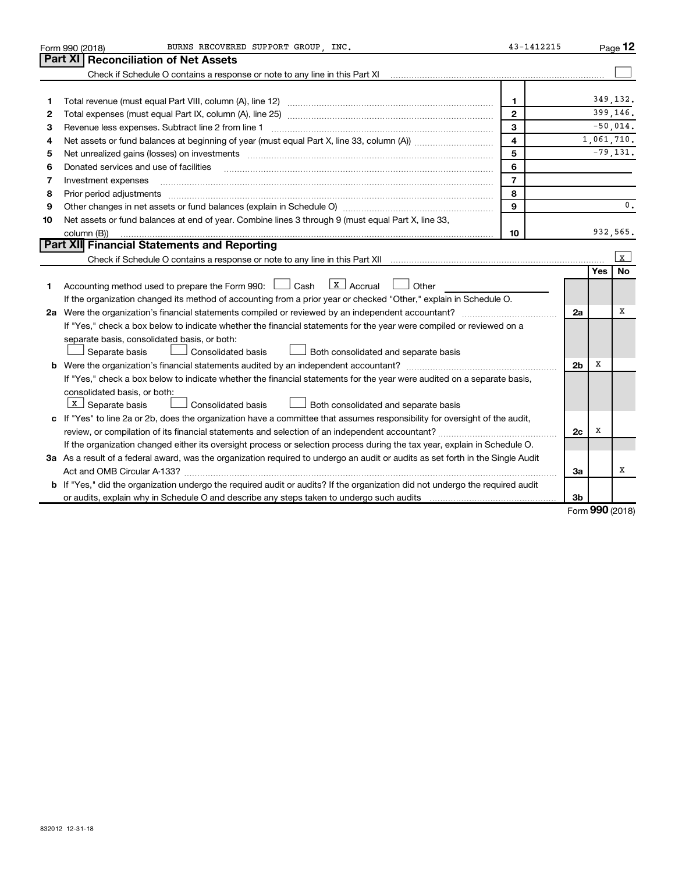|    | BURNS RECOVERED SUPPORT GROUP, INC.<br>Form 990 (2018)                                                                                                                                                                         | 43-1412215              |                |     | Page 12        |  |  |  |
|----|--------------------------------------------------------------------------------------------------------------------------------------------------------------------------------------------------------------------------------|-------------------------|----------------|-----|----------------|--|--|--|
|    | Part XI<br><b>Reconciliation of Net Assets</b>                                                                                                                                                                                 |                         |                |     |                |  |  |  |
|    | Check if Schedule O contains a response or note to any line in this Part XI                                                                                                                                                    |                         |                |     |                |  |  |  |
|    |                                                                                                                                                                                                                                |                         |                |     |                |  |  |  |
| 1  |                                                                                                                                                                                                                                | $\mathbf{1}$            |                |     | 349.132.       |  |  |  |
| 2  |                                                                                                                                                                                                                                | $\overline{2}$          |                |     | 399,146.       |  |  |  |
| З  | Revenue less expenses. Subtract line 2 from line 1                                                                                                                                                                             | 3                       |                |     | $-50,014.$     |  |  |  |
| 4  |                                                                                                                                                                                                                                | $\overline{\mathbf{4}}$ |                |     | 1,061,710.     |  |  |  |
| 5  | Net unrealized gains (losses) on investments [111] www.marting.community.community.community.community.communi                                                                                                                 | 5                       |                |     | $-79,131.$     |  |  |  |
| 6  | Donated services and use of facilities                                                                                                                                                                                         | 6                       |                |     |                |  |  |  |
| 7  | Investment expenses                                                                                                                                                                                                            | $\overline{7}$          |                |     |                |  |  |  |
| 8  | Prior period adjustments [111] matter contract and adjustments and account and account and adjustments and account and account and account and account and account and account and account and account and account account and | 8                       |                |     |                |  |  |  |
| 9  |                                                                                                                                                                                                                                | 9                       |                |     | $\mathbf{0}$ . |  |  |  |
| 10 | Net assets or fund balances at end of year. Combine lines 3 through 9 (must equal Part X, line 33,                                                                                                                             |                         |                |     |                |  |  |  |
|    | column (B))                                                                                                                                                                                                                    | 10                      |                |     | 932,565.       |  |  |  |
|    | Part XII Financial Statements and Reporting                                                                                                                                                                                    |                         |                |     |                |  |  |  |
|    |                                                                                                                                                                                                                                |                         |                |     | $\mathbf{x}$   |  |  |  |
|    |                                                                                                                                                                                                                                |                         |                | Yes | <b>No</b>      |  |  |  |
| 1. | $\lfloor x \rfloor$ Accrual<br>Accounting method used to prepare the Form 990: [130] Cash<br>Other                                                                                                                             |                         |                |     |                |  |  |  |
|    | If the organization changed its method of accounting from a prior year or checked "Other," explain in Schedule O.                                                                                                              |                         |                |     |                |  |  |  |
|    | 2a Were the organization's financial statements compiled or reviewed by an independent accountant?                                                                                                                             |                         | 2a             |     | x              |  |  |  |
|    | If "Yes," check a box below to indicate whether the financial statements for the year were compiled or reviewed on a                                                                                                           |                         |                |     |                |  |  |  |
|    | separate basis, consolidated basis, or both:                                                                                                                                                                                   |                         |                |     |                |  |  |  |
|    | Separate basis<br>Consolidated basis<br>Both consolidated and separate basis                                                                                                                                                   |                         |                |     |                |  |  |  |
|    | <b>b</b> Were the organization's financial statements audited by an independent accountant?                                                                                                                                    |                         | 2 <sub>b</sub> | х   |                |  |  |  |
|    | If "Yes," check a box below to indicate whether the financial statements for the year were audited on a separate basis,                                                                                                        |                         |                |     |                |  |  |  |
|    | consolidated basis, or both:                                                                                                                                                                                                   |                         |                |     |                |  |  |  |
|    | $X$ Separate basis<br>Consolidated basis<br>Both consolidated and separate basis                                                                                                                                               |                         |                |     |                |  |  |  |
|    | c If "Yes" to line 2a or 2b, does the organization have a committee that assumes responsibility for oversight of the audit,                                                                                                    |                         |                |     |                |  |  |  |
|    |                                                                                                                                                                                                                                |                         | 2c             | х   |                |  |  |  |
|    | If the organization changed either its oversight process or selection process during the tax year, explain in Schedule O.                                                                                                      |                         |                |     |                |  |  |  |
|    | 3a As a result of a federal award, was the organization required to undergo an audit or audits as set forth in the Single Audit                                                                                                |                         |                |     |                |  |  |  |
|    |                                                                                                                                                                                                                                |                         |                |     |                |  |  |  |
|    | b If "Yes," did the organization undergo the required audit or audits? If the organization did not undergo the required audit                                                                                                  |                         |                |     |                |  |  |  |
|    | or audits, explain why in Schedule O and describe any steps taken to undergo such audits matures and the matur                                                                                                                 |                         | 3b             |     |                |  |  |  |

Form (2018) **990**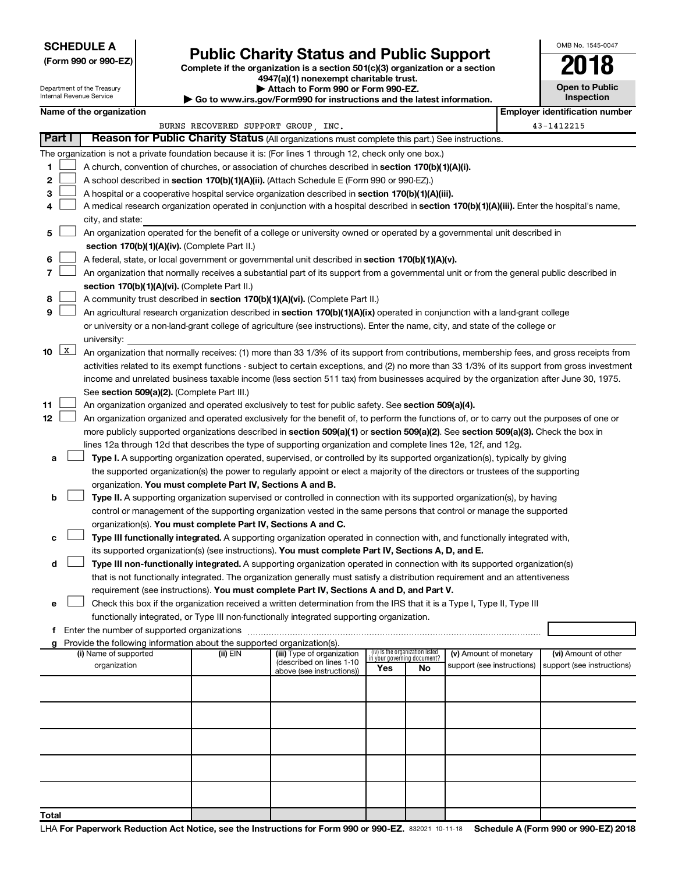### **SCHEDULE A**

Department of the Treasury Internal Revenue Service

# Form 990 or 990-EZ)<br>
Complete if the organization is a section 501(c)(3) organization or a section<br> **Public Charity Status and Public Support**

**4947(a)(1) nonexempt charitable trust.**

**| Attach to Form 990 or Form 990-EZ.** 

**| Go to www.irs.gov/Form990 for instructions and the latest information.**

|        | OMB No. 1545-0047                   |  |  |  |  |  |  |  |  |
|--------|-------------------------------------|--|--|--|--|--|--|--|--|
|        | 2018                                |  |  |  |  |  |  |  |  |
|        | <b>Open to Public</b><br>Inspection |  |  |  |  |  |  |  |  |
| n n ti |                                     |  |  |  |  |  |  |  |  |

 $\Box$ 

|             | Name of the organization                                                                                                                      |                                     |                                                        |                                 |    |                                                      | <b>Employer identification number</b>              |
|-------------|-----------------------------------------------------------------------------------------------------------------------------------------------|-------------------------------------|--------------------------------------------------------|---------------------------------|----|------------------------------------------------------|----------------------------------------------------|
|             |                                                                                                                                               | BURNS RECOVERED SUPPORT GROUP, INC. |                                                        |                                 |    |                                                      | 43-1412215                                         |
| Part I      | Reason for Public Charity Status (All organizations must complete this part.) See instructions.                                               |                                     |                                                        |                                 |    |                                                      |                                                    |
|             | The organization is not a private foundation because it is: (For lines 1 through 12, check only one box.)                                     |                                     |                                                        |                                 |    |                                                      |                                                    |
| 1.          | A church, convention of churches, or association of churches described in section 170(b)(1)(A)(i).                                            |                                     |                                                        |                                 |    |                                                      |                                                    |
| 2           | A school described in section 170(b)(1)(A)(ii). (Attach Schedule E (Form 990 or 990-EZ).)                                                     |                                     |                                                        |                                 |    |                                                      |                                                    |
| з           | A hospital or a cooperative hospital service organization described in section 170(b)(1)(A)(iii).                                             |                                     |                                                        |                                 |    |                                                      |                                                    |
| 4           | A medical research organization operated in conjunction with a hospital described in section 170(b)(1)(A)(iii). Enter the hospital's name,    |                                     |                                                        |                                 |    |                                                      |                                                    |
|             | city, and state:                                                                                                                              |                                     |                                                        |                                 |    |                                                      |                                                    |
| 5.          | An organization operated for the benefit of a college or university owned or operated by a governmental unit described in                     |                                     |                                                        |                                 |    |                                                      |                                                    |
|             | section 170(b)(1)(A)(iv). (Complete Part II.)                                                                                                 |                                     |                                                        |                                 |    |                                                      |                                                    |
|             |                                                                                                                                               |                                     |                                                        |                                 |    |                                                      |                                                    |
| 6           | A federal, state, or local government or governmental unit described in section 170(b)(1)(A)(v).                                              |                                     |                                                        |                                 |    |                                                      |                                                    |
| 7           | An organization that normally receives a substantial part of its support from a governmental unit or from the general public described in     |                                     |                                                        |                                 |    |                                                      |                                                    |
|             | section 170(b)(1)(A)(vi). (Complete Part II.)                                                                                                 |                                     |                                                        |                                 |    |                                                      |                                                    |
| 8           | A community trust described in section 170(b)(1)(A)(vi). (Complete Part II.)                                                                  |                                     |                                                        |                                 |    |                                                      |                                                    |
| 9           | An agricultural research organization described in section 170(b)(1)(A)(ix) operated in conjunction with a land-grant college                 |                                     |                                                        |                                 |    |                                                      |                                                    |
|             | or university or a non-land-grant college of agriculture (see instructions). Enter the name, city, and state of the college or                |                                     |                                                        |                                 |    |                                                      |                                                    |
|             | university:                                                                                                                                   |                                     |                                                        |                                 |    |                                                      |                                                    |
| $10 \mid X$ | An organization that normally receives: (1) more than 33 1/3% of its support from contributions, membership fees, and gross receipts from     |                                     |                                                        |                                 |    |                                                      |                                                    |
|             | activities related to its exempt functions - subject to certain exceptions, and (2) no more than 33 1/3% of its support from gross investment |                                     |                                                        |                                 |    |                                                      |                                                    |
|             | income and unrelated business taxable income (less section 511 tax) from businesses acquired by the organization after June 30, 1975.         |                                     |                                                        |                                 |    |                                                      |                                                    |
|             | See section 509(a)(2). (Complete Part III.)                                                                                                   |                                     |                                                        |                                 |    |                                                      |                                                    |
| 11          | An organization organized and operated exclusively to test for public safety. See section 509(a)(4).                                          |                                     |                                                        |                                 |    |                                                      |                                                    |
| 12          | An organization organized and operated exclusively for the benefit of, to perform the functions of, or to carry out the purposes of one or    |                                     |                                                        |                                 |    |                                                      |                                                    |
|             | more publicly supported organizations described in section 509(a)(1) or section 509(a)(2). See section 509(a)(3). Check the box in            |                                     |                                                        |                                 |    |                                                      |                                                    |
|             | lines 12a through 12d that describes the type of supporting organization and complete lines 12e, 12f, and 12g.                                |                                     |                                                        |                                 |    |                                                      |                                                    |
| а           | Type I. A supporting organization operated, supervised, or controlled by its supported organization(s), typically by giving                   |                                     |                                                        |                                 |    |                                                      |                                                    |
|             | the supported organization(s) the power to regularly appoint or elect a majority of the directors or trustees of the supporting               |                                     |                                                        |                                 |    |                                                      |                                                    |
|             | organization. You must complete Part IV, Sections A and B.                                                                                    |                                     |                                                        |                                 |    |                                                      |                                                    |
| b           | Type II. A supporting organization supervised or controlled in connection with its supported organization(s), by having                       |                                     |                                                        |                                 |    |                                                      |                                                    |
|             | control or management of the supporting organization vested in the same persons that control or manage the supported                          |                                     |                                                        |                                 |    |                                                      |                                                    |
|             | organization(s). You must complete Part IV, Sections A and C.                                                                                 |                                     |                                                        |                                 |    |                                                      |                                                    |
| с           | Type III functionally integrated. A supporting organization operated in connection with, and functionally integrated with,                    |                                     |                                                        |                                 |    |                                                      |                                                    |
|             | its supported organization(s) (see instructions). You must complete Part IV, Sections A, D, and E.                                            |                                     |                                                        |                                 |    |                                                      |                                                    |
| d           | Type III non-functionally integrated. A supporting organization operated in connection with its supported organization(s)                     |                                     |                                                        |                                 |    |                                                      |                                                    |
|             | that is not functionally integrated. The organization generally must satisfy a distribution requirement and an attentiveness                  |                                     |                                                        |                                 |    |                                                      |                                                    |
|             | requirement (see instructions). You must complete Part IV, Sections A and D, and Part V.                                                      |                                     |                                                        |                                 |    |                                                      |                                                    |
|             | Check this box if the organization received a written determination from the IRS that it is a Type I, Type II, Type III                       |                                     |                                                        |                                 |    |                                                      |                                                    |
|             | functionally integrated, or Type III non-functionally integrated supporting organization.                                                     |                                     |                                                        |                                 |    |                                                      |                                                    |
|             | f Enter the number of supported organizations                                                                                                 |                                     |                                                        |                                 |    |                                                      |                                                    |
|             | g Provide the following information about the supported organization(s).                                                                      |                                     |                                                        | (iv) Is the organization listed |    |                                                      |                                                    |
|             | (i) Name of supported<br>organization                                                                                                         | (ii) EIN                            | (iii) Type of organization<br>(described on lines 1-10 | in your governing document?     |    | (v) Amount of monetary<br>support (see instructions) | (vi) Amount of other<br>support (see instructions) |
|             |                                                                                                                                               |                                     | above (see instructions))                              | Yes                             | No |                                                      |                                                    |
|             |                                                                                                                                               |                                     |                                                        |                                 |    |                                                      |                                                    |
|             |                                                                                                                                               |                                     |                                                        |                                 |    |                                                      |                                                    |
|             |                                                                                                                                               |                                     |                                                        |                                 |    |                                                      |                                                    |
|             |                                                                                                                                               |                                     |                                                        |                                 |    |                                                      |                                                    |
|             |                                                                                                                                               |                                     |                                                        |                                 |    |                                                      |                                                    |
|             |                                                                                                                                               |                                     |                                                        |                                 |    |                                                      |                                                    |
|             |                                                                                                                                               |                                     |                                                        |                                 |    |                                                      |                                                    |
|             |                                                                                                                                               |                                     |                                                        |                                 |    |                                                      |                                                    |
|             |                                                                                                                                               |                                     |                                                        |                                 |    |                                                      |                                                    |
|             |                                                                                                                                               |                                     |                                                        |                                 |    |                                                      |                                                    |
| Total       |                                                                                                                                               |                                     |                                                        |                                 |    |                                                      |                                                    |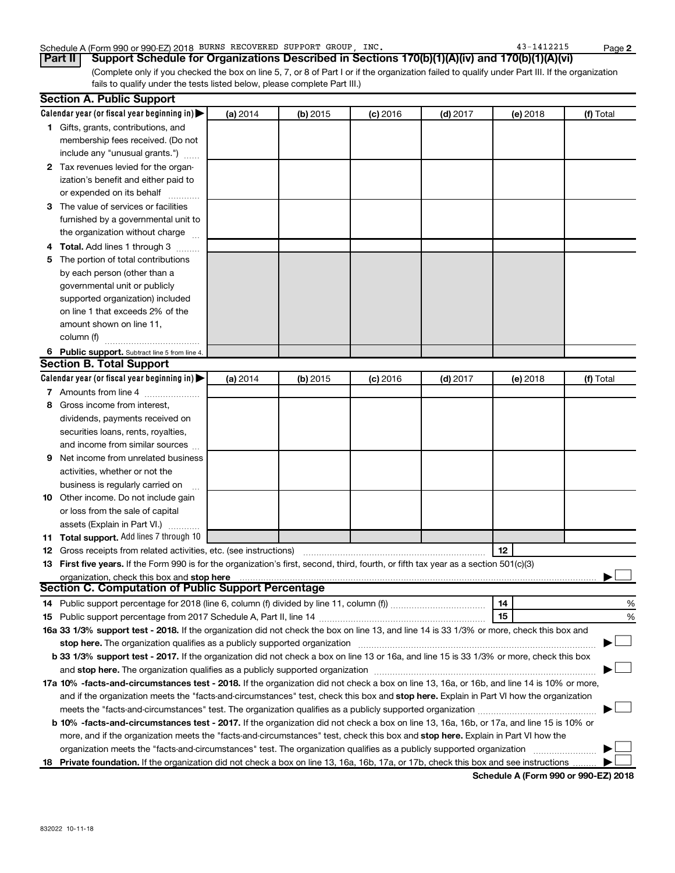#### Schedule A (Form 990 or 990-EZ) 2018 BURNS RECOVERED SUPPORT GROUP, INC. 43-1412215 Page

(Complete only if you checked the box on line 5, 7, or 8 of Part I or if the organization failed to qualify under Part III. If the organization fails to qualify under the tests listed below, please complete Part III.) **Part II Support Schedule for Organizations Described in Sections 170(b)(1)(A)(iv) and 170(b)(1)(A)(vi)**

|    | <b>Section A. Public Support</b>                                                                                                                                                                                              |          |          |            |            |          |           |
|----|-------------------------------------------------------------------------------------------------------------------------------------------------------------------------------------------------------------------------------|----------|----------|------------|------------|----------|-----------|
|    | Calendar year (or fiscal year beginning in)                                                                                                                                                                                   | (a) 2014 | (b) 2015 | $(c)$ 2016 | $(d)$ 2017 | (e) 2018 | (f) Total |
|    | 1 Gifts, grants, contributions, and                                                                                                                                                                                           |          |          |            |            |          |           |
|    | membership fees received. (Do not                                                                                                                                                                                             |          |          |            |            |          |           |
|    | include any "unusual grants.")                                                                                                                                                                                                |          |          |            |            |          |           |
|    | 2 Tax revenues levied for the organ-                                                                                                                                                                                          |          |          |            |            |          |           |
|    | ization's benefit and either paid to                                                                                                                                                                                          |          |          |            |            |          |           |
|    | or expended on its behalf                                                                                                                                                                                                     |          |          |            |            |          |           |
|    | 3 The value of services or facilities                                                                                                                                                                                         |          |          |            |            |          |           |
|    | furnished by a governmental unit to                                                                                                                                                                                           |          |          |            |            |          |           |
|    | the organization without charge                                                                                                                                                                                               |          |          |            |            |          |           |
|    | 4 Total. Add lines 1 through 3                                                                                                                                                                                                |          |          |            |            |          |           |
| 5. | The portion of total contributions                                                                                                                                                                                            |          |          |            |            |          |           |
|    | by each person (other than a                                                                                                                                                                                                  |          |          |            |            |          |           |
|    | governmental unit or publicly                                                                                                                                                                                                 |          |          |            |            |          |           |
|    | supported organization) included                                                                                                                                                                                              |          |          |            |            |          |           |
|    | on line 1 that exceeds 2% of the                                                                                                                                                                                              |          |          |            |            |          |           |
|    | amount shown on line 11,                                                                                                                                                                                                      |          |          |            |            |          |           |
|    | column (f)                                                                                                                                                                                                                    |          |          |            |            |          |           |
|    | 6 Public support. Subtract line 5 from line 4.                                                                                                                                                                                |          |          |            |            |          |           |
|    | <b>Section B. Total Support</b>                                                                                                                                                                                               |          |          |            |            |          |           |
|    | Calendar year (or fiscal year beginning in)                                                                                                                                                                                   | (a) 2014 | (b) 2015 | $(c)$ 2016 | $(d)$ 2017 | (e) 2018 | (f) Total |
|    | 7 Amounts from line 4                                                                                                                                                                                                         |          |          |            |            |          |           |
| 8  | Gross income from interest,                                                                                                                                                                                                   |          |          |            |            |          |           |
|    | dividends, payments received on                                                                                                                                                                                               |          |          |            |            |          |           |
|    | securities loans, rents, royalties,                                                                                                                                                                                           |          |          |            |            |          |           |
|    | and income from similar sources                                                                                                                                                                                               |          |          |            |            |          |           |
| 9. | Net income from unrelated business                                                                                                                                                                                            |          |          |            |            |          |           |
|    | activities, whether or not the                                                                                                                                                                                                |          |          |            |            |          |           |
|    | business is regularly carried on                                                                                                                                                                                              |          |          |            |            |          |           |
|    | 10 Other income. Do not include gain                                                                                                                                                                                          |          |          |            |            |          |           |
|    | or loss from the sale of capital                                                                                                                                                                                              |          |          |            |            |          |           |
|    | assets (Explain in Part VI.)                                                                                                                                                                                                  |          |          |            |            |          |           |
|    | 11 Total support. Add lines 7 through 10                                                                                                                                                                                      |          |          |            |            |          |           |
|    | <b>12</b> Gross receipts from related activities, etc. (see instructions)                                                                                                                                                     |          |          |            |            | 12       |           |
|    | 13 First five years. If the Form 990 is for the organization's first, second, third, fourth, or fifth tax year as a section 501(c)(3)                                                                                         |          |          |            |            |          |           |
|    | organization, check this box and stop here                                                                                                                                                                                    |          |          |            |            |          |           |
|    | <b>Section C. Computation of Public Support Percentage</b>                                                                                                                                                                    |          |          |            |            |          |           |
|    |                                                                                                                                                                                                                               |          |          |            |            | 14       | %         |
|    |                                                                                                                                                                                                                               |          |          |            |            | 15       | %         |
|    | 16a 33 1/3% support test - 2018. If the organization did not check the box on line 13, and line 14 is 33 1/3% or more, check this box and                                                                                     |          |          |            |            |          |           |
|    | stop here. The organization qualifies as a publicly supported organization manufaction manufacture or the organization manufacture or the organization manufacture or the organization of the state of the state of the state |          |          |            |            |          |           |
|    | b 33 1/3% support test - 2017. If the organization did not check a box on line 13 or 16a, and line 15 is 33 1/3% or more, check this box                                                                                      |          |          |            |            |          |           |
|    |                                                                                                                                                                                                                               |          |          |            |            |          |           |
|    | 17a 10% -facts-and-circumstances test - 2018. If the organization did not check a box on line 13, 16a, or 16b, and line 14 is 10% or more,                                                                                    |          |          |            |            |          |           |
|    | and if the organization meets the "facts-and-circumstances" test, check this box and stop here. Explain in Part VI how the organization                                                                                       |          |          |            |            |          |           |
|    |                                                                                                                                                                                                                               |          |          |            |            |          |           |
|    | b 10% -facts-and-circumstances test - 2017. If the organization did not check a box on line 13, 16a, 16b, or 17a, and line 15 is 10% or                                                                                       |          |          |            |            |          |           |
|    | more, and if the organization meets the "facts-and-circumstances" test, check this box and stop here. Explain in Part VI how the                                                                                              |          |          |            |            |          |           |
|    | organization meets the "facts-and-circumstances" test. The organization qualifies as a publicly supported organization                                                                                                        |          |          |            |            |          |           |
|    | 18 Private foundation. If the organization did not check a box on line 13, 16a, 16b, 17a, or 17b, check this box and see instructions                                                                                         |          |          |            |            |          |           |
|    |                                                                                                                                                                                                                               |          |          |            |            |          |           |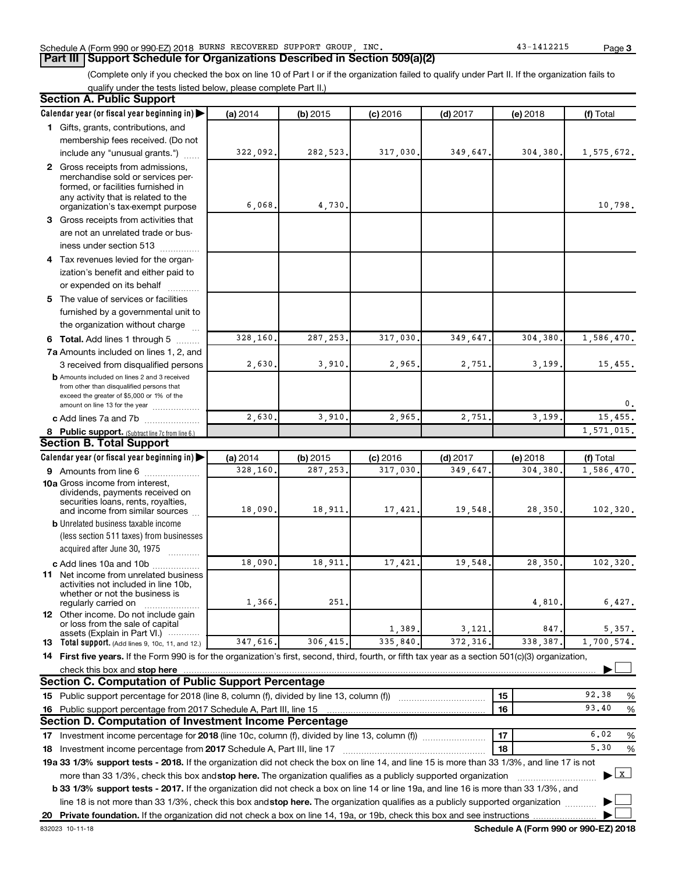#### Schedule A (Form 990 or 990-EZ) 2018 BURNS RECOVERED SUPPORT GROUP, INC. 43-1412215 Page

#### **Part III Support Schedule for Organizations Described in Section 509(a)(2)**

(Complete only if you checked the box on line 10 of Part I or if the organization failed to qualify under Part II. If the organization fails to qualify under the tests listed below, please complete Part II.)

| <b>Section A. Public Support</b>                                                                                                                    |                     |                       |                       |                       |                     |                                           |
|-----------------------------------------------------------------------------------------------------------------------------------------------------|---------------------|-----------------------|-----------------------|-----------------------|---------------------|-------------------------------------------|
| Calendar year (or fiscal year beginning in)                                                                                                         | (a) 2014            | $(b)$ 2015            | $(c)$ 2016            | $(d)$ 2017            | (e) 2018            | (f) Total                                 |
| 1 Gifts, grants, contributions, and                                                                                                                 |                     |                       |                       |                       |                     |                                           |
| membership fees received. (Do not                                                                                                                   |                     |                       |                       |                       |                     |                                           |
| include any "unusual grants.")                                                                                                                      | 322,092.            | 282,523               | 317,030.              | 349,647.              | 304,380.            | 1,575,672.                                |
| 2 Gross receipts from admissions,                                                                                                                   |                     |                       |                       |                       |                     |                                           |
| merchandise sold or services per-                                                                                                                   |                     |                       |                       |                       |                     |                                           |
| formed, or facilities furnished in                                                                                                                  |                     |                       |                       |                       |                     |                                           |
| any activity that is related to the<br>organization's tax-exempt purpose                                                                            | 6,068               | 4,730                 |                       |                       |                     | 10,798.                                   |
| 3 Gross receipts from activities that                                                                                                               |                     |                       |                       |                       |                     |                                           |
| are not an unrelated trade or bus-                                                                                                                  |                     |                       |                       |                       |                     |                                           |
| iness under section 513                                                                                                                             |                     |                       |                       |                       |                     |                                           |
| 4 Tax revenues levied for the organ-                                                                                                                |                     |                       |                       |                       |                     |                                           |
| ization's benefit and either paid to                                                                                                                |                     |                       |                       |                       |                     |                                           |
| or expended on its behalf                                                                                                                           |                     |                       |                       |                       |                     |                                           |
| 5 The value of services or facilities                                                                                                               |                     |                       |                       |                       |                     |                                           |
| furnished by a governmental unit to                                                                                                                 |                     |                       |                       |                       |                     |                                           |
| the organization without charge                                                                                                                     |                     |                       |                       |                       |                     |                                           |
| <b>6 Total.</b> Add lines 1 through 5                                                                                                               | 328,160             | 287,253               | 317,030               | 349,647               | 304,380             | 1,586,470.                                |
| 7a Amounts included on lines 1, 2, and                                                                                                              |                     |                       |                       |                       |                     |                                           |
| 3 received from disqualified persons                                                                                                                | 2,630               | 3,910                 | 2,965                 | 2,751                 | 3,199.              | 15,455.                                   |
| <b>b</b> Amounts included on lines 2 and 3 received                                                                                                 |                     |                       |                       |                       |                     |                                           |
| from other than disqualified persons that                                                                                                           |                     |                       |                       |                       |                     |                                           |
| exceed the greater of \$5,000 or 1% of the                                                                                                          |                     |                       |                       |                       |                     | 0.                                        |
| amount on line 13 for the year                                                                                                                      | 2,630               | 3,910                 | 2,965                 | 2,751                 | 3,199               | 15,455.                                   |
| c Add lines 7a and 7b                                                                                                                               |                     |                       |                       |                       |                     | 1,571,015.                                |
| 8 Public support. (Subtract line 7c from line 6.)<br><b>Section B. Total Support</b>                                                                |                     |                       |                       |                       |                     |                                           |
|                                                                                                                                                     |                     |                       |                       |                       |                     |                                           |
| Calendar year (or fiscal year beginning in)                                                                                                         | (a) 2014<br>328,160 | $(b)$ 2015<br>287,253 | $(c)$ 2016<br>317,030 | $(d)$ 2017<br>349,647 | (e) 2018<br>304,380 | (f) Total<br>1,586,470.                   |
| 9 Amounts from line 6<br><b>10a</b> Gross income from interest,                                                                                     |                     |                       |                       |                       |                     |                                           |
| dividends, payments received on                                                                                                                     |                     |                       |                       |                       |                     |                                           |
| securities loans, rents, royalties,                                                                                                                 |                     |                       |                       |                       |                     |                                           |
| and income from similar sources                                                                                                                     | 18,090              | 18,911                | 17,421.               | 19,548                | 28,350.             | 102, 320.                                 |
| <b>b</b> Unrelated business taxable income                                                                                                          |                     |                       |                       |                       |                     |                                           |
| (less section 511 taxes) from businesses                                                                                                            |                     |                       |                       |                       |                     |                                           |
| acquired after June 30, 1975                                                                                                                        |                     |                       |                       |                       |                     |                                           |
| c Add lines 10a and 10b<br>11 Net income from unrelated business                                                                                    | 18,090              | 18,911                | 17,421                | 19,548                | 28,350              | 102,320.                                  |
| activities not included in line 10b.                                                                                                                |                     |                       |                       |                       |                     |                                           |
| whether or not the business is                                                                                                                      |                     |                       |                       |                       |                     |                                           |
| regularly carried on                                                                                                                                | 1,366               | 251                   |                       |                       | 4,810               | 6,427.                                    |
| 12 Other income. Do not include gain<br>or loss from the sale of capital                                                                            |                     |                       |                       |                       |                     |                                           |
| assets (Explain in Part VI.)                                                                                                                        |                     |                       | 1,389.                | 3,121                 | 847                 | 5,357.                                    |
| <b>13</b> Total support. (Add lines 9, 10c, 11, and 12.)                                                                                            | 347,616             | 306,415               | 335,840               | 372,316               | 338,387             | 1,700,574.                                |
| 14 First five years. If the Form 990 is for the organization's first, second, third, fourth, or fifth tax year as a section 501(c)(3) organization, |                     |                       |                       |                       |                     |                                           |
| check this box and stop here                                                                                                                        |                     |                       |                       |                       |                     |                                           |
| <b>Section C. Computation of Public Support Percentage</b>                                                                                          |                     |                       |                       |                       |                     |                                           |
| 15 Public support percentage for 2018 (line 8, column (f), divided by line 13, column (f))                                                          |                     |                       |                       |                       | 15                  | 92.38<br>%                                |
| 16 Public support percentage from 2017 Schedule A, Part III, line 15                                                                                |                     |                       |                       |                       | 16                  | 93.40<br>$\%$                             |
| <b>Section D. Computation of Investment Income Percentage</b>                                                                                       |                     |                       |                       |                       |                     |                                           |
|                                                                                                                                                     |                     |                       |                       |                       | 17                  | 6.02<br>%                                 |
| 18 Investment income percentage from 2017 Schedule A, Part III, line 17                                                                             |                     |                       |                       |                       | 18                  | 5,30<br>%                                 |
| 19a 33 1/3% support tests - 2018. If the organization did not check the box on line 14, and line 15 is more than 33 1/3%, and line 17 is not        |                     |                       |                       |                       |                     |                                           |
| more than 33 1/3%, check this box and stop here. The organization qualifies as a publicly supported organization                                    |                     |                       |                       |                       |                     | $\blacktriangleright$ $\lfloor x \rfloor$ |
| <b>b 33 1/3% support tests - 2017.</b> If the organization did not check a box on line 14 or line 19a, and line 16 is more than 33 1/3%, and        |                     |                       |                       |                       |                     |                                           |
| line 18 is not more than 33 1/3%, check this box and stop here. The organization qualifies as a publicly supported organization                     |                     |                       |                       |                       |                     |                                           |
| 20 Private foundation. If the organization did not check a box on line 14, 19a, or 19b, check this box and see instructions                         |                     |                       |                       |                       |                     |                                           |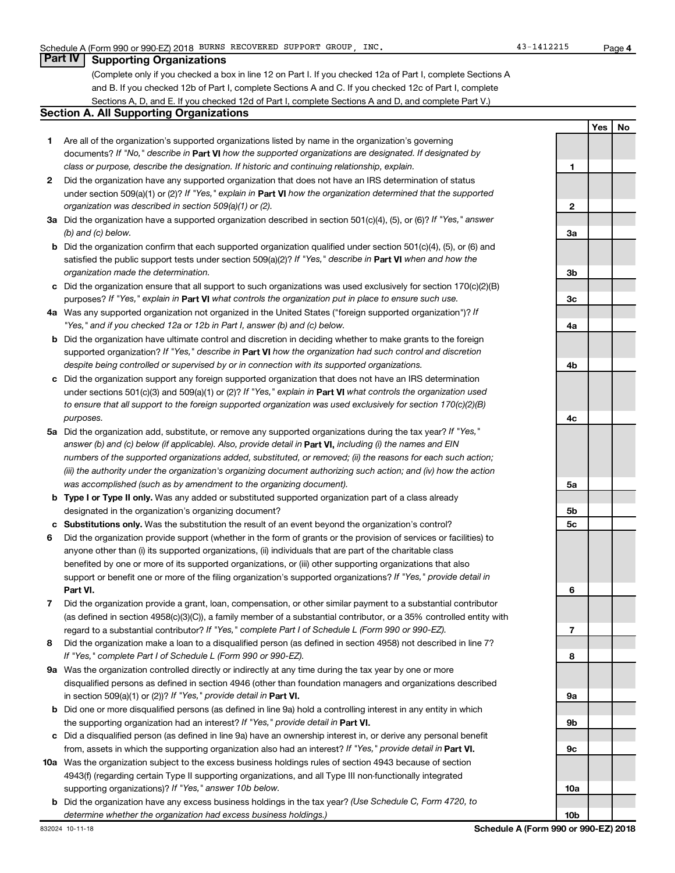**4**

**Yes No**

#### **Part IV Supporting Organizations**

(Complete only if you checked a box in line 12 on Part I. If you checked 12a of Part I, complete Sections A and B. If you checked 12b of Part I, complete Sections A and C. If you checked 12c of Part I, complete Sections A, D, and E. If you checked 12d of Part I, complete Sections A and D, and complete Part V.)

#### **Section A. All Supporting Organizations**

- **1** Are all of the organization's supported organizations listed by name in the organization's governing documents? If "No," describe in Part VI how the supported organizations are designated. If designated by *class or purpose, describe the designation. If historic and continuing relationship, explain.*
- **2** Did the organization have any supported organization that does not have an IRS determination of status under section 509(a)(1) or (2)? If "Yes," explain in Part **VI** how the organization determined that the supported *organization was described in section 509(a)(1) or (2).*
- **3a** Did the organization have a supported organization described in section 501(c)(4), (5), or (6)? If "Yes," answer *(b) and (c) below.*
- **b** Did the organization confirm that each supported organization qualified under section 501(c)(4), (5), or (6) and satisfied the public support tests under section 509(a)(2)? If "Yes," describe in Part VI when and how the *organization made the determination.*
- **c** Did the organization ensure that all support to such organizations was used exclusively for section 170(c)(2)(B) purposes? If "Yes," explain in Part VI what controls the organization put in place to ensure such use.
- **4 a** *If* Was any supported organization not organized in the United States ("foreign supported organization")? *"Yes," and if you checked 12a or 12b in Part I, answer (b) and (c) below.*
- **b** Did the organization have ultimate control and discretion in deciding whether to make grants to the foreign supported organization? If "Yes," describe in Part VI how the organization had such control and discretion *despite being controlled or supervised by or in connection with its supported organizations.*
- **c** Did the organization support any foreign supported organization that does not have an IRS determination under sections 501(c)(3) and 509(a)(1) or (2)? If "Yes," explain in Part VI what controls the organization used *to ensure that all support to the foreign supported organization was used exclusively for section 170(c)(2)(B) purposes.*
- **5a** Did the organization add, substitute, or remove any supported organizations during the tax year? If "Yes," answer (b) and (c) below (if applicable). Also, provide detail in **Part VI,** including (i) the names and EIN *numbers of the supported organizations added, substituted, or removed; (ii) the reasons for each such action; (iii) the authority under the organization's organizing document authorizing such action; and (iv) how the action was accomplished (such as by amendment to the organizing document).*
- **b** Type I or Type II only. Was any added or substituted supported organization part of a class already designated in the organization's organizing document?
- **c Substitutions only.**  Was the substitution the result of an event beyond the organization's control?
- **6** Did the organization provide support (whether in the form of grants or the provision of services or facilities) to **Part VI.** support or benefit one or more of the filing organization's supported organizations? If "Yes," provide detail in anyone other than (i) its supported organizations, (ii) individuals that are part of the charitable class benefited by one or more of its supported organizations, or (iii) other supporting organizations that also
- **7** Did the organization provide a grant, loan, compensation, or other similar payment to a substantial contributor regard to a substantial contributor? If "Yes," complete Part I of Schedule L (Form 990 or 990-EZ). (as defined in section 4958(c)(3)(C)), a family member of a substantial contributor, or a 35% controlled entity with
- **8** Did the organization make a loan to a disqualified person (as defined in section 4958) not described in line 7? *If "Yes," complete Part I of Schedule L (Form 990 or 990-EZ).*
- **9 a** Was the organization controlled directly or indirectly at any time during the tax year by one or more in section 509(a)(1) or (2))? If "Yes," provide detail in **Part VI.** disqualified persons as defined in section 4946 (other than foundation managers and organizations described
- **b** Did one or more disqualified persons (as defined in line 9a) hold a controlling interest in any entity in which the supporting organization had an interest? If "Yes," provide detail in Part VI.
- **c** Did a disqualified person (as defined in line 9a) have an ownership interest in, or derive any personal benefit from, assets in which the supporting organization also had an interest? If "Yes," provide detail in Part VI.
- **10 a** Was the organization subject to the excess business holdings rules of section 4943 because of section supporting organizations)? If "Yes," answer 10b below. 4943(f) (regarding certain Type II supporting organizations, and all Type III non-functionally integrated
	- **b** Did the organization have any excess business holdings in the tax year? (Use Schedule C, Form 4720, to *determine whether the organization had excess business holdings.)*

**1 2 3a 3b 3c 4a 4b 4c 5a 5b 5c 6 7 8 9a 9b 9c 10a**

**10b**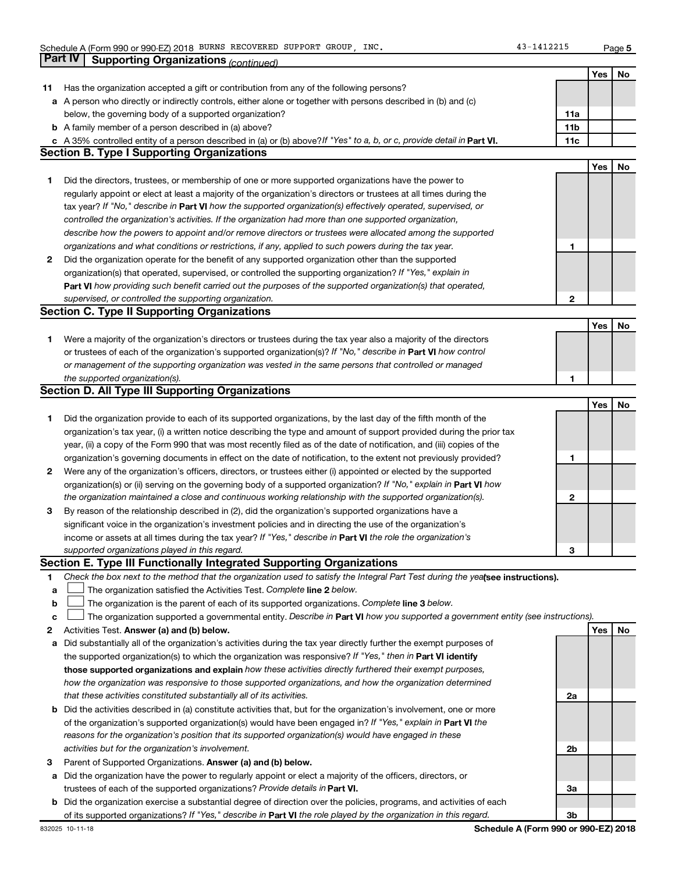**5**

|    | Part IV<br><b>Supporting Organizations (continued)</b>                                                                          |                 |     |    |
|----|---------------------------------------------------------------------------------------------------------------------------------|-----------------|-----|----|
|    |                                                                                                                                 |                 | Yes | No |
| 11 | Has the organization accepted a gift or contribution from any of the following persons?                                         |                 |     |    |
|    | a A person who directly or indirectly controls, either alone or together with persons described in (b) and (c)                  |                 |     |    |
|    | below, the governing body of a supported organization?                                                                          | 11a             |     |    |
|    | <b>b</b> A family member of a person described in (a) above?                                                                    | 11 <sub>b</sub> |     |    |
|    | c A 35% controlled entity of a person described in (a) or (b) above? If "Yes" to a, b, or c, provide detail in Part VI.         | 11c             |     |    |
|    | <b>Section B. Type I Supporting Organizations</b>                                                                               |                 |     |    |
|    |                                                                                                                                 |                 | Yes | No |
| 1. | Did the directors, trustees, or membership of one or more supported organizations have the power to                             |                 |     |    |
|    | regularly appoint or elect at least a majority of the organization's directors or trustees at all times during the              |                 |     |    |
|    | tax year? If "No," describe in Part VI how the supported organization(s) effectively operated, supervised, or                   |                 |     |    |
|    | controlled the organization's activities. If the organization had more than one supported organization,                         |                 |     |    |
|    |                                                                                                                                 |                 |     |    |
|    | describe how the powers to appoint and/or remove directors or trustees were allocated among the supported                       |                 |     |    |
|    | organizations and what conditions or restrictions, if any, applied to such powers during the tax year.                          | 1               |     |    |
| 2  | Did the organization operate for the benefit of any supported organization other than the supported                             |                 |     |    |
|    | organization(s) that operated, supervised, or controlled the supporting organization? If "Yes," explain in                      |                 |     |    |
|    | Part VI how providing such benefit carried out the purposes of the supported organization(s) that operated,                     |                 |     |    |
|    | supervised, or controlled the supporting organization.                                                                          | $\mathbf{2}$    |     |    |
|    | <b>Section C. Type II Supporting Organizations</b>                                                                              |                 |     |    |
|    |                                                                                                                                 |                 | Yes | No |
| 1. | Were a majority of the organization's directors or trustees during the tax year also a majority of the directors                |                 |     |    |
|    | or trustees of each of the organization's supported organization(s)? If "No," describe in Part VI how control                   |                 |     |    |
|    | or management of the supporting organization was vested in the same persons that controlled or managed                          |                 |     |    |
|    | the supported organization(s).                                                                                                  | 1               |     |    |
|    | <b>Section D. All Type III Supporting Organizations</b>                                                                         |                 |     |    |
|    |                                                                                                                                 |                 | Yes | No |
| 1. | Did the organization provide to each of its supported organizations, by the last day of the fifth month of the                  |                 |     |    |
|    | organization's tax year, (i) a written notice describing the type and amount of support provided during the prior tax           |                 |     |    |
|    | year, (ii) a copy of the Form 990 that was most recently filed as of the date of notification, and (iii) copies of the          |                 |     |    |
|    | organization's governing documents in effect on the date of notification, to the extent not previously provided?                | 1               |     |    |
| 2  | Were any of the organization's officers, directors, or trustees either (i) appointed or elected by the supported                |                 |     |    |
|    | organization(s) or (ii) serving on the governing body of a supported organization? If "No," explain in Part VI how              |                 |     |    |
|    | the organization maintained a close and continuous working relationship with the supported organization(s).                     | 2               |     |    |
| 3  | By reason of the relationship described in (2), did the organization's supported organizations have a                           |                 |     |    |
|    | significant voice in the organization's investment policies and in directing the use of the organization's                      |                 |     |    |
|    | income or assets at all times during the tax year? If "Yes," describe in Part VI the role the organization's                    |                 |     |    |
|    | supported organizations played in this regard.                                                                                  | з               |     |    |
|    | Section E. Type III Functionally Integrated Supporting Organizations                                                            |                 |     |    |
| 1  | Check the box next to the method that the organization used to satisfy the Integral Part Test during the yealsee instructions). |                 |     |    |
| а  | The organization satisfied the Activities Test. Complete line 2 below.                                                          |                 |     |    |
| b  | The organization is the parent of each of its supported organizations. Complete line 3 below.                                   |                 |     |    |
| с  | The organization supported a governmental entity. Describe in Part VI how you supported a government entity (see instructions). |                 |     |    |
| 2  | Activities Test. Answer (a) and (b) below.                                                                                      |                 | Yes | No |
| а  | Did substantially all of the organization's activities during the tax year directly further the exempt purposes of              |                 |     |    |
|    | the supported organization(s) to which the organization was responsive? If "Yes," then in Part VI identify                      |                 |     |    |
|    | those supported organizations and explain how these activities directly furthered their exempt purposes,                        |                 |     |    |
|    | how the organization was responsive to those supported organizations, and how the organization determined                       |                 |     |    |
|    | that these activities constituted substantially all of its activities.                                                          | 2a              |     |    |
| b  | Did the activities described in (a) constitute activities that, but for the organization's involvement, one or more             |                 |     |    |
|    | of the organization's supported organization(s) would have been engaged in? If "Yes," explain in Part VI the                    |                 |     |    |
|    | reasons for the organization's position that its supported organization(s) would have engaged in these                          |                 |     |    |
|    | activities but for the organization's involvement.                                                                              | 2b              |     |    |
| 3  | Parent of Supported Organizations. Answer (a) and (b) below.                                                                    |                 |     |    |
| а  | Did the organization have the power to regularly appoint or elect a majority of the officers, directors, or                     |                 |     |    |
|    | trustees of each of the supported organizations? Provide details in Part VI.                                                    | За              |     |    |
|    | <b>b</b> Did the organization exercise a substantial degree of direction over the policies, programs, and activities of each    |                 |     |    |
|    | of its supported organizations? If "Yes," describe in Part VI the role played by the organization in this regard.               | Зb              |     |    |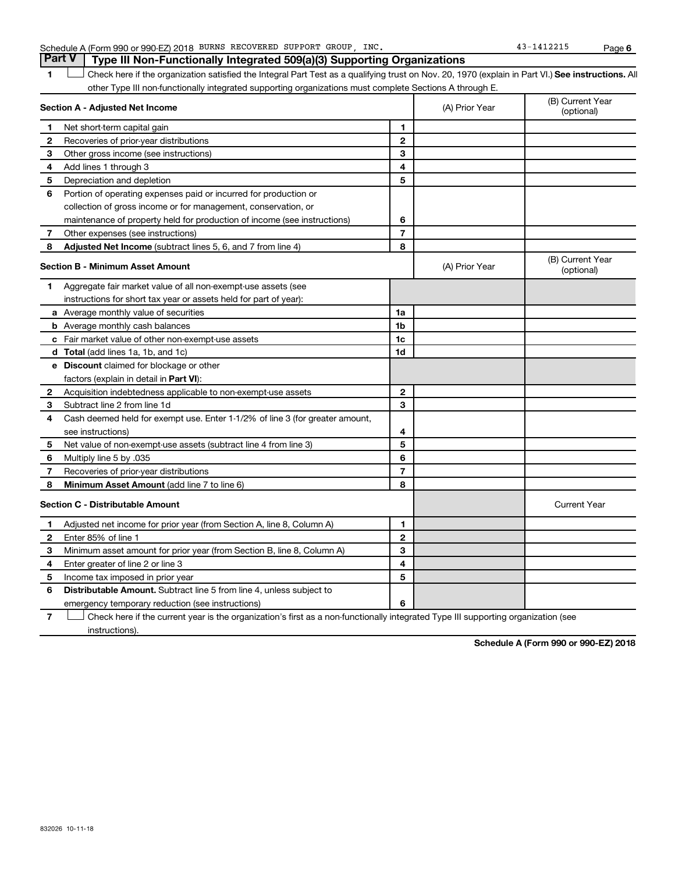|  |  |  |                                                                          |  | <b>Part V</b> Type III Non-Functionally Integrated 509(a)(3) Supporting Organizations |
|--|--|--|--------------------------------------------------------------------------|--|---------------------------------------------------------------------------------------|
|  |  |  | Schedule A (Form 990 or 990-EZ) 2018 BURNS RECOVERED SUPPORT GROUP, INC. |  |                                                                                       |

**1 Letter or if the organization satisfied the Integral Part Test as a qualifying trust on Nov. 20, 1970 (explain in Part VI.) See instructions. All** other Type III non-functionally integrated supporting organizations must complete Sections A through E.  $\Box$ 

|              | Section A - Adjusted Net Income                                              |                | (A) Prior Year | (B) Current Year<br>(optional) |
|--------------|------------------------------------------------------------------------------|----------------|----------------|--------------------------------|
| 1            | Net short-term capital gain                                                  | 1              |                |                                |
| 2            | Recoveries of prior-year distributions                                       | $\mathbf{2}$   |                |                                |
| 3            | Other gross income (see instructions)                                        | 3              |                |                                |
| 4            | Add lines 1 through 3                                                        | 4              |                |                                |
| 5            | Depreciation and depletion                                                   | 5              |                |                                |
| 6            | Portion of operating expenses paid or incurred for production or             |                |                |                                |
|              | collection of gross income or for management, conservation, or               |                |                |                                |
|              | maintenance of property held for production of income (see instructions)     | 6              |                |                                |
| 7            | Other expenses (see instructions)                                            | $\overline{7}$ |                |                                |
| 8            | <b>Adjusted Net Income</b> (subtract lines 5, 6, and 7 from line 4)          | 8              |                |                                |
|              | <b>Section B - Minimum Asset Amount</b>                                      |                | (A) Prior Year | (B) Current Year<br>(optional) |
| 1            | Aggregate fair market value of all non-exempt-use assets (see                |                |                |                                |
|              | instructions for short tax year or assets held for part of year):            |                |                |                                |
|              | a Average monthly value of securities                                        | 1a             |                |                                |
|              | <b>b</b> Average monthly cash balances                                       | 1 <sub>b</sub> |                |                                |
|              | <b>c</b> Fair market value of other non-exempt-use assets                    | 1c             |                |                                |
|              | d Total (add lines 1a, 1b, and 1c)                                           | 1d             |                |                                |
|              | <b>e</b> Discount claimed for blockage or other                              |                |                |                                |
|              | factors (explain in detail in Part VI):                                      |                |                |                                |
| $\mathbf{2}$ | Acquisition indebtedness applicable to non-exempt-use assets                 | $\mathbf{2}$   |                |                                |
| З            | Subtract line 2 from line 1d                                                 | 3              |                |                                |
| 4            | Cash deemed held for exempt use. Enter 1-1/2% of line 3 (for greater amount, |                |                |                                |
|              | see instructions)                                                            | 4              |                |                                |
| 5            | Net value of non-exempt-use assets (subtract line 4 from line 3)             | 5              |                |                                |
| 6            | Multiply line 5 by .035                                                      | 6              |                |                                |
| 7            | Recoveries of prior-year distributions                                       | 7              |                |                                |
| 8            | Minimum Asset Amount (add line 7 to line 6)                                  | 8              |                |                                |
|              | <b>Section C - Distributable Amount</b>                                      |                |                | <b>Current Year</b>            |
| 1            | Adjusted net income for prior year (from Section A, line 8, Column A)        | 1              |                |                                |
| 2            | Enter 85% of line 1                                                          | $\overline{2}$ |                |                                |
| з            | Minimum asset amount for prior year (from Section B, line 8, Column A)       | 3              |                |                                |
| 4            | Enter greater of line 2 or line 3                                            | 4              |                |                                |
| 5            | Income tax imposed in prior year                                             | 5              |                |                                |
| 6            | Distributable Amount. Subtract line 5 from line 4, unless subject to         |                |                |                                |
|              | emergency temporary reduction (see instructions)                             | 6              |                |                                |
|              |                                                                              |                |                |                                |

**7** Check here if the current year is the organization's first as a non-functionally integrated Type III supporting organization (see † instructions).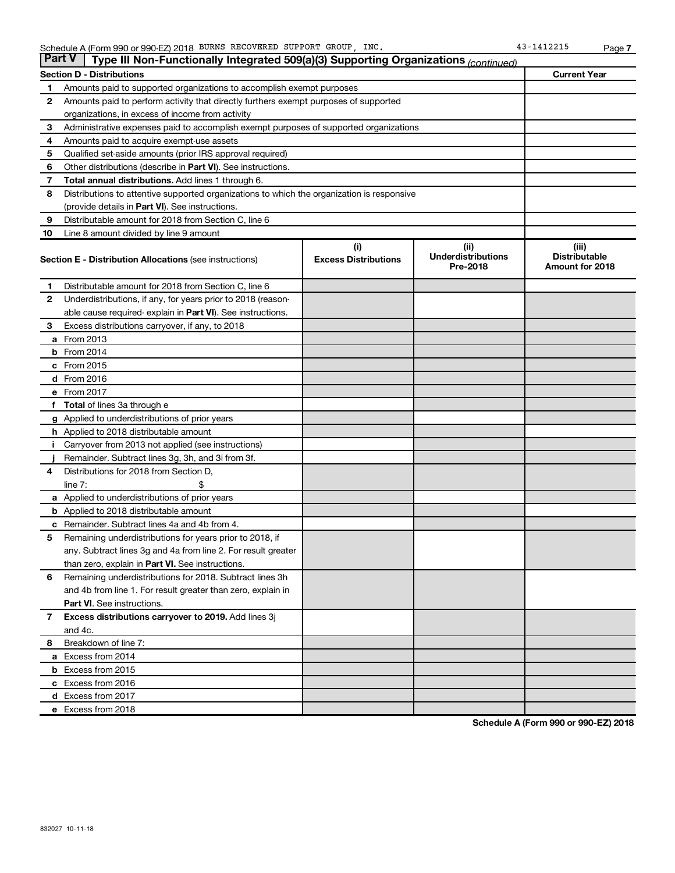| <b>Part V</b> | Type III Non-Functionally Integrated 509(a)(3) Supporting Organizations (continued)        |                             |                                       |                                         |
|---------------|--------------------------------------------------------------------------------------------|-----------------------------|---------------------------------------|-----------------------------------------|
|               | <b>Section D - Distributions</b>                                                           | <b>Current Year</b>         |                                       |                                         |
| 1             | Amounts paid to supported organizations to accomplish exempt purposes                      |                             |                                       |                                         |
| 2             | Amounts paid to perform activity that directly furthers exempt purposes of supported       |                             |                                       |                                         |
|               | organizations, in excess of income from activity                                           |                             |                                       |                                         |
| 3             | Administrative expenses paid to accomplish exempt purposes of supported organizations      |                             |                                       |                                         |
| 4             | Amounts paid to acquire exempt-use assets                                                  |                             |                                       |                                         |
| 5             | Qualified set-aside amounts (prior IRS approval required)                                  |                             |                                       |                                         |
| 6             | Other distributions (describe in <b>Part VI</b> ). See instructions.                       |                             |                                       |                                         |
| 7             | Total annual distributions. Add lines 1 through 6.                                         |                             |                                       |                                         |
| 8             | Distributions to attentive supported organizations to which the organization is responsive |                             |                                       |                                         |
|               | (provide details in <b>Part VI</b> ). See instructions.                                    |                             |                                       |                                         |
| 9             | Distributable amount for 2018 from Section C, line 6                                       |                             |                                       |                                         |
| 10            | Line 8 amount divided by line 9 amount                                                     |                             |                                       |                                         |
|               |                                                                                            | (i)                         | (ii)                                  | (iii)                                   |
|               | <b>Section E - Distribution Allocations (see instructions)</b>                             | <b>Excess Distributions</b> | <b>Underdistributions</b><br>Pre-2018 | <b>Distributable</b><br>Amount for 2018 |
| 1             | Distributable amount for 2018 from Section C, line 6                                       |                             |                                       |                                         |
| $\mathbf{2}$  | Underdistributions, if any, for years prior to 2018 (reason-                               |                             |                                       |                                         |
|               | able cause required-explain in Part VI). See instructions.                                 |                             |                                       |                                         |
| 3             | Excess distributions carryover, if any, to 2018                                            |                             |                                       |                                         |
|               | a From 2013                                                                                |                             |                                       |                                         |
|               | $b$ From 2014                                                                              |                             |                                       |                                         |
|               | c From 2015                                                                                |                             |                                       |                                         |
|               | d From 2016                                                                                |                             |                                       |                                         |
|               | e From 2017                                                                                |                             |                                       |                                         |
|               | <b>Total</b> of lines 3a through e                                                         |                             |                                       |                                         |
|               | <b>g</b> Applied to underdistributions of prior years                                      |                             |                                       |                                         |
|               | <b>h</b> Applied to 2018 distributable amount                                              |                             |                                       |                                         |
|               | Carryover from 2013 not applied (see instructions)                                         |                             |                                       |                                         |
|               | Remainder. Subtract lines 3g, 3h, and 3i from 3f.                                          |                             |                                       |                                         |
| 4             | Distributions for 2018 from Section D,                                                     |                             |                                       |                                         |
|               | $line 7$ :                                                                                 |                             |                                       |                                         |
|               | <b>a</b> Applied to underdistributions of prior years                                      |                             |                                       |                                         |
|               | <b>b</b> Applied to 2018 distributable amount                                              |                             |                                       |                                         |
| с             | Remainder. Subtract lines 4a and 4b from 4.                                                |                             |                                       |                                         |
| 5             | Remaining underdistributions for years prior to 2018, if                                   |                             |                                       |                                         |
|               | any. Subtract lines 3g and 4a from line 2. For result greater                              |                             |                                       |                                         |
|               | than zero, explain in Part VI. See instructions.                                           |                             |                                       |                                         |
| 6             | Remaining underdistributions for 2018. Subtract lines 3h                                   |                             |                                       |                                         |
|               | and 4b from line 1. For result greater than zero, explain in                               |                             |                                       |                                         |
|               | <b>Part VI.</b> See instructions.                                                          |                             |                                       |                                         |
| 7             | Excess distributions carryover to 2019. Add lines 3j                                       |                             |                                       |                                         |
|               | and 4c.                                                                                    |                             |                                       |                                         |
| 8             | Breakdown of line 7:                                                                       |                             |                                       |                                         |
|               | a Excess from 2014                                                                         |                             |                                       |                                         |
|               | <b>b</b> Excess from 2015                                                                  |                             |                                       |                                         |
|               | c Excess from 2016                                                                         |                             |                                       |                                         |
|               | d Excess from 2017                                                                         |                             |                                       |                                         |
|               | e Excess from 2018                                                                         |                             |                                       |                                         |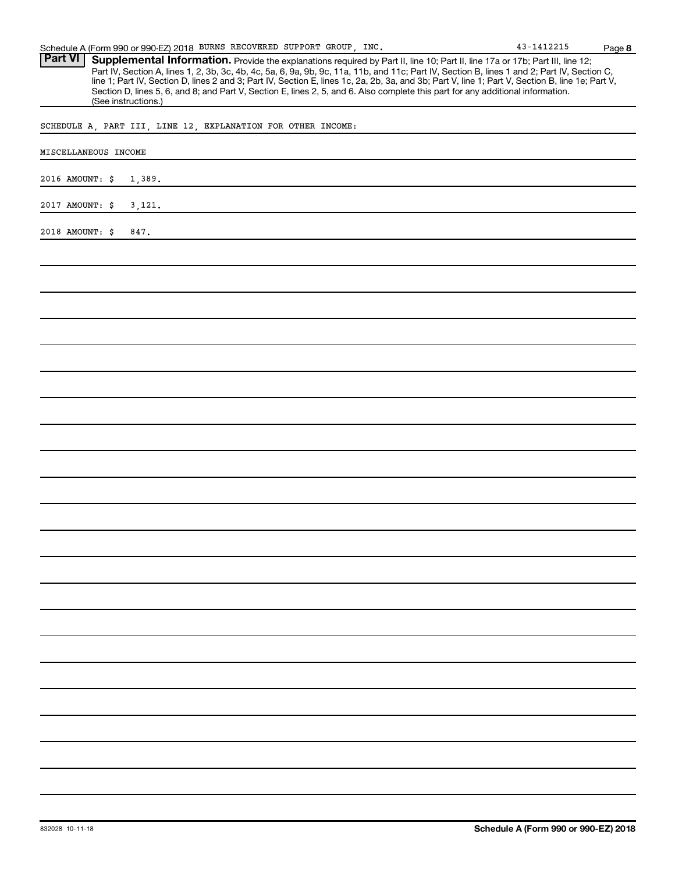Part VI | Supplemental Information. Provide the explanations required by Part II, line 10; Part II, line 17a or 17b; Part III, line 12; Part IV, Section A, lines 1, 2, 3b, 3c, 4b, 4c, 5a, 6, 9a, 9b, 9c, 11a, 11b, and 11c; Part IV, Section B, lines 1 and 2; Part IV, Section C, line 1; Part IV, Section D, lines 2 and 3; Part IV, Section E, lines 1c, 2a, 2b, 3a, and 3b; Part V, line 1; Part V, Section B, line 1e; Part V, Section D, lines 5, 6, and 8; and Part V, Section E, lines 2, 5, and 6. Also complete this part for any additional information. (See instructions.)

SCHEDULE A, PART III, LINE 12, EXPLANATION FOR OTHER INCOME:

| MISCELLANEOUS INCOME      |  |  |  |  |  |
|---------------------------|--|--|--|--|--|
| 2016 AMOUNT: \$<br>1,389. |  |  |  |  |  |
| 2017 AMOUNT: \$<br>3,121. |  |  |  |  |  |
| 2018 AMOUNT: \$<br>847.   |  |  |  |  |  |
|                           |  |  |  |  |  |
|                           |  |  |  |  |  |
|                           |  |  |  |  |  |
|                           |  |  |  |  |  |
|                           |  |  |  |  |  |
|                           |  |  |  |  |  |
|                           |  |  |  |  |  |
|                           |  |  |  |  |  |
|                           |  |  |  |  |  |
|                           |  |  |  |  |  |
|                           |  |  |  |  |  |
|                           |  |  |  |  |  |
|                           |  |  |  |  |  |
|                           |  |  |  |  |  |
|                           |  |  |  |  |  |
|                           |  |  |  |  |  |
|                           |  |  |  |  |  |
|                           |  |  |  |  |  |
|                           |  |  |  |  |  |
|                           |  |  |  |  |  |
|                           |  |  |  |  |  |
|                           |  |  |  |  |  |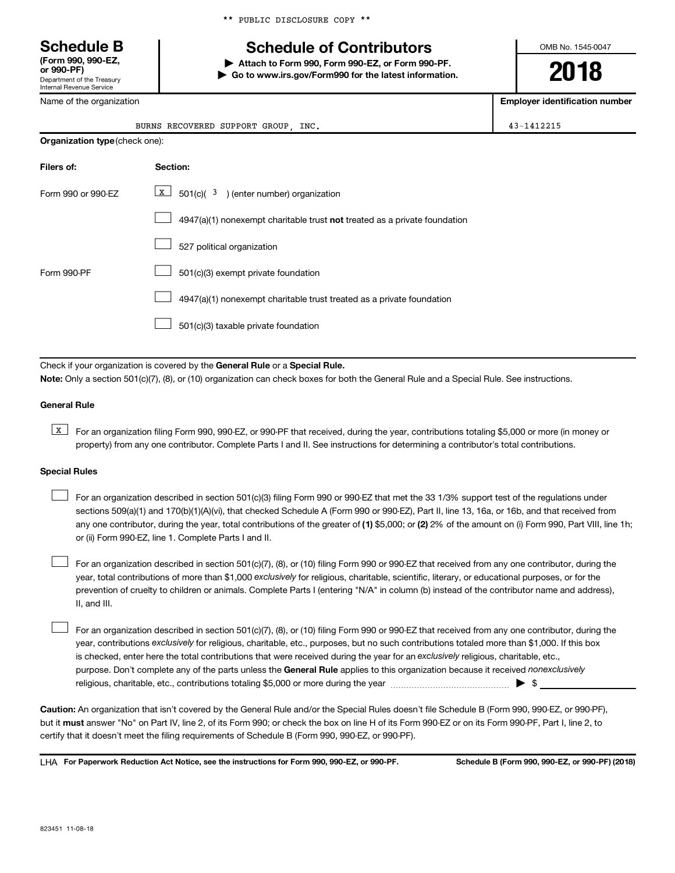\*\* PUBLIC DISCLOSURE COPY \*\*

## **Schedule B Schedule of Contributors**

**or 990-PF) | Attach to Form 990, Form 990-EZ, or Form 990-PF. | Go to www.irs.gov/Form990 for the latest information.** OMB No. 1545-0047

**2018**

**Employer identification number**

| or 990-PF)                                             |  |
|--------------------------------------------------------|--|
| Department of the Treasury<br>Internal Revenue Service |  |
| Name of the organization                               |  |

**(Form 990, 990-EZ,**

|                                       | BURNS RECOVERED SUPPORT GROUP<br>INC.                                     | 43-1412215 |
|---------------------------------------|---------------------------------------------------------------------------|------------|
| <b>Organization type (check one):</b> |                                                                           |            |
| Filers of:                            | Section:                                                                  |            |
| Form 990 or 990-EZ                    | $\boxed{\textbf{x}}$ 501(c)( 3 ) (enter number) organization              |            |
|                                       | 4947(a)(1) nonexempt charitable trust not treated as a private foundation |            |

| 527 political organization |
|----------------------------|
|----------------------------|

Form 990-PF  $\Box$  501(c)(3) exempt private foundation  $\Box$ 

> 4947(a)(1) nonexempt charitable trust treated as a private foundation  $\Box$

501(c)(3) taxable private foundation  $\Box$ 

Check if your organization is covered by the General Rule or a Special Rule.

**Note:**  Only a section 501(c)(7), (8), or (10) organization can check boxes for both the General Rule and a Special Rule. See instructions.

#### **General Rule**

**K** For an organization filing Form 990, 990-EZ, or 990-PF that received, during the year, contributions totaling \$5,000 or more (in money or property) from any one contributor. Complete Parts I and II. See instructions for determining a contributor's total contributions.

#### **Special Rules**

- any one contributor, during the year, total contributions of the greater of (1) \$5,000; or (2) 2% of the amount on (i) Form 990, Part VIII, line 1h; For an organization described in section 501(c)(3) filing Form 990 or 990-EZ that met the 33 1/3% support test of the regulations under sections 509(a)(1) and 170(b)(1)(A)(vi), that checked Schedule A (Form 990 or 990-EZ), Part II, line 13, 16a, or 16b, and that received from or (ii) Form 990-EZ, line 1. Complete Parts I and II.  $\Box$
- year, total contributions of more than \$1,000 *exclusively* for religious, charitable, scientific, literary, or educational purposes, or for the For an organization described in section 501(c)(7), (8), or (10) filing Form 990 or 990-EZ that received from any one contributor, during the prevention of cruelty to children or animals. Complete Parts I (entering "N/A" in column (b) instead of the contributor name and address), II, and III.  $\Box$

purpose. Don't complete any of the parts unless the General Rule applies to this organization because it received nonexclusively year, contributions exclusively for religious, charitable, etc., purposes, but no such contributions totaled more than \$1,000. If this box is checked, enter here the total contributions that were received during the year for an exclusively religious, charitable, etc., For an organization described in section 501(c)(7), (8), or (10) filing Form 990 or 990-EZ that received from any one contributor, during the religious, charitable, etc., contributions totaling \$5,000 or more during the year  $~\ldots\ldots\ldots\ldots\ldots\ldots\ldots\ldots\ldots\blacktriangleright~$ \$  $\Box$ 

**Caution:**  An organization that isn't covered by the General Rule and/or the Special Rules doesn't file Schedule B (Form 990, 990-EZ, or 990-PF),  **must** but it answer "No" on Part IV, line 2, of its Form 990; or check the box on line H of its Form 990-EZ or on its Form 990-PF, Part I, line 2, to certify that it doesn't meet the filing requirements of Schedule B (Form 990, 990-EZ, or 990-PF).

**For Paperwork Reduction Act Notice, see the instructions for Form 990, 990-EZ, or 990-PF. Schedule B (Form 990, 990-EZ, or 990-PF) (2018)** LHA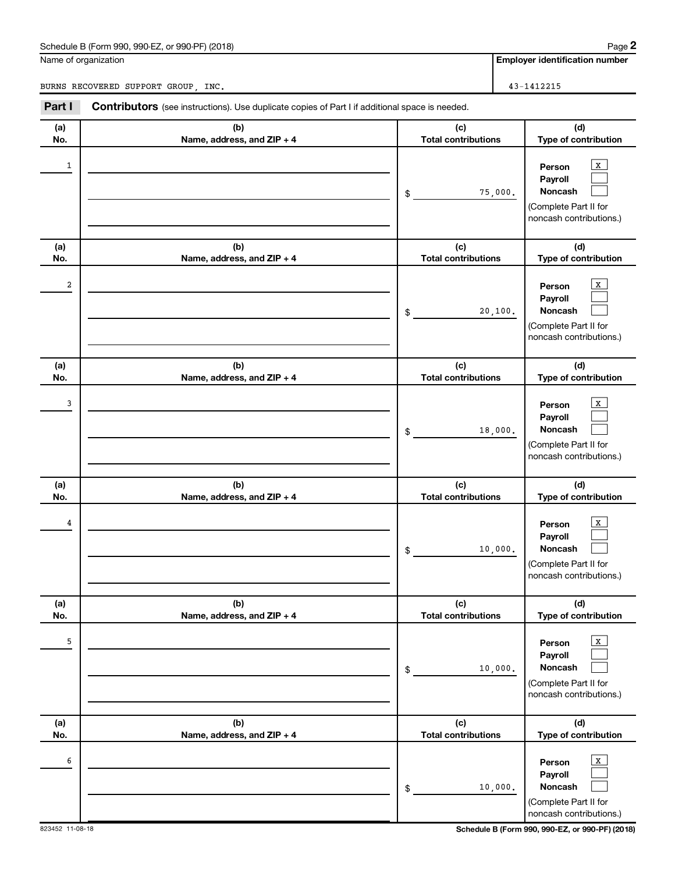#### Schedule B (Form 990, 990-EZ, or 990-PF) (2018)

Name of organization

BURNS RECOVERED SUPPORT GROUP, INC. 43-1412215

**Employer identification number**

| Part I           | <b>Contributors</b> (see instructions). Use duplicate copies of Part I if additional space is needed. |                                                                                                                                |
|------------------|-------------------------------------------------------------------------------------------------------|--------------------------------------------------------------------------------------------------------------------------------|
| (a)<br>No.       | (b)<br>Name, address, and ZIP + 4                                                                     | (c)<br>(d)<br><b>Total contributions</b><br>Type of contribution                                                               |
| 1                |                                                                                                       | X<br>Person<br>Payroll<br>Noncash<br>75,000.<br>\$<br>(Complete Part II for<br>noncash contributions.)                         |
| (a)<br>No.       | (b)<br>Name, address, and ZIP + 4                                                                     | (c)<br>(d)<br><b>Total contributions</b><br>Type of contribution                                                               |
| $\boldsymbol{2}$ |                                                                                                       | X<br>Person<br>Payroll<br>Noncash<br>20,100.<br>\$<br>(Complete Part II for<br>noncash contributions.)                         |
| (a)<br>No.       | (b)<br>Name, address, and ZIP + 4                                                                     | (c)<br>(d)<br><b>Total contributions</b><br>Type of contribution                                                               |
| 3                |                                                                                                       | X<br>Person<br>Payroll<br>Noncash<br>18,000.<br>\$<br>(Complete Part II for<br>noncash contributions.)                         |
| (a)<br>No.       | (b)                                                                                                   | (c)<br>(d)<br><b>Total contributions</b>                                                                                       |
| 4                | Name, address, and ZIP + 4                                                                            | Type of contribution<br>X<br>Person<br>Payroll<br>Noncash<br>10,000.<br>\$<br>(Complete Part II for<br>noncash contributions.) |
| (a)<br>No.       | (b)<br>Name, address, and ZIP + 4                                                                     | (d)<br>(c)<br><b>Total contributions</b><br>Type of contribution                                                               |
| 5                |                                                                                                       | $\mathbf x$<br>Person<br>Payroll<br>Noncash<br>10,000.<br>\$<br>(Complete Part II for<br>noncash contributions.)               |
| (a)<br>No.       | (b)<br>Name, address, and ZIP + 4                                                                     | (c)<br>(d)<br><b>Total contributions</b><br>Type of contribution                                                               |
| 6                |                                                                                                       | $\mathbf x$<br>Person<br>Payroll<br>Noncash<br>10,000.<br>\$<br>(Complete Part II for<br>noncash contributions.)               |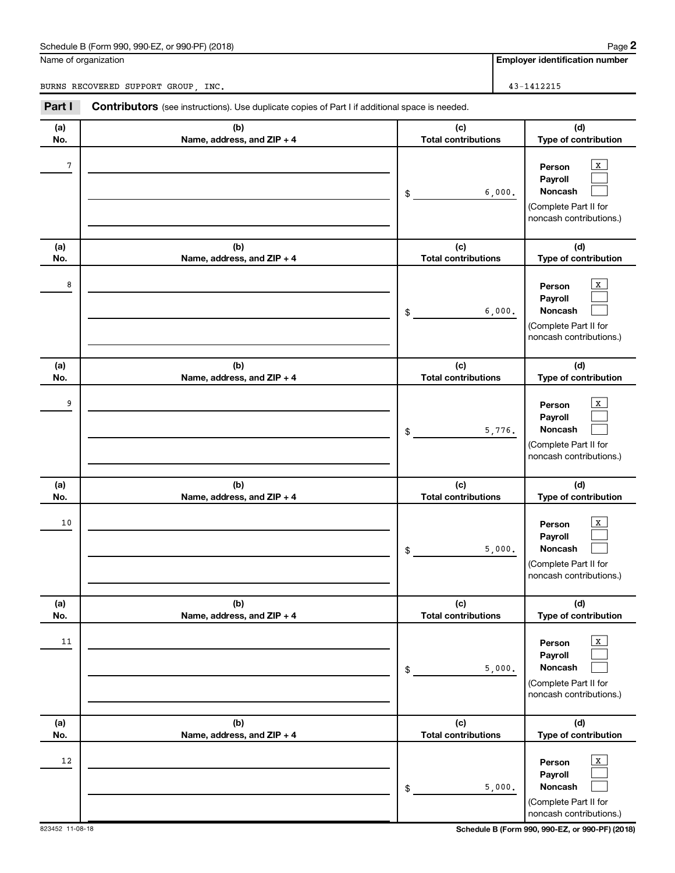#### Schedule B (Form 990, 990-EZ, or 990-PF) (2018)

Name of organization

BURNS RECOVERED SUPPORT GROUP, INC. 43-1412215

**Employer identification number**

| Part I     | <b>Contributors</b> (see instructions). Use duplicate copies of Part I if additional space is needed. |                                            |                                                                                                                          |
|------------|-------------------------------------------------------------------------------------------------------|--------------------------------------------|--------------------------------------------------------------------------------------------------------------------------|
| (a)<br>No. | (b)<br>Name, address, and ZIP + 4                                                                     | (c)<br><b>Total contributions</b>          | (d)<br>Type of contribution                                                                                              |
| 7          |                                                                                                       | 6,000.<br>\$                               | X<br>Person<br>Payroll<br>Noncash<br>(Complete Part II for<br>noncash contributions.)                                    |
| (a)<br>No. | (b)<br>Name, address, and ZIP + 4                                                                     | (c)<br><b>Total contributions</b>          | (d)<br>Type of contribution                                                                                              |
| 8          |                                                                                                       | 6,000.<br>\$                               | $\mathbf{x}$<br>Person<br>Payroll<br>Noncash<br>(Complete Part II for<br>noncash contributions.)                         |
| (a)<br>No. | (b)<br>Name, address, and ZIP + 4                                                                     | (c)<br><b>Total contributions</b>          | (d)<br>Type of contribution                                                                                              |
| 9          |                                                                                                       | 5,776.<br>\$                               | X<br>Person<br>Payroll<br>Noncash<br>(Complete Part II for<br>noncash contributions.)                                    |
| (a)        | (b)                                                                                                   | (c)                                        | (d)                                                                                                                      |
| No.<br>10  | Name, address, and ZIP + 4                                                                            | <b>Total contributions</b><br>5,000.<br>\$ | Type of contribution<br>$\mathbf{X}$<br>Person<br>Payroll<br>Noncash<br>(Complete Part II for<br>noncash contributions.) |
| (a)<br>No. | (b)<br>Name, address, and ZIP + 4                                                                     | (c)<br><b>Total contributions</b>          | (d)<br>Type of contribution                                                                                              |
| 11         |                                                                                                       | 5,000.<br>\$                               | $\mathbf{x}$<br>Person<br>Payroll<br><b>Noncash</b><br>(Complete Part II for<br>noncash contributions.)                  |
| (a)<br>No. | (b)<br>Name, address, and ZIP + 4                                                                     | (c)<br><b>Total contributions</b>          | (d)<br>Type of contribution                                                                                              |
| 12         |                                                                                                       | 5,000.<br>\$                               | $\mathbf{x}$<br>Person<br>Payroll<br>Noncash<br>(Complete Part II for<br>noncash contributions.)                         |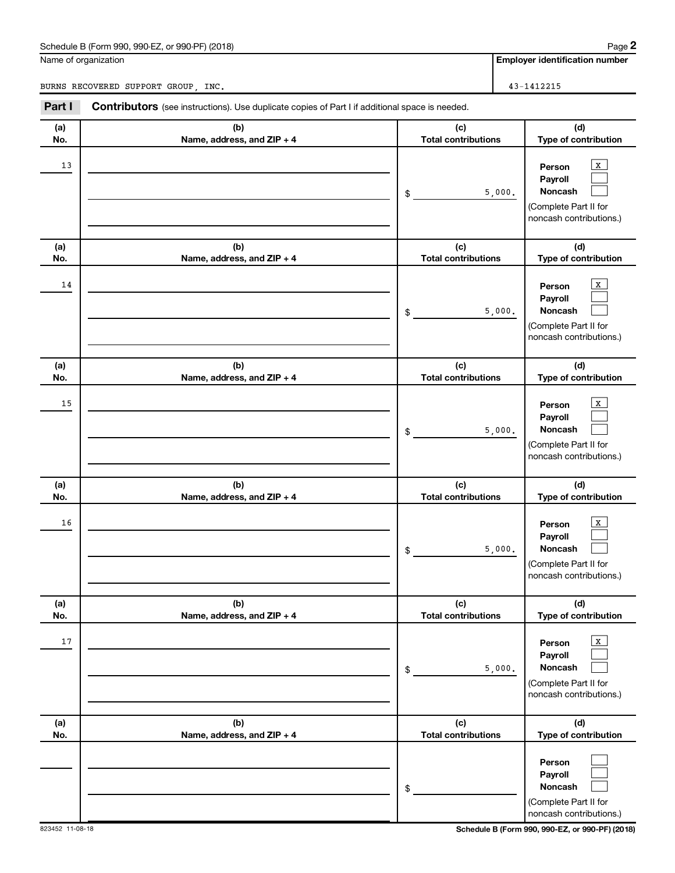#### Schedule B (Form 990, 990-EZ, or 990-PF) (2018)

Name of organization

**Employer identification number**

BURNS RECOVERED SUPPORT GROUP, INC. 43-1412215

| Part I     | <b>Contributors</b> (see instructions). Use duplicate copies of Part I if additional space is needed. |                                            |                                                                                                                                 |
|------------|-------------------------------------------------------------------------------------------------------|--------------------------------------------|---------------------------------------------------------------------------------------------------------------------------------|
| (a)<br>No. | (b)<br>Name, address, and ZIP + 4                                                                     | (c)<br><b>Total contributions</b>          | (d)<br>Type of contribution                                                                                                     |
| 13         |                                                                                                       | 5,000.<br>\$                               | $\mathbf{x}$<br>Person<br>Payroll<br><b>Noncash</b><br>(Complete Part II for<br>noncash contributions.)                         |
| (a)<br>No. | (b)<br>Name, address, and ZIP + 4                                                                     | (c)<br><b>Total contributions</b>          | (d)<br>Type of contribution                                                                                                     |
| 14         |                                                                                                       | 5,000.<br>\$                               | $\mathbf{x}$<br>Person<br>Payroll<br><b>Noncash</b><br>(Complete Part II for<br>noncash contributions.)                         |
| (a)<br>No. | (b)<br>Name, address, and ZIP + 4                                                                     | (c)<br><b>Total contributions</b>          | (d)<br>Type of contribution                                                                                                     |
| 15         |                                                                                                       | 5,000.<br>\$                               | $\mathbf{X}$<br>Person<br>Payroll<br><b>Noncash</b><br>(Complete Part II for<br>noncash contributions.)                         |
| (a)        | (b)                                                                                                   | (c)                                        | (d)                                                                                                                             |
| No.<br>16  | Name, address, and ZIP + 4                                                                            | <b>Total contributions</b><br>5,000.<br>\$ | Type of contribution<br>$\mathbf{X}$<br>Person<br>Payroll<br><b>Noncash</b><br>(Complete Part II for<br>noncash contributions.) |
| (a)<br>No. | (b)<br>Name, address, and ZIP + 4                                                                     | (c)<br><b>Total contributions</b>          | (d)<br>Type of contribution                                                                                                     |
| 17         |                                                                                                       | 5,000.<br>\$                               | $\mathbf{x}$<br>Person<br>Payroll<br>Noncash<br>(Complete Part II for<br>noncash contributions.)                                |
| (a)<br>No. | (b)<br>Name, address, and ZIP + 4                                                                     | (c)<br><b>Total contributions</b>          | (d)<br>Type of contribution                                                                                                     |
|            |                                                                                                       | \$                                         | Person<br>Payroll<br><b>Noncash</b><br>(Complete Part II for<br>noncash contributions.)                                         |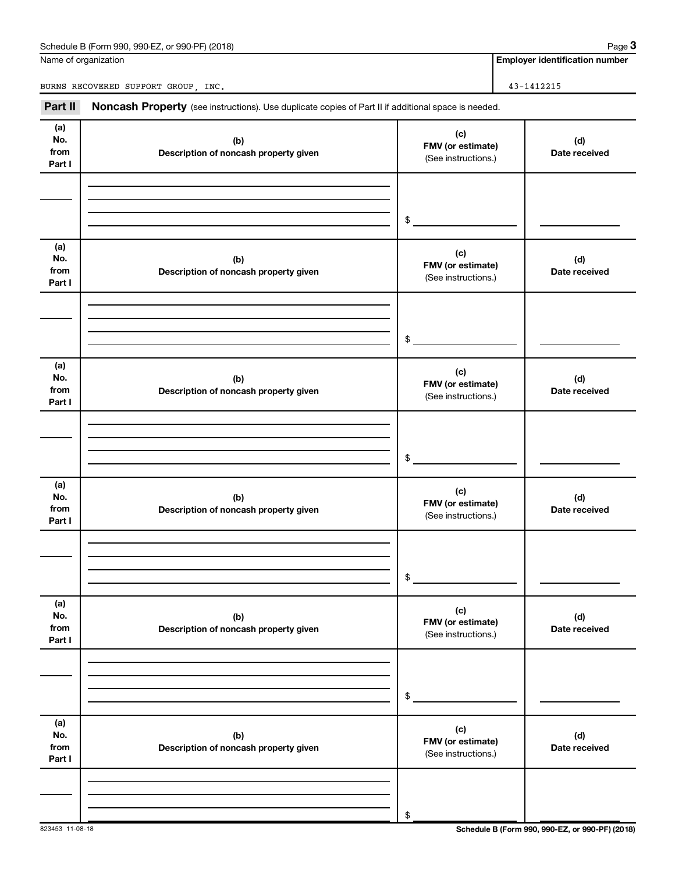| Schedule B (Form 990, 990-EZ, or 990-PF) (2018) | Paɑe |
|-------------------------------------------------|------|
|-------------------------------------------------|------|

Name of organization

**Employer identification number**

BURNS RECOVERED SUPPORT GROUP, INC. 43-1412215

Part II Noncash Property (see instructions). Use duplicate copies of Part II if additional space is needed.

| (a)<br>No.<br>from<br>Part I | (b)<br>Description of noncash property given | (c)<br>FMV (or estimate)<br>(See instructions.) | (d)<br>Date received |
|------------------------------|----------------------------------------------|-------------------------------------------------|----------------------|
|                              |                                              |                                                 |                      |
|                              |                                              |                                                 |                      |
|                              |                                              | $$\tilde{\phantom{a}}$$                         |                      |
| (a)<br>No.<br>from<br>Part I | (b)<br>Description of noncash property given | (c)<br>FMV (or estimate)<br>(See instructions.) | (d)<br>Date received |
|                              |                                              |                                                 |                      |
|                              |                                              |                                                 |                      |
|                              |                                              | \$                                              |                      |
| (a)<br>No.<br>from<br>Part I | (b)<br>Description of noncash property given | (c)<br>FMV (or estimate)<br>(See instructions.) | (d)<br>Date received |
|                              |                                              |                                                 |                      |
|                              |                                              |                                                 |                      |
|                              |                                              | $\$$                                            |                      |
| (a)<br>No.<br>from<br>Part I | (b)<br>Description of noncash property given | (c)<br>FMV (or estimate)<br>(See instructions.) | (d)<br>Date received |
|                              |                                              |                                                 |                      |
|                              |                                              |                                                 |                      |
|                              |                                              | \$                                              |                      |
| (a)<br>No.<br>from<br>Part I | (b)<br>Description of noncash property given | (c)<br>FMV (or estimate)<br>(See instructions.) | (d)<br>Date received |
|                              |                                              |                                                 |                      |
|                              |                                              |                                                 |                      |
|                              |                                              | \$                                              |                      |
| (a)<br>No.<br>from<br>Part I | (b)<br>Description of noncash property given | (c)<br>FMV (or estimate)<br>(See instructions.) | (d)<br>Date received |
|                              |                                              |                                                 |                      |
|                              |                                              | \$                                              |                      |
|                              |                                              |                                                 |                      |

823453 11-08-18 **Schedule B (Form 990, 990-EZ, or 990-PF) (2018)**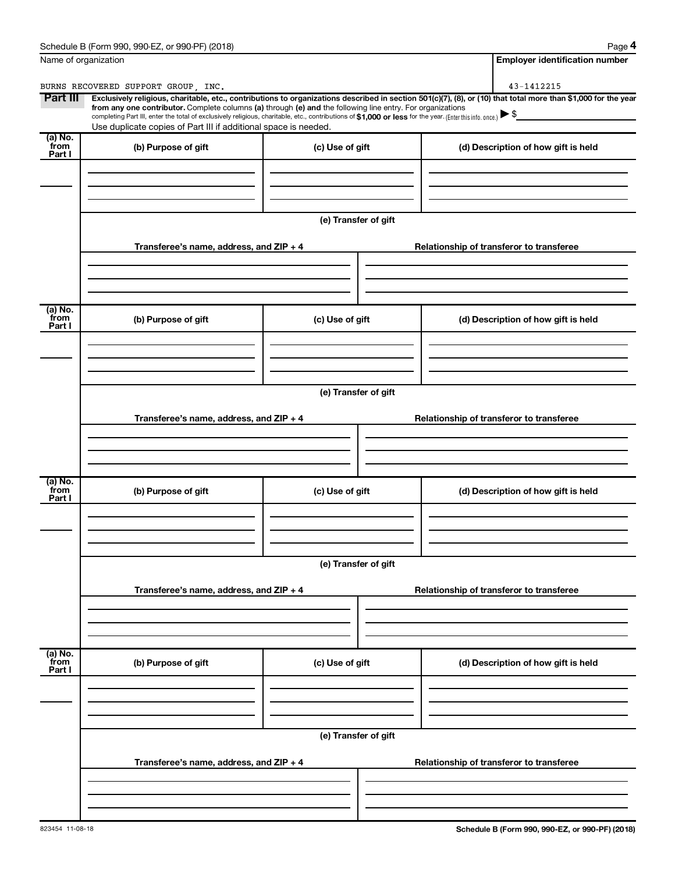| Schedule B (Form 990,<br>(2018)<br>or 990-PF)<br>990-EZ<br>Page |
|-----------------------------------------------------------------|
|-----------------------------------------------------------------|

**4**

| Name of organization      |                                                                                                                                                                                                                                                                                                                                                                    |                      | <b>Employer identification number</b>                                                                                                                          |  |  |  |
|---------------------------|--------------------------------------------------------------------------------------------------------------------------------------------------------------------------------------------------------------------------------------------------------------------------------------------------------------------------------------------------------------------|----------------------|----------------------------------------------------------------------------------------------------------------------------------------------------------------|--|--|--|
|                           | BURNS RECOVERED SUPPORT GROUP . INC.                                                                                                                                                                                                                                                                                                                               |                      | 43-1412215                                                                                                                                                     |  |  |  |
| Part III                  | from any one contributor. Complete columns (a) through (e) and the following line entry. For organizations<br>completing Part III, enter the total of exclusively religious, charitable, etc., contributions of \$1,000 or less for the year. (Enter this info. once.) $\blacktriangleright$ \$<br>Use duplicate copies of Part III if additional space is needed. |                      | Exclusively religious, charitable, etc., contributions to organizations described in section 501(c)(7), (8), or (10) that total more than \$1,000 for the year |  |  |  |
| (a) No.<br>from<br>Part I | (b) Purpose of gift                                                                                                                                                                                                                                                                                                                                                | (c) Use of gift      | (d) Description of how gift is held                                                                                                                            |  |  |  |
|                           |                                                                                                                                                                                                                                                                                                                                                                    |                      |                                                                                                                                                                |  |  |  |
|                           |                                                                                                                                                                                                                                                                                                                                                                    | (e) Transfer of gift |                                                                                                                                                                |  |  |  |
|                           | Transferee's name, address, and ZIP + 4                                                                                                                                                                                                                                                                                                                            |                      | Relationship of transferor to transferee                                                                                                                       |  |  |  |
| (a) No.<br>from<br>Part I | (b) Purpose of gift                                                                                                                                                                                                                                                                                                                                                | (c) Use of gift      | (d) Description of how gift is held                                                                                                                            |  |  |  |
|                           |                                                                                                                                                                                                                                                                                                                                                                    |                      |                                                                                                                                                                |  |  |  |
|                           |                                                                                                                                                                                                                                                                                                                                                                    | (e) Transfer of gift |                                                                                                                                                                |  |  |  |
|                           | Transferee's name, address, and ZIP + 4                                                                                                                                                                                                                                                                                                                            |                      | Relationship of transferor to transferee                                                                                                                       |  |  |  |
|                           |                                                                                                                                                                                                                                                                                                                                                                    |                      |                                                                                                                                                                |  |  |  |
| (a) No.<br>from<br>Part I | (b) Purpose of gift                                                                                                                                                                                                                                                                                                                                                | (c) Use of gift      | (d) Description of how gift is held                                                                                                                            |  |  |  |
|                           |                                                                                                                                                                                                                                                                                                                                                                    |                      |                                                                                                                                                                |  |  |  |
|                           | Transferee's name, address, and ZIP + 4                                                                                                                                                                                                                                                                                                                            | (e) Transfer of gift | Relationship of transferor to transferee                                                                                                                       |  |  |  |
|                           |                                                                                                                                                                                                                                                                                                                                                                    |                      |                                                                                                                                                                |  |  |  |
| (a) No.<br>from<br>Part I | (b) Purpose of gift                                                                                                                                                                                                                                                                                                                                                | (c) Use of gift      | (d) Description of how gift is held                                                                                                                            |  |  |  |
|                           |                                                                                                                                                                                                                                                                                                                                                                    |                      |                                                                                                                                                                |  |  |  |
|                           | (e) Transfer of gift                                                                                                                                                                                                                                                                                                                                               |                      |                                                                                                                                                                |  |  |  |
|                           | Transferee's name, address, and ZIP + 4                                                                                                                                                                                                                                                                                                                            |                      | Relationship of transferor to transferee                                                                                                                       |  |  |  |
|                           |                                                                                                                                                                                                                                                                                                                                                                    |                      |                                                                                                                                                                |  |  |  |
|                           |                                                                                                                                                                                                                                                                                                                                                                    |                      |                                                                                                                                                                |  |  |  |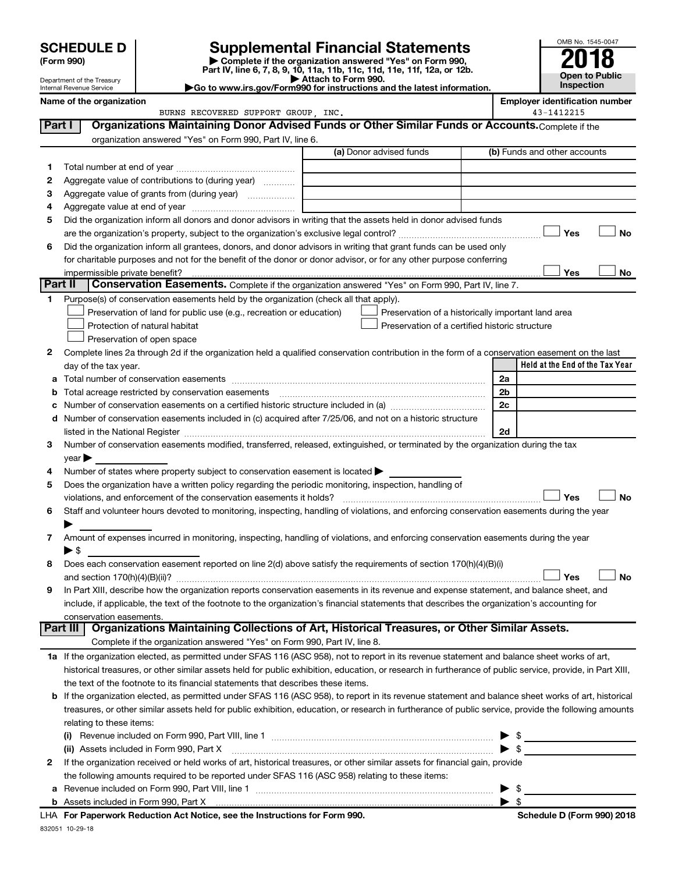| (Form 990) |
|------------|
|------------|

## **SCHEDULE D Supplemental Financial Statements**<br> **Form 990 2018**<br> **Part IV** line 6.7.8.9.10, 11a, 11b, 11d, 11d, 11d, 11d, 11d, 12a, 0r, 12b

**(Form 990) | Complete if the organization answered "Yes" on Form 990, Part IV, line 6, 7, 8, 9, 10, 11a, 11b, 11c, 11d, 11e, 11f, 12a, or 12b.**

**| Attach to Form 990. |Go to www.irs.gov/Form990 for instructions and the latest information.**



| Name of the organization   |
|----------------------------|
| Internal Revenue Service   |
| Department of the Treasury |

**Name of the orientification is exampled to the orientification of the orientification number**<br>BURNS RECOVERED SUPPORT GROUP, INC. **A** A<sup>1</sup>-1412215 BURNS RECOVERED SUPPORT GROUP, INC.

| Part I          | Organizations Maintaining Donor Advised Funds or Other Similar Funds or Accounts. Complete if the                                                         |                         |                                                    |
|-----------------|-----------------------------------------------------------------------------------------------------------------------------------------------------------|-------------------------|----------------------------------------------------|
|                 | organization answered "Yes" on Form 990, Part IV, line 6.                                                                                                 |                         |                                                    |
|                 |                                                                                                                                                           | (a) Donor advised funds | (b) Funds and other accounts                       |
| 1.              |                                                                                                                                                           |                         |                                                    |
| 2               | Aggregate value of contributions to (during year)                                                                                                         |                         |                                                    |
| з               | Aggregate value of grants from (during year)                                                                                                              |                         |                                                    |
| 4               |                                                                                                                                                           |                         |                                                    |
| 5               | Did the organization inform all donors and donor advisors in writing that the assets held in donor advised funds                                          |                         |                                                    |
|                 |                                                                                                                                                           |                         | Yes<br>No                                          |
| 6               | Did the organization inform all grantees, donors, and donor advisors in writing that grant funds can be used only                                         |                         |                                                    |
|                 | for charitable purposes and not for the benefit of the donor or donor advisor, or for any other purpose conferring                                        |                         |                                                    |
|                 | impermissible private benefit?                                                                                                                            |                         | Yes<br>No                                          |
| <b>Part II</b>  | Conservation Easements. Complete if the organization answered "Yes" on Form 990, Part IV, line 7.                                                         |                         |                                                    |
| 1               | Purpose(s) of conservation easements held by the organization (check all that apply).                                                                     |                         |                                                    |
|                 | Preservation of land for public use (e.g., recreation or education)                                                                                       |                         | Preservation of a historically important land area |
|                 | Protection of natural habitat                                                                                                                             |                         | Preservation of a certified historic structure     |
|                 | Preservation of open space                                                                                                                                |                         |                                                    |
| 2               | Complete lines 2a through 2d if the organization held a qualified conservation contribution in the form of a conservation easement on the last            |                         |                                                    |
|                 | day of the tax year.                                                                                                                                      |                         | Held at the End of the Tax Year                    |
| а               |                                                                                                                                                           |                         | 2a                                                 |
| b               | Total acreage restricted by conservation easements                                                                                                        |                         | 2b                                                 |
| с               | Number of conservation easements on a certified historic structure included in (a) manufacture included in (a)                                            |                         | 2c                                                 |
| d               | Number of conservation easements included in (c) acquired after 7/25/06, and not on a historic structure                                                  |                         |                                                    |
|                 | listed in the National Register [111] [12] https://www.mail.com/mail.com/mail.com/mail.com/mail.com/mail.com/m                                            |                         | 2d                                                 |
| з               | Number of conservation easements modified, transferred, released, extinguished, or terminated by the organization during the tax                          |                         |                                                    |
|                 | year                                                                                                                                                      |                         |                                                    |
| 4               | Number of states where property subject to conservation easement is located >                                                                             |                         |                                                    |
| 5               | Does the organization have a written policy regarding the periodic monitoring, inspection, handling of                                                    |                         |                                                    |
|                 | violations, and enforcement of the conservation easements it holds?                                                                                       |                         | Yes<br><b>No</b>                                   |
| 6               | Staff and volunteer hours devoted to monitoring, inspecting, handling of violations, and enforcing conservation easements during the year                 |                         |                                                    |
| 7               | Amount of expenses incurred in monitoring, inspecting, handling of violations, and enforcing conservation easements during the year                       |                         |                                                    |
|                 | $\blacktriangleright$ \$                                                                                                                                  |                         |                                                    |
| 8               | Does each conservation easement reported on line 2(d) above satisfy the requirements of section 170(h)(4)(B)(i)                                           |                         |                                                    |
|                 |                                                                                                                                                           |                         | <b>No</b><br>Yes                                   |
| 9               | In Part XIII, describe how the organization reports conservation easements in its revenue and expense statement, and balance sheet, and                   |                         |                                                    |
|                 | include, if applicable, the text of the footnote to the organization's financial statements that describes the organization's accounting for              |                         |                                                    |
|                 | conservation easements.                                                                                                                                   |                         |                                                    |
| <b>Part III</b> | Organizations Maintaining Collections of Art, Historical Treasures, or Other Similar Assets.                                                              |                         |                                                    |
|                 | Complete if the organization answered "Yes" on Form 990, Part IV, line 8.                                                                                 |                         |                                                    |
|                 | 1a If the organization elected, as permitted under SFAS 116 (ASC 958), not to report in its revenue statement and balance sheet works of art,             |                         |                                                    |
|                 | historical treasures, or other similar assets held for public exhibition, education, or research in furtherance of public service, provide, in Part XIII, |                         |                                                    |
|                 | the text of the footnote to its financial statements that describes these items.                                                                          |                         |                                                    |
|                 | b If the organization elected, as permitted under SFAS 116 (ASC 958), to report in its revenue statement and balance sheet works of art, historical       |                         |                                                    |
|                 | treasures, or other similar assets held for public exhibition, education, or research in furtherance of public service, provide the following amounts     |                         |                                                    |
|                 | relating to these items:                                                                                                                                  |                         |                                                    |
|                 | (i)                                                                                                                                                       |                         | $\triangleright$ \$                                |
|                 | (ii) Assets included in Form 990, Part X                                                                                                                  |                         | $\blacktriangleright$ \$                           |
| 2               | If the organization received or held works of art, historical treasures, or other similar assets for financial gain, provide                              |                         |                                                    |
|                 | the following amounts required to be reported under SFAS 116 (ASC 958) relating to these items:                                                           |                         |                                                    |
| а               |                                                                                                                                                           |                         | $\blacktriangleright$ s                            |
|                 |                                                                                                                                                           |                         |                                                    |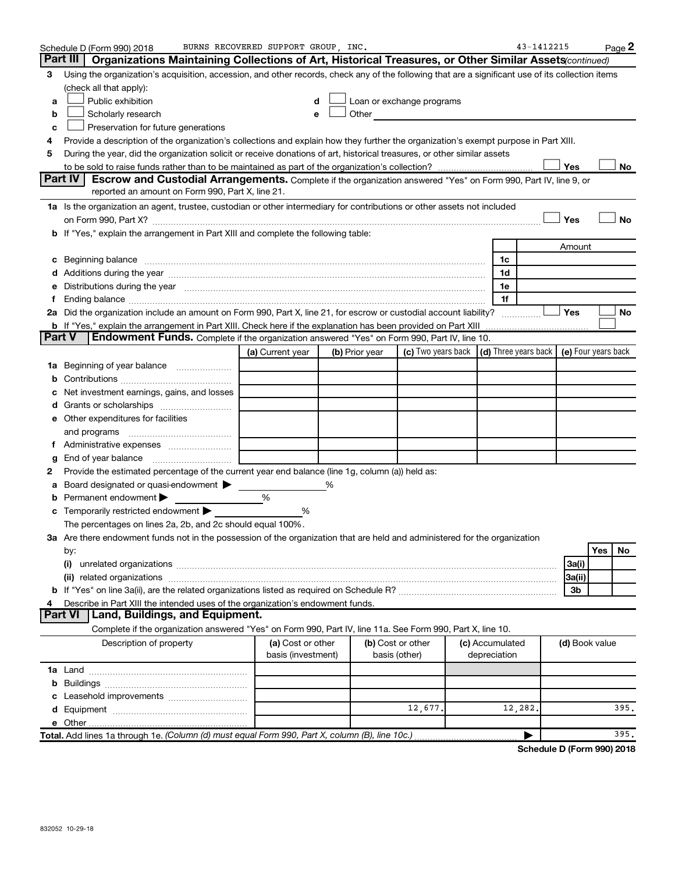|        | Schedule D (Form 990) 2018                                                                                                                                                                                                     | BURNS RECOVERED SUPPORT GROUP, INC.     |   |                                    |                                                                                                                                                                                                                               |                                                   | 43-1412215 |                |     | Page 2    |
|--------|--------------------------------------------------------------------------------------------------------------------------------------------------------------------------------------------------------------------------------|-----------------------------------------|---|------------------------------------|-------------------------------------------------------------------------------------------------------------------------------------------------------------------------------------------------------------------------------|---------------------------------------------------|------------|----------------|-----|-----------|
|        | Part III<br>Organizations Maintaining Collections of Art, Historical Treasures, or Other Similar Assets continued)                                                                                                             |                                         |   |                                    |                                                                                                                                                                                                                               |                                                   |            |                |     |           |
| з      | Using the organization's acquisition, accession, and other records, check any of the following that are a significant use of its collection items                                                                              |                                         |   |                                    |                                                                                                                                                                                                                               |                                                   |            |                |     |           |
|        | (check all that apply):                                                                                                                                                                                                        |                                         |   |                                    |                                                                                                                                                                                                                               |                                                   |            |                |     |           |
| a      | Public exhibition                                                                                                                                                                                                              | d                                       |   |                                    | Loan or exchange programs                                                                                                                                                                                                     |                                                   |            |                |     |           |
| b      | Scholarly research                                                                                                                                                                                                             | е                                       |   |                                    | Other and the contract of the contract of the contract of the contract of the contract of the contract of the contract of the contract of the contract of the contract of the contract of the contract of the contract of the |                                                   |            |                |     |           |
| c      | Preservation for future generations                                                                                                                                                                                            |                                         |   |                                    |                                                                                                                                                                                                                               |                                                   |            |                |     |           |
| 4      | Provide a description of the organization's collections and explain how they further the organization's exempt purpose in Part XIII.                                                                                           |                                         |   |                                    |                                                                                                                                                                                                                               |                                                   |            |                |     |           |
| 5      | During the year, did the organization solicit or receive donations of art, historical treasures, or other similar assets                                                                                                       |                                         |   |                                    |                                                                                                                                                                                                                               |                                                   |            |                |     |           |
|        |                                                                                                                                                                                                                                |                                         |   |                                    |                                                                                                                                                                                                                               |                                                   |            | Yes            |     | No        |
|        | <b>Part IV</b><br>Escrow and Custodial Arrangements. Complete if the organization answered "Yes" on Form 990, Part IV, line 9, or                                                                                              |                                         |   |                                    |                                                                                                                                                                                                                               |                                                   |            |                |     |           |
|        | reported an amount on Form 990, Part X, line 21.                                                                                                                                                                               |                                         |   |                                    |                                                                                                                                                                                                                               |                                                   |            |                |     |           |
|        | 1a Is the organization an agent, trustee, custodian or other intermediary for contributions or other assets not included                                                                                                       |                                         |   |                                    |                                                                                                                                                                                                                               |                                                   |            |                |     |           |
|        |                                                                                                                                                                                                                                |                                         |   |                                    |                                                                                                                                                                                                                               |                                                   |            | Yes            |     | <b>No</b> |
|        | <b>b</b> If "Yes," explain the arrangement in Part XIII and complete the following table:                                                                                                                                      |                                         |   |                                    |                                                                                                                                                                                                                               |                                                   |            |                |     |           |
|        |                                                                                                                                                                                                                                |                                         |   |                                    |                                                                                                                                                                                                                               |                                                   |            | Amount         |     |           |
| С      | Beginning balance measurements and the contract of the contract of the contract of the contract of the contract of the contract of the contract of the contract of the contract of the contract of the contract of the contrac |                                         |   |                                    |                                                                                                                                                                                                                               | 1c                                                |            |                |     |           |
|        | Additions during the year manufactured and an account of the state of the state of the state of the state of the state of the state of the state of the state of the state of the state of the state of the state of the state |                                         |   |                                    |                                                                                                                                                                                                                               | 1d                                                |            |                |     |           |
|        | Distributions during the year manufactured and an account of the year manufactured and the year manufactured and the year manufactured and the year manufactured and the year manufactured and the year manufactured and the y |                                         |   |                                    |                                                                                                                                                                                                                               | 1e                                                |            |                |     |           |
|        |                                                                                                                                                                                                                                |                                         |   |                                    |                                                                                                                                                                                                                               | 1f                                                |            |                |     |           |
|        | 2a Did the organization include an amount on Form 990, Part X, line 21, for escrow or custodial account liability?                                                                                                             |                                         |   |                                    |                                                                                                                                                                                                                               |                                                   |            | Yes            |     | No        |
|        | <b>b</b> If "Yes," explain the arrangement in Part XIII. Check here if the explanation has been provided on Part XIII                                                                                                          |                                         |   |                                    |                                                                                                                                                                                                                               |                                                   |            |                |     |           |
| Part V | Endowment Funds. Complete if the organization answered "Yes" on Form 990, Part IV, line 10.                                                                                                                                    |                                         |   |                                    |                                                                                                                                                                                                                               |                                                   |            |                |     |           |
|        |                                                                                                                                                                                                                                | (a) Current year                        |   | (b) Prior year                     | (c) Two years back                                                                                                                                                                                                            | $(d)$ Three years back $\mid$ (e) Four years back |            |                |     |           |
| 1a     | Beginning of year balance                                                                                                                                                                                                      |                                         |   |                                    |                                                                                                                                                                                                                               |                                                   |            |                |     |           |
|        |                                                                                                                                                                                                                                |                                         |   |                                    |                                                                                                                                                                                                                               |                                                   |            |                |     |           |
|        | Net investment earnings, gains, and losses                                                                                                                                                                                     |                                         |   |                                    |                                                                                                                                                                                                                               |                                                   |            |                |     |           |
|        |                                                                                                                                                                                                                                |                                         |   |                                    |                                                                                                                                                                                                                               |                                                   |            |                |     |           |
|        | e Other expenditures for facilities                                                                                                                                                                                            |                                         |   |                                    |                                                                                                                                                                                                                               |                                                   |            |                |     |           |
|        | and programs                                                                                                                                                                                                                   |                                         |   |                                    |                                                                                                                                                                                                                               |                                                   |            |                |     |           |
|        |                                                                                                                                                                                                                                |                                         |   |                                    |                                                                                                                                                                                                                               |                                                   |            |                |     |           |
| g      | End of year balance                                                                                                                                                                                                            |                                         |   |                                    |                                                                                                                                                                                                                               |                                                   |            |                |     |           |
| 2      | Provide the estimated percentage of the current year end balance (line 1g, column (a)) held as:                                                                                                                                |                                         |   |                                    |                                                                                                                                                                                                                               |                                                   |            |                |     |           |
|        | Board designated or quasi-endowment >                                                                                                                                                                                          |                                         | ℅ |                                    |                                                                                                                                                                                                                               |                                                   |            |                |     |           |
| b      | Permanent endowment                                                                                                                                                                                                            | %                                       |   |                                    |                                                                                                                                                                                                                               |                                                   |            |                |     |           |
| c      | Temporarily restricted endowment                                                                                                                                                                                               | ℅                                       |   |                                    |                                                                                                                                                                                                                               |                                                   |            |                |     |           |
|        | The percentages on lines 2a, 2b, and 2c should equal 100%.                                                                                                                                                                     |                                         |   |                                    |                                                                                                                                                                                                                               |                                                   |            |                |     |           |
|        | ${\bf 3a}$ Are there endowment funds not in the possession of the organization that are held and administered for the organization                                                                                             |                                         |   |                                    |                                                                                                                                                                                                                               |                                                   |            |                |     |           |
|        | by:                                                                                                                                                                                                                            |                                         |   |                                    |                                                                                                                                                                                                                               |                                                   |            |                | Yes | No        |
|        | (i)                                                                                                                                                                                                                            |                                         |   |                                    |                                                                                                                                                                                                                               |                                                   |            | 3a(i)          |     |           |
|        |                                                                                                                                                                                                                                |                                         |   |                                    |                                                                                                                                                                                                                               |                                                   |            | 3a(ii)         |     |           |
|        |                                                                                                                                                                                                                                |                                         |   |                                    |                                                                                                                                                                                                                               |                                                   |            | 3b             |     |           |
| 4      | Describe in Part XIII the intended uses of the organization's endowment funds.<br>Land, Buildings, and Equipment.<br><b>Part VI</b>                                                                                            |                                         |   |                                    |                                                                                                                                                                                                                               |                                                   |            |                |     |           |
|        |                                                                                                                                                                                                                                |                                         |   |                                    |                                                                                                                                                                                                                               |                                                   |            |                |     |           |
|        | Complete if the organization answered "Yes" on Form 990, Part IV, line 11a. See Form 990, Part X, line 10.                                                                                                                     |                                         |   |                                    |                                                                                                                                                                                                                               |                                                   |            |                |     |           |
|        | Description of property                                                                                                                                                                                                        | (a) Cost or other<br>basis (investment) |   | (b) Cost or other<br>basis (other) |                                                                                                                                                                                                                               | (c) Accumulated<br>depreciation                   |            | (d) Book value |     |           |
|        |                                                                                                                                                                                                                                |                                         |   |                                    |                                                                                                                                                                                                                               |                                                   |            |                |     |           |
|        |                                                                                                                                                                                                                                |                                         |   |                                    |                                                                                                                                                                                                                               |                                                   |            |                |     |           |
|        |                                                                                                                                                                                                                                |                                         |   |                                    |                                                                                                                                                                                                                               |                                                   |            |                |     |           |
|        |                                                                                                                                                                                                                                |                                         |   |                                    | 12,677.                                                                                                                                                                                                                       | 12,282                                            |            |                |     | 395.      |
|        |                                                                                                                                                                                                                                |                                         |   |                                    |                                                                                                                                                                                                                               |                                                   |            |                |     |           |
|        | Total. Add lines 1a through 1e. (Column (d) must equal Form 990, Part X, column (B), line 10c.)                                                                                                                                |                                         |   |                                    |                                                                                                                                                                                                                               |                                                   |            |                |     | 395.      |
|        |                                                                                                                                                                                                                                |                                         |   |                                    |                                                                                                                                                                                                                               |                                                   |            |                |     |           |

**Schedule D (Form 990) 2018**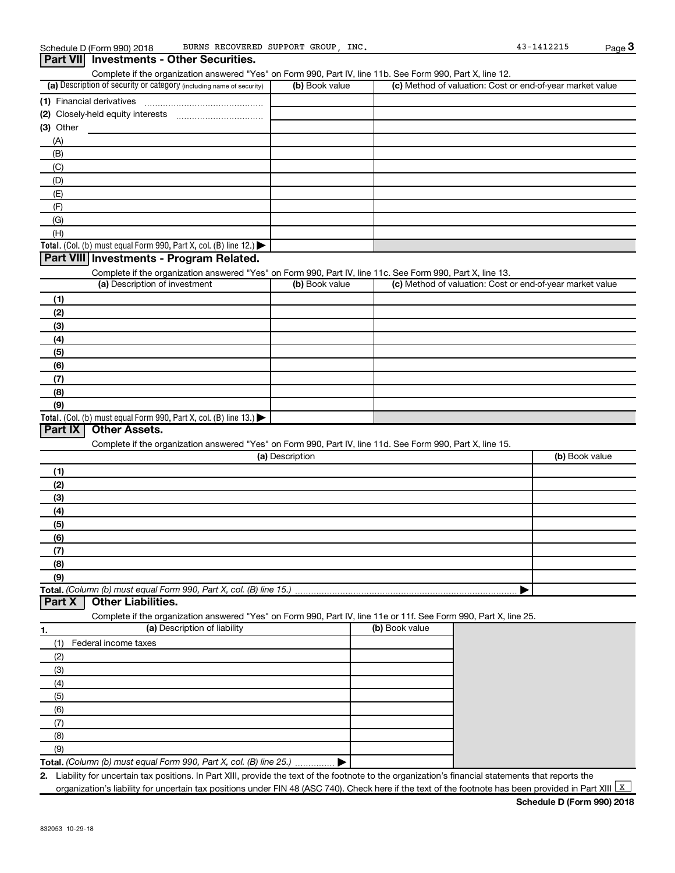**Total.** (Col. (b) must equal Form 990, Part X, col. (B) line  $13$ .)

**Part IX Other Assets.**

**Part X Other Liabilities.**

**Total.**  *(Column (b) must equal Form 990, Part X, col. (B) line 15.)*

#### (a) Description of security or category (including name of security)  $\vert$  (b) Book value  $\vert$  (c) **Total.** (Col. (b) must equal Form 990, Part X, col. (B) line 12.)  $\blacktriangleright$ **(1)** Financial derivatives ~~~~~~~~~~~~~~~ **(2)** Closely-held equity interests ~~~~~~~~~~~ **(3)** Other (a) Description of investment **b (b)** Book value **(1) (2) (3) (4) (5) (6) (7)** Complete if the organization answered "Yes" on Form 990, Part IV, line 11b. See Form 990, Part X, line 12.  $(b)$  Book value  $\vert$  (c) Method of valuation: Cost or end-of-year market value (A) (B) (C) (D) (E) (F) (G) (H) Complete if the organization answered "Yes" on Form 990, Part IV, line 11c. See Form 990, Part X, line 13. (c) Method of valuation: Cost or end-of-year market value **Part VII Investments - Other Securities. Part VIII Investments - Program Related.**

**(8) (9)**

**(1) (2) (3) (4) (5) (6) (7) (8) (9)**

**1. (a)** Description of liability **Constructed by Construction (b)** Book value Complete if the organization answered "Yes" on Form 990, Part IV, line 11e or 11f. See Form 990, Part X, line 25.

|

(a) Description

Complete if the organization answered "Yes" on Form 990, Part IV, line 11d. See Form 990, Part X, line 15.

| Federal income taxes                                               |  |
|--------------------------------------------------------------------|--|
| (2)                                                                |  |
| (3)                                                                |  |
| (4)                                                                |  |
| (5)                                                                |  |
| (6)                                                                |  |
|                                                                    |  |
| (8)                                                                |  |
| (9)                                                                |  |
| Total. (Column (b) must equal Form 990, Part X, col. (B) line 25.) |  |

**2.** Liability for uncertain tax positions. In Part XIII, provide the text of the footnote to the organization's financial statements that reports the organization's liability for uncertain tax positions under FIN 48 (ASC 740). Check here if the text of the footnote has been provided in Part XIII  $\boxed{\mathrm{x}}$ 

(b) Book value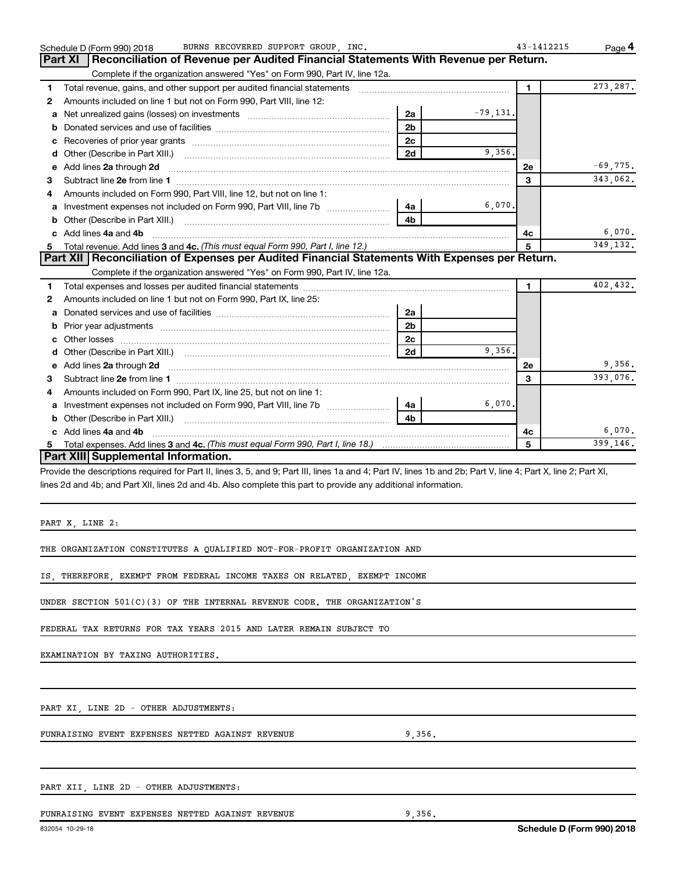|   | BURNS RECOVERED SUPPORT GROUP, INC.<br>Schedule D (Form 990) 2018                                                                                                                                                              |                |            | 43-1412215   | Page 4     |
|---|--------------------------------------------------------------------------------------------------------------------------------------------------------------------------------------------------------------------------------|----------------|------------|--------------|------------|
|   | Reconciliation of Revenue per Audited Financial Statements With Revenue per Return.<br><b>Part XI</b>                                                                                                                          |                |            |              |            |
|   | Complete if the organization answered "Yes" on Form 990, Part IV, line 12a.                                                                                                                                                    |                |            |              |            |
| 1 | Total revenue, gains, and other support per audited financial statements [111] [11] Total revenue, gains, and other support per audited financial statements                                                                   |                |            | $\mathbf{1}$ | 273, 287.  |
| 2 | Amounts included on line 1 but not on Form 990, Part VIII, line 12:                                                                                                                                                            |                |            |              |            |
|   | a Net unrealized gains (losses) on investments [111] [12] Net unrealized gains (losses) on investments [11] [1                                                                                                                 | 2a             | $-79,131.$ |              |            |
|   |                                                                                                                                                                                                                                | 2 <sub>b</sub> |            |              |            |
| c |                                                                                                                                                                                                                                | 2 <sub>c</sub> |            |              |            |
|   |                                                                                                                                                                                                                                | 2d             | 9,356.     |              |            |
|   | e Add lines 2a through 2d                                                                                                                                                                                                      |                |            | <b>2e</b>    | $-69,775.$ |
| 3 |                                                                                                                                                                                                                                |                |            | 3            | 343,062.   |
| 4 | Amounts included on Form 990, Part VIII, line 12, but not on line 1:                                                                                                                                                           |                |            |              |            |
|   | a Investment expenses not included on Form 990, Part VIII, line 7b [11, 11, 11, 11]                                                                                                                                            | 4a l           | 6,070.     |              |            |
|   |                                                                                                                                                                                                                                | 4b             |            |              |            |
|   | c Add lines 4a and 4b                                                                                                                                                                                                          |                |            | 4c           | 6,070.     |
|   |                                                                                                                                                                                                                                |                |            | 5            | 349,132.   |
|   | Part XII   Reconciliation of Expenses per Audited Financial Statements With Expenses per Return.                                                                                                                               |                |            |              |            |
|   | Complete if the organization answered "Yes" on Form 990, Part IV, line 12a.                                                                                                                                                    |                |            |              |            |
| 1 |                                                                                                                                                                                                                                |                |            | $\mathbf{1}$ | 402,432.   |
| 2 | Amounts included on line 1 but not on Form 990, Part IX, line 25:                                                                                                                                                              |                |            |              |            |
| а |                                                                                                                                                                                                                                | 2a             |            |              |            |
| b |                                                                                                                                                                                                                                | 2 <sub>b</sub> |            |              |            |
|   |                                                                                                                                                                                                                                | 2 <sub>c</sub> |            |              |            |
|   |                                                                                                                                                                                                                                | 2d             | 9.356.     |              |            |
|   | e Add lines 2a through 2d [11] manufactured and all the Add lines 2a through 2d [11] manufactured and all through 2d [11] manufactured and all through 2d [11] manufactured and all through 2d [11] manufactured and all throu |                |            | <b>2e</b>    | 9,356.     |
| 3 |                                                                                                                                                                                                                                |                |            | 3            | 393,076.   |
| 4 | Amounts included on Form 990, Part IX, line 25, but not on line 1:                                                                                                                                                             |                |            |              |            |
|   | a Investment expenses not included on Form 990, Part VIII, line 7b [11, 11, 11, 11]                                                                                                                                            | 4a l           | 6,070.     |              |            |
|   |                                                                                                                                                                                                                                | 4b             |            |              |            |
|   | c Add lines 4a and 4b                                                                                                                                                                                                          |                |            | 4с           | 6,070.     |
| 5 | Total expenses. Add lines 3 and 4c. (This must equal Form 990, Part I, line 18.) manu-contract manu-contract m                                                                                                                 |                |            | 5            | 399,146.   |
|   | Part XIII Supplemental Information.                                                                                                                                                                                            |                |            |              |            |
|   | Provide the descriptions required for Part II, lines 3, 5, and 9; Part III, lines 1a and 4; Part IV, lines 1b and 2b; Part V, line 4; Part X, line 2; Part XI,                                                                 |                |            |              |            |
|   | lines 2d and 4b; and Part XII, lines 2d and 4b. Also complete this part to provide any additional information.                                                                                                                 |                |            |              |            |
|   |                                                                                                                                                                                                                                |                |            |              |            |
|   |                                                                                                                                                                                                                                |                |            |              |            |
|   | PART X, LINE 2:                                                                                                                                                                                                                |                |            |              |            |
|   |                                                                                                                                                                                                                                |                |            |              |            |
|   | THE ORGANIZATION CONSTITUTES A QUALIFIED NOT-FOR-PROFIT ORGANIZATION AND                                                                                                                                                       |                |            |              |            |
|   |                                                                                                                                                                                                                                |                |            |              |            |
|   | IS, THEREFORE, EXEMPT FROM FEDERAL INCOME TAXES ON RELATED, EXEMPT INCOME                                                                                                                                                      |                |            |              |            |
|   |                                                                                                                                                                                                                                |                |            |              |            |
|   | UNDER SECTION 501(C)(3) OF THE INTERNAL REVENUE CODE. THE ORGANIZATION'S                                                                                                                                                       |                |            |              |            |
|   |                                                                                                                                                                                                                                |                |            |              |            |
|   | FEDERAL TAX RETURNS FOR TAX YEARS 2015 AND LATER REMAIN SUBJECT TO                                                                                                                                                             |                |            |              |            |

EXAMINATION BY TAXING AUTHORITIES.

PART XI, LINE 2D - OTHER ADJUSTMENTS:

FUNRAISING EVENT EXPENSES NETTED AGAINST REVENUE 6 0,356.

PART XII, LINE 2D - OTHER ADJUSTMENTS:

FUNRAISING EVENT EXPENSES NETTED AGAINST REVENUE 9,356.

**Schedule D (Form 990) 2018**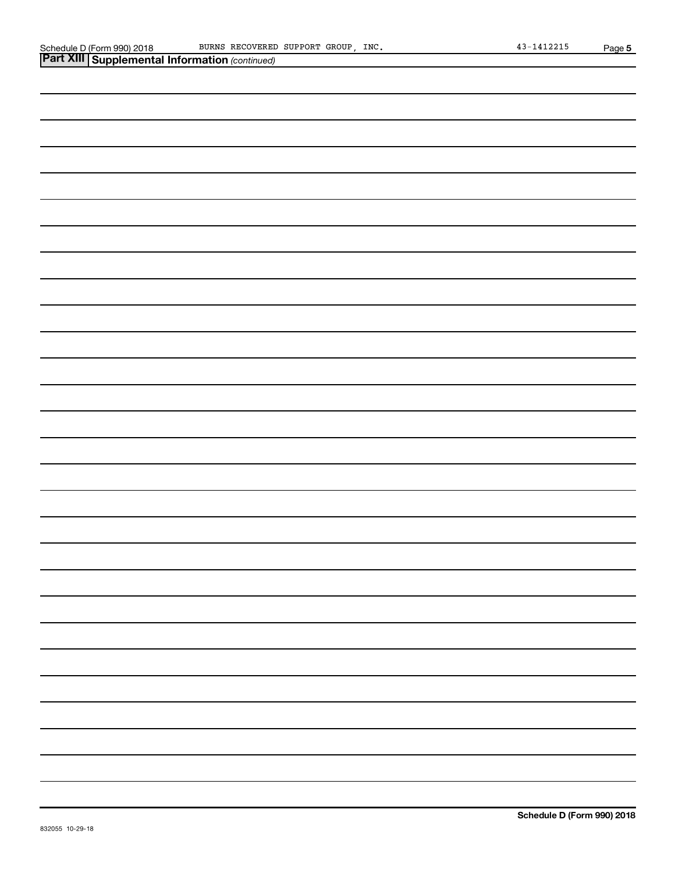| Schedule D (Form 990) 2018 |
|----------------------------|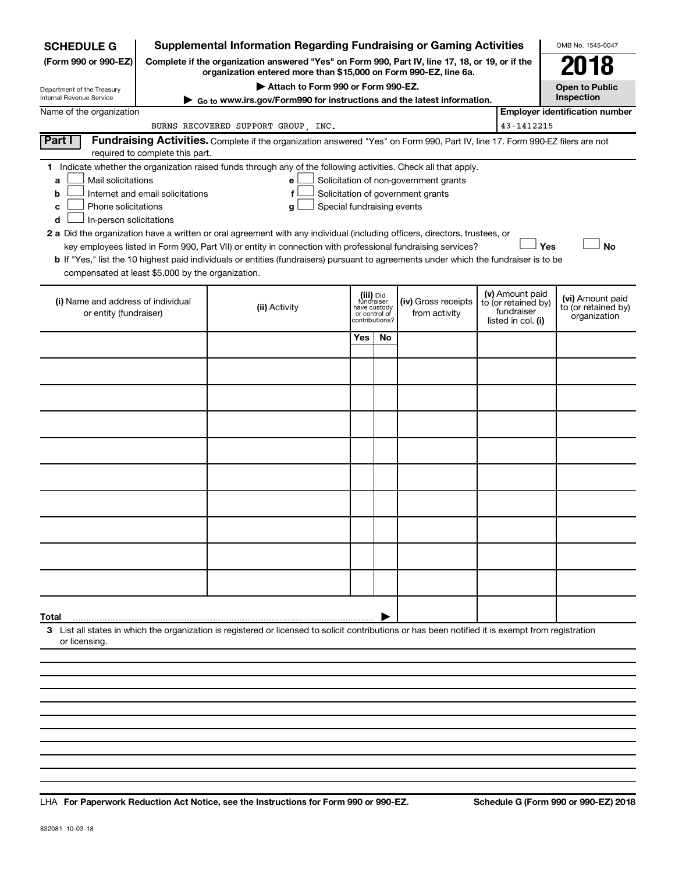| <b>SCHEDULE G</b>                                                                                                                                                                                                                                                                                                                                                                                                                                                                                                                                                                                                                                                                                                                                                                      | Supplemental Information Regarding Fundraising or Gaming Activities                                                                                 |                                                                                                                                                                     |               |                                      |  |                                                                            | OMB No. 1545-0047                                       |
|----------------------------------------------------------------------------------------------------------------------------------------------------------------------------------------------------------------------------------------------------------------------------------------------------------------------------------------------------------------------------------------------------------------------------------------------------------------------------------------------------------------------------------------------------------------------------------------------------------------------------------------------------------------------------------------------------------------------------------------------------------------------------------------|-----------------------------------------------------------------------------------------------------------------------------------------------------|---------------------------------------------------------------------------------------------------------------------------------------------------------------------|---------------|--------------------------------------|--|----------------------------------------------------------------------------|---------------------------------------------------------|
| (Form 990 or 990-EZ)                                                                                                                                                                                                                                                                                                                                                                                                                                                                                                                                                                                                                                                                                                                                                                   |                                                                                                                                                     | Complete if the organization answered "Yes" on Form 990, Part IV, line 17, 18, or 19, or if the<br>organization entered more than \$15,000 on Form 990-EZ, line 6a. |               |                                      |  |                                                                            |                                                         |
| Department of the Treasury<br>Internal Revenue Service                                                                                                                                                                                                                                                                                                                                                                                                                                                                                                                                                                                                                                                                                                                                 | Attach to Form 990 or Form 990-EZ.<br><b>Open to Public</b><br>Inspection<br>Go to www.irs.gov/Form990 for instructions and the latest information. |                                                                                                                                                                     |               |                                      |  |                                                                            |                                                         |
| Name of the organization                                                                                                                                                                                                                                                                                                                                                                                                                                                                                                                                                                                                                                                                                                                                                               |                                                                                                                                                     |                                                                                                                                                                     |               |                                      |  |                                                                            | <b>Employer identification number</b>                   |
|                                                                                                                                                                                                                                                                                                                                                                                                                                                                                                                                                                                                                                                                                                                                                                                        | BURNS RECOVERED SUPPORT GROUP, INC.                                                                                                                 |                                                                                                                                                                     |               |                                      |  | 43-1412215                                                                 |                                                         |
| Part I<br>required to complete this part.                                                                                                                                                                                                                                                                                                                                                                                                                                                                                                                                                                                                                                                                                                                                              | Fundraising Activities. Complete if the organization answered "Yes" on Form 990, Part IV, line 17. Form 990-EZ filers are not                       |                                                                                                                                                                     |               |                                      |  |                                                                            |                                                         |
| 1 Indicate whether the organization raised funds through any of the following activities. Check all that apply.<br>Mail solicitations<br>Solicitation of non-government grants<br>a<br>e<br>Solicitation of government grants<br>Internet and email solicitations<br>b<br>Phone solicitations<br>Special fundraising events<br>g<br>c<br>In-person solicitations<br>d<br>2 a Did the organization have a written or oral agreement with any individual (including officers, directors, trustees, or<br>Yes<br><b>No</b><br>key employees listed in Form 990, Part VII) or entity in connection with professional fundraising services?<br><b>b</b> If "Yes," list the 10 highest paid individuals or entities (fundraisers) pursuant to agreements under which the fundraiser is to be |                                                                                                                                                     |                                                                                                                                                                     |               |                                      |  |                                                                            |                                                         |
| compensated at least \$5,000 by the organization.<br>(i) Name and address of individual<br>or entity (fundraiser)                                                                                                                                                                                                                                                                                                                                                                                                                                                                                                                                                                                                                                                                      | (ii) Activity                                                                                                                                       | (iii) Did<br>fundraiser<br>have custody<br>contributions?                                                                                                           | or control of | (iv) Gross receipts<br>from activity |  | (v) Amount paid<br>to (or retained by)<br>fundraiser<br>listed in col. (i) | (vi) Amount paid<br>to (or retained by)<br>organization |
|                                                                                                                                                                                                                                                                                                                                                                                                                                                                                                                                                                                                                                                                                                                                                                                        |                                                                                                                                                     | Yes                                                                                                                                                                 | No            |                                      |  |                                                                            |                                                         |
|                                                                                                                                                                                                                                                                                                                                                                                                                                                                                                                                                                                                                                                                                                                                                                                        |                                                                                                                                                     |                                                                                                                                                                     |               |                                      |  |                                                                            |                                                         |
|                                                                                                                                                                                                                                                                                                                                                                                                                                                                                                                                                                                                                                                                                                                                                                                        |                                                                                                                                                     |                                                                                                                                                                     |               |                                      |  |                                                                            |                                                         |
|                                                                                                                                                                                                                                                                                                                                                                                                                                                                                                                                                                                                                                                                                                                                                                                        |                                                                                                                                                     |                                                                                                                                                                     |               |                                      |  |                                                                            |                                                         |
|                                                                                                                                                                                                                                                                                                                                                                                                                                                                                                                                                                                                                                                                                                                                                                                        |                                                                                                                                                     |                                                                                                                                                                     |               |                                      |  |                                                                            |                                                         |
|                                                                                                                                                                                                                                                                                                                                                                                                                                                                                                                                                                                                                                                                                                                                                                                        |                                                                                                                                                     |                                                                                                                                                                     |               |                                      |  |                                                                            |                                                         |
|                                                                                                                                                                                                                                                                                                                                                                                                                                                                                                                                                                                                                                                                                                                                                                                        |                                                                                                                                                     |                                                                                                                                                                     |               |                                      |  |                                                                            |                                                         |
|                                                                                                                                                                                                                                                                                                                                                                                                                                                                                                                                                                                                                                                                                                                                                                                        |                                                                                                                                                     |                                                                                                                                                                     |               |                                      |  |                                                                            |                                                         |
|                                                                                                                                                                                                                                                                                                                                                                                                                                                                                                                                                                                                                                                                                                                                                                                        |                                                                                                                                                     |                                                                                                                                                                     |               |                                      |  |                                                                            |                                                         |
|                                                                                                                                                                                                                                                                                                                                                                                                                                                                                                                                                                                                                                                                                                                                                                                        |                                                                                                                                                     |                                                                                                                                                                     |               |                                      |  |                                                                            |                                                         |
| Total<br>3 List all states in which the organization is registered or licensed to solicit contributions or has been notified it is exempt from registration<br>or licensing.                                                                                                                                                                                                                                                                                                                                                                                                                                                                                                                                                                                                           |                                                                                                                                                     |                                                                                                                                                                     |               |                                      |  |                                                                            |                                                         |
|                                                                                                                                                                                                                                                                                                                                                                                                                                                                                                                                                                                                                                                                                                                                                                                        |                                                                                                                                                     |                                                                                                                                                                     |               |                                      |  |                                                                            |                                                         |

**For Paperwork Reduction Act Notice, see the Instructions for Form 990 or 990-EZ. Schedule G (Form 990 or 990-EZ) 2018** LHA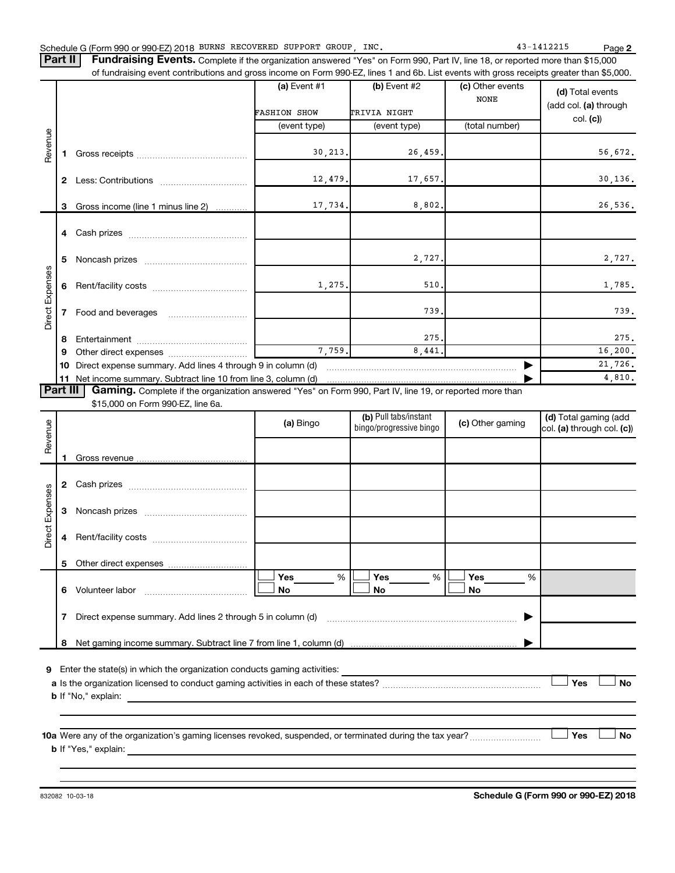**2**

Part II | Fundraising Events. Complete if the organization answered "Yes" on Form 990, Part IV, line 18, or reported more than \$15,000 of fundraising event contributions and gross income on Form 990-EZ, lines 1 and 6b. List events with gross receipts greater than \$5,000.

|                 |          |                                                                                                          | (a) Event #1<br>$(b)$ Event #2<br><b>FASHION SHOW</b><br>TRIVIA NIGHT |              | (c) Other events<br><b>NONE</b> | (d) Total events<br>(add col. (a) through |  |
|-----------------|----------|----------------------------------------------------------------------------------------------------------|-----------------------------------------------------------------------|--------------|---------------------------------|-------------------------------------------|--|
|                 |          |                                                                                                          | (event type)                                                          | (event type) | (total number)                  | col. (c)                                  |  |
| Revenue         |          |                                                                                                          |                                                                       |              |                                 |                                           |  |
|                 |          |                                                                                                          | 30, 213.                                                              | 26,459.      |                                 | 56,672.                                   |  |
|                 | 2        |                                                                                                          | 12,479.                                                               | 17,657.      |                                 | 30, 136.                                  |  |
|                 | 3        | Gross income (line 1 minus line 2)                                                                       | 17,734.                                                               | 8,802.       |                                 | 26,536.                                   |  |
|                 |          |                                                                                                          |                                                                       |              |                                 |                                           |  |
|                 | 5        |                                                                                                          |                                                                       | 2,727.       |                                 | 2,727.                                    |  |
|                 | 6        |                                                                                                          | 1,275.                                                                | 510          |                                 | 1,785.                                    |  |
| Direct Expenses |          | Food and beverages                                                                                       |                                                                       | 739          |                                 | 739.                                      |  |
|                 | 8        |                                                                                                          |                                                                       | 275.         |                                 | 275.                                      |  |
|                 | 9        |                                                                                                          | 7,759.                                                                | 8,441.       |                                 | 16, 200.                                  |  |
|                 | 10       | Direct expense summary. Add lines 4 through 9 in column (d)                                              |                                                                       |              |                                 | 21,726.                                   |  |
|                 | 11       |                                                                                                          |                                                                       |              |                                 | 4,810.                                    |  |
|                 | Part III | Gaming. Complete if the organization answered "Yes" on Form 990, Part IV, line 19, or reported more than |                                                                       |              |                                 |                                           |  |

\$15,000 on Form 990-EZ, line 6a.

| Revenue         |                                                                                                                                                     | (a) Bingo             | (b) Pull tabs/instant<br>bingo/progressive bingo | (c) Other gaming      | (d) Total gaming (add<br>col. (a) through col. (c)) |  |  |  |
|-----------------|-----------------------------------------------------------------------------------------------------------------------------------------------------|-----------------------|--------------------------------------------------|-----------------------|-----------------------------------------------------|--|--|--|
|                 | 1                                                                                                                                                   |                       |                                                  |                       |                                                     |  |  |  |
|                 | 2                                                                                                                                                   |                       |                                                  |                       |                                                     |  |  |  |
|                 | З                                                                                                                                                   |                       |                                                  |                       |                                                     |  |  |  |
| Direct Expenses | 4                                                                                                                                                   |                       |                                                  |                       |                                                     |  |  |  |
|                 | 5                                                                                                                                                   |                       |                                                  |                       |                                                     |  |  |  |
|                 | 6                                                                                                                                                   | Yes<br>%<br><b>No</b> | Yes<br>%<br><b>No</b>                            | Yes<br>%<br><b>No</b> |                                                     |  |  |  |
|                 | 7                                                                                                                                                   |                       |                                                  |                       |                                                     |  |  |  |
|                 | 8                                                                                                                                                   |                       |                                                  |                       |                                                     |  |  |  |
| 9               |                                                                                                                                                     |                       |                                                  |                       |                                                     |  |  |  |
|                 | <b>b</b> If "No," explain:<br><u> 1989 - Johann Harry Harry Harry Harry Harry Harry Harry Harry Harry Harry Harry Harry Harry Harry Harry Harry</u> |                       |                                                  |                       | Yes<br><b>No</b>                                    |  |  |  |
|                 |                                                                                                                                                     |                       |                                                  |                       |                                                     |  |  |  |
|                 | 10a Were any of the organization's gaming licenses revoked, suspended, or terminated during the tax year?                                           |                       |                                                  |                       | <b>No</b><br>Yes                                    |  |  |  |
|                 |                                                                                                                                                     |                       |                                                  |                       |                                                     |  |  |  |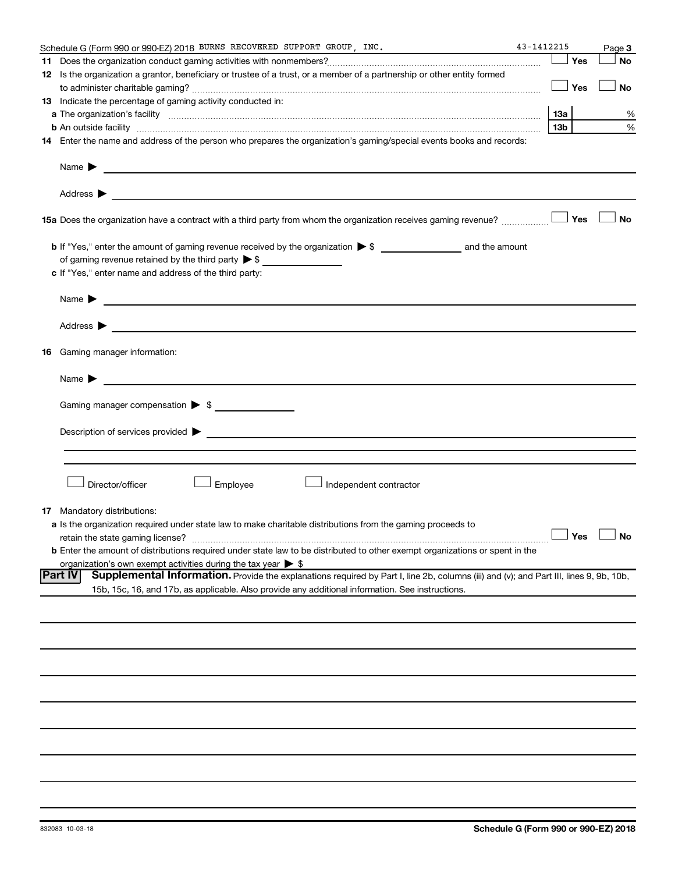|    | Schedule G (Form 990 or 990-EZ) 2018 BURNS RECOVERED SUPPORT GROUP, INC.                                                                                                                                                                                                                                                                                                                                                   | 43-1412215 |                     | Page 3    |
|----|----------------------------------------------------------------------------------------------------------------------------------------------------------------------------------------------------------------------------------------------------------------------------------------------------------------------------------------------------------------------------------------------------------------------------|------------|---------------------|-----------|
|    |                                                                                                                                                                                                                                                                                                                                                                                                                            |            | Yes                 | <b>No</b> |
|    | 12 Is the organization a grantor, beneficiary or trustee of a trust, or a member of a partnership or other entity formed                                                                                                                                                                                                                                                                                                   |            |                     |           |
|    |                                                                                                                                                                                                                                                                                                                                                                                                                            |            | Yes                 | <b>No</b> |
|    | 13 Indicate the percentage of gaming activity conducted in:                                                                                                                                                                                                                                                                                                                                                                |            |                     |           |
|    |                                                                                                                                                                                                                                                                                                                                                                                                                            |            | 1За                 | %         |
|    | <b>b</b> An outside facility <i>www.communicality www.communicality.communicality www.communicality www.communicality.communicality www.communicality.com</i>                                                                                                                                                                                                                                                              |            | 13 <sub>b</sub>     | %         |
|    | 14 Enter the name and address of the person who prepares the organization's gaming/special events books and records:                                                                                                                                                                                                                                                                                                       |            |                     |           |
|    | Name $\blacktriangleright$<br><u>and the control of the control of the control of the control of the control of the control of the control of</u><br>Address $\blacktriangleright$<br><u>and the state of the state of the state of the state of the state of the state of the state of the state of the state of the state of the state of the state of the state of the state of the state of the state of the state</u> |            |                     |           |
|    | <b>15a</b> Does the organization have a contract with a third party from whom the organization receives gaming revenue? $\ldots$                                                                                                                                                                                                                                                                                           |            |                     | <b>No</b> |
|    |                                                                                                                                                                                                                                                                                                                                                                                                                            |            |                     |           |
|    |                                                                                                                                                                                                                                                                                                                                                                                                                            |            |                     |           |
|    | c If "Yes," enter name and address of the third party:                                                                                                                                                                                                                                                                                                                                                                     |            |                     |           |
|    |                                                                                                                                                                                                                                                                                                                                                                                                                            |            |                     |           |
|    | Name $\blacktriangleright$<br><u>and the state of the state of the state of the state of the state of the state of the state of the state of the state of the state of the state of the state of the state of the state of the state of the state of the state</u>                                                                                                                                                         |            |                     |           |
|    | Address $\blacktriangleright$<br><u>and the contract of the contract of the contract of the contract of the contract of the contract of the contract of</u>                                                                                                                                                                                                                                                                |            |                     |           |
| 16 | Gaming manager information:                                                                                                                                                                                                                                                                                                                                                                                                |            |                     |           |
|    | <u> 1989 - Johann Barbara, martin amerikan basal dan berasal dan berasal dalam basal dalam basal dan berasal dala</u><br>Name $\blacktriangleright$                                                                                                                                                                                                                                                                        |            |                     |           |
|    |                                                                                                                                                                                                                                                                                                                                                                                                                            |            |                     |           |
|    | Gaming manager compensation > \$                                                                                                                                                                                                                                                                                                                                                                                           |            |                     |           |
|    |                                                                                                                                                                                                                                                                                                                                                                                                                            |            |                     |           |
|    | Director/officer<br>Employee<br>Independent contractor                                                                                                                                                                                                                                                                                                                                                                     |            |                     |           |
| 17 | Mandatory distributions:                                                                                                                                                                                                                                                                                                                                                                                                   |            |                     |           |
|    | a Is the organization required under state law to make charitable distributions from the gaming proceeds to                                                                                                                                                                                                                                                                                                                |            |                     |           |
|    | retain the state gaming license?                                                                                                                                                                                                                                                                                                                                                                                           |            | $\Box$ Yes $\ \bot$ |           |
|    | b Enter the amount of distributions required under state law to be distributed to other exempt organizations or spent in the                                                                                                                                                                                                                                                                                               |            |                     |           |
|    | organization's own exempt activities during the tax year $\triangleright$ \$                                                                                                                                                                                                                                                                                                                                               |            |                     |           |
|    | Part IV<br>Supplemental Information. Provide the explanations required by Part I, line 2b, columns (iii) and (v); and Part III, lines 9, 9b, 10b,                                                                                                                                                                                                                                                                          |            |                     |           |
|    | 15b, 15c, 16, and 17b, as applicable. Also provide any additional information. See instructions.                                                                                                                                                                                                                                                                                                                           |            |                     |           |
|    |                                                                                                                                                                                                                                                                                                                                                                                                                            |            |                     |           |
|    |                                                                                                                                                                                                                                                                                                                                                                                                                            |            |                     |           |
|    |                                                                                                                                                                                                                                                                                                                                                                                                                            |            |                     |           |
|    |                                                                                                                                                                                                                                                                                                                                                                                                                            |            |                     |           |
|    |                                                                                                                                                                                                                                                                                                                                                                                                                            |            |                     |           |
|    |                                                                                                                                                                                                                                                                                                                                                                                                                            |            |                     |           |
|    |                                                                                                                                                                                                                                                                                                                                                                                                                            |            |                     |           |
|    |                                                                                                                                                                                                                                                                                                                                                                                                                            |            |                     |           |
|    |                                                                                                                                                                                                                                                                                                                                                                                                                            |            |                     |           |
|    |                                                                                                                                                                                                                                                                                                                                                                                                                            |            |                     |           |
|    |                                                                                                                                                                                                                                                                                                                                                                                                                            |            |                     |           |
|    |                                                                                                                                                                                                                                                                                                                                                                                                                            |            |                     |           |
|    |                                                                                                                                                                                                                                                                                                                                                                                                                            |            |                     |           |
|    |                                                                                                                                                                                                                                                                                                                                                                                                                            |            |                     |           |
|    |                                                                                                                                                                                                                                                                                                                                                                                                                            |            |                     |           |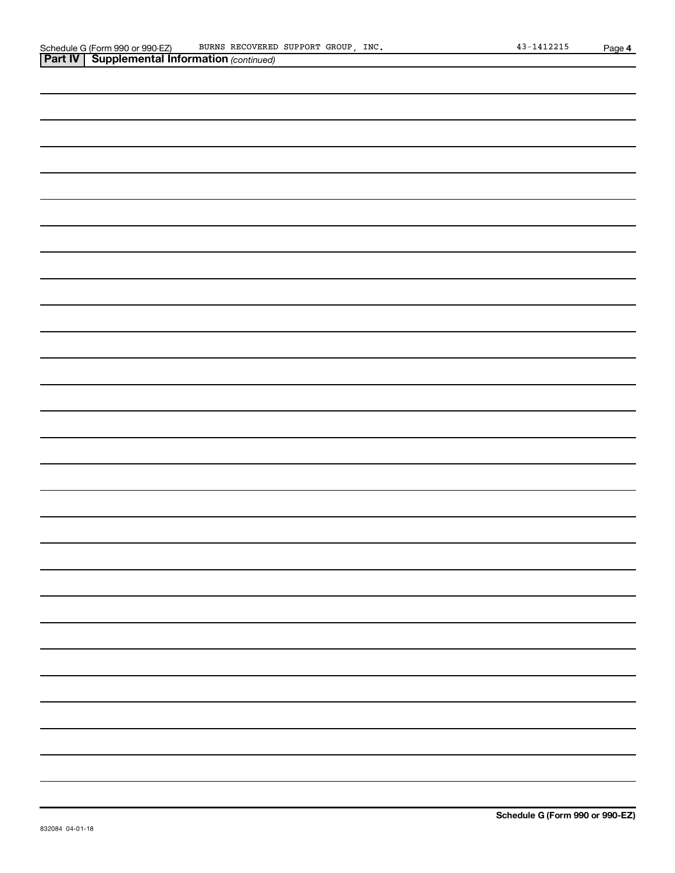| <b>Part IV   Supplemental Information (continued)</b> |
|-------------------------------------------------------|
|                                                       |
|                                                       |
|                                                       |
|                                                       |
|                                                       |
|                                                       |
|                                                       |
|                                                       |
|                                                       |
|                                                       |
|                                                       |
|                                                       |
|                                                       |
|                                                       |
|                                                       |
|                                                       |
|                                                       |
|                                                       |
|                                                       |
|                                                       |
|                                                       |
|                                                       |
|                                                       |
|                                                       |
|                                                       |
|                                                       |
|                                                       |
|                                                       |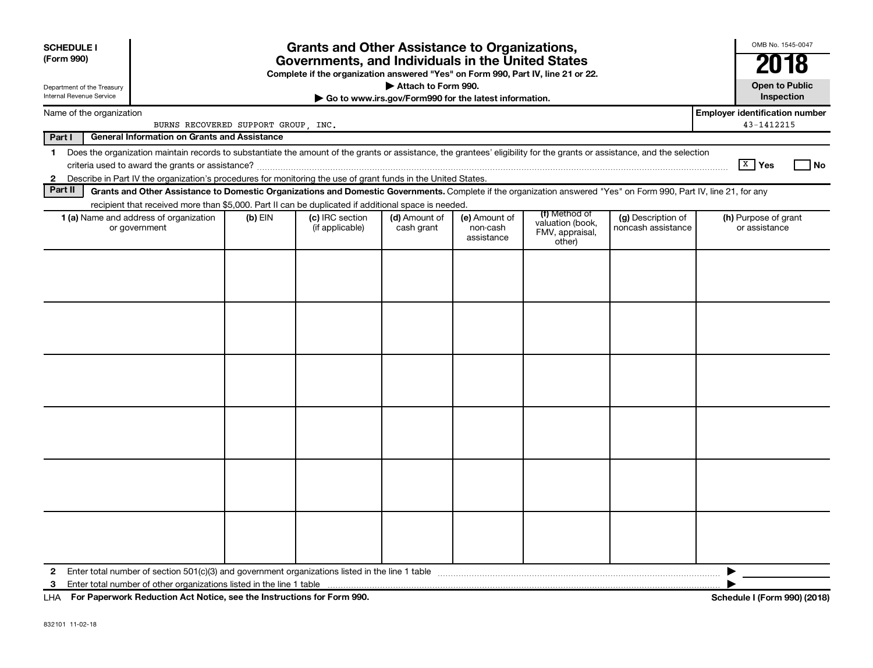| <b>SCHEDULE I</b><br>(Form 990)<br>Department of the Treasury<br>Internal Revenue Service | Grants and Other Assistance to Organizations,<br>Governments, and Individuals in the United States<br>Complete if the organization answered "Yes" on Form 990, Part IV, line 21 or 22.<br>Attach to Form 990.<br>Go to www.irs.gov/Form990 for the latest information.                    |           |                                    |                             |                                         |                                                                |                                          | OMB No. 1545-0047<br>2018<br><b>Open to Public</b><br>Inspection |
|-------------------------------------------------------------------------------------------|-------------------------------------------------------------------------------------------------------------------------------------------------------------------------------------------------------------------------------------------------------------------------------------------|-----------|------------------------------------|-----------------------------|-----------------------------------------|----------------------------------------------------------------|------------------------------------------|------------------------------------------------------------------|
|                                                                                           |                                                                                                                                                                                                                                                                                           |           |                                    |                             |                                         |                                                                |                                          | <b>Employer identification number</b>                            |
| Name of the organization<br>BURNS RECOVERED SUPPORT GROUP, INC.                           |                                                                                                                                                                                                                                                                                           |           |                                    |                             |                                         |                                                                | 43-1412215                               |                                                                  |
| Part I                                                                                    | <b>General Information on Grants and Assistance</b>                                                                                                                                                                                                                                       |           |                                    |                             |                                         |                                                                |                                          |                                                                  |
| $\mathbf 1$<br>$\mathbf{2}$                                                               | Does the organization maintain records to substantiate the amount of the grants or assistance, the grantees' eligibility for the grants or assistance, and the selection<br>Describe in Part IV the organization's procedures for monitoring the use of grant funds in the United States. |           |                                    |                             |                                         |                                                                |                                          | $X$ Yes<br>l No                                                  |
| Part II                                                                                   | Grants and Other Assistance to Domestic Organizations and Domestic Governments. Complete if the organization answered "Yes" on Form 990, Part IV, line 21, for any                                                                                                                        |           |                                    |                             |                                         |                                                                |                                          |                                                                  |
|                                                                                           | recipient that received more than \$5,000. Part II can be duplicated if additional space is needed.                                                                                                                                                                                       |           |                                    |                             |                                         |                                                                |                                          |                                                                  |
|                                                                                           | 1 (a) Name and address of organization<br>or government                                                                                                                                                                                                                                   | $(b)$ EIN | (c) IRC section<br>(if applicable) | (d) Amount of<br>cash grant | (e) Amount of<br>non-cash<br>assistance | (f) Method of<br>valuation (book,<br>FMV, appraisal,<br>other) | (g) Description of<br>noncash assistance | (h) Purpose of grant<br>or assistance                            |
|                                                                                           |                                                                                                                                                                                                                                                                                           |           |                                    |                             |                                         |                                                                |                                          |                                                                  |
|                                                                                           |                                                                                                                                                                                                                                                                                           |           |                                    |                             |                                         |                                                                |                                          |                                                                  |
|                                                                                           |                                                                                                                                                                                                                                                                                           |           |                                    |                             |                                         |                                                                |                                          |                                                                  |
|                                                                                           |                                                                                                                                                                                                                                                                                           |           |                                    |                             |                                         |                                                                |                                          |                                                                  |
|                                                                                           |                                                                                                                                                                                                                                                                                           |           |                                    |                             |                                         |                                                                |                                          |                                                                  |
|                                                                                           |                                                                                                                                                                                                                                                                                           |           |                                    |                             |                                         |                                                                |                                          |                                                                  |
| 2                                                                                         |                                                                                                                                                                                                                                                                                           |           |                                    |                             |                                         |                                                                |                                          | ▶                                                                |
| 3                                                                                         |                                                                                                                                                                                                                                                                                           |           |                                    |                             |                                         |                                                                |                                          |                                                                  |
|                                                                                           | LHA For Paperwork Reduction Act Notice, see the Instructions for Form 990.                                                                                                                                                                                                                |           |                                    |                             |                                         |                                                                |                                          | Schedule I (Form 990) (2018)                                     |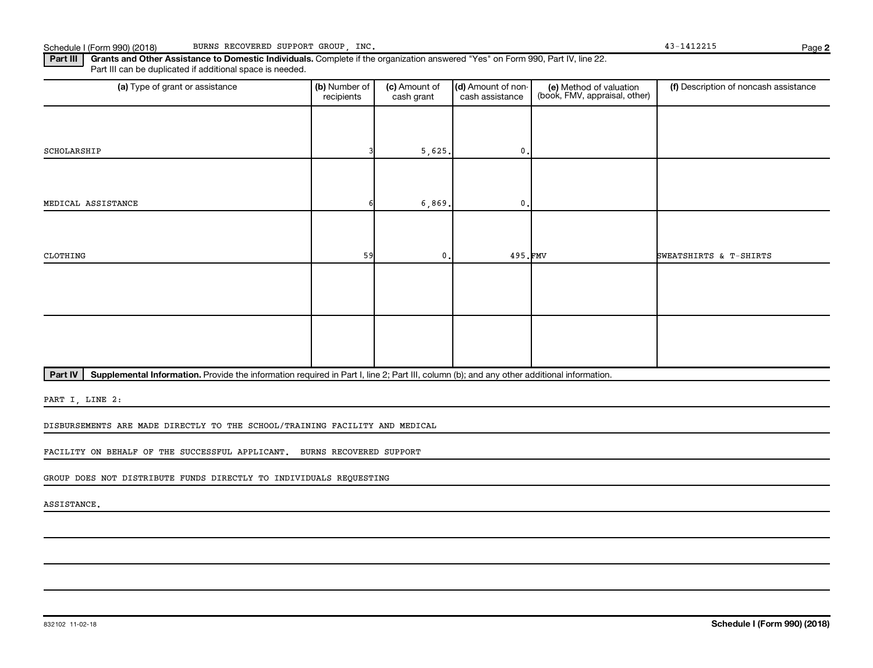**2**

Part III | Grants and Other Assistance to Domestic Individuals. Complete if the organization answered "Yes" on Form 990, Part IV, line 22. Part III can be duplicated if additional space is needed.

| (a) Type of grant or assistance | (b) Number of<br>recipients | (c) Amount of<br>cash grant | (d) Amount of non-<br>cash assistance | (e) Method of valuation<br>(book, FMV, appraisal, other) | (f) Description of noncash assistance |
|---------------------------------|-----------------------------|-----------------------------|---------------------------------------|----------------------------------------------------------|---------------------------------------|
|                                 |                             |                             |                                       |                                                          |                                       |
| SCHOLARSHIP                     |                             | 5,625.                      | 0.                                    |                                                          |                                       |
|                                 |                             |                             |                                       |                                                          |                                       |
| MEDICAL ASSISTANCE              |                             | 6,869.                      | $0$ .                                 |                                                          |                                       |
|                                 |                             |                             |                                       |                                                          |                                       |
| CLOTHING                        | 59                          | $\mathbf{0}$ .              | 495.FMV                               |                                                          | SWEATSHIRTS & T-SHIRTS                |
|                                 |                             |                             |                                       |                                                          |                                       |
|                                 |                             |                             |                                       |                                                          |                                       |
|                                 |                             |                             |                                       |                                                          |                                       |
|                                 |                             |                             |                                       |                                                          |                                       |

Part IV | Supplemental Information. Provide the information required in Part I, line 2; Part III, column (b); and any other additional information.

PART I, LINE 2:

DISBURSEMENTS ARE MADE DIRECTLY TO THE SCHOOL/TRAINING FACILITY AND MEDICAL

FACILITY ON BEHALF OF THE SUCCESSFUL APPLICANT. BURNS RECOVERED SUPPORT

GROUP DOES NOT DISTRIBUTE FUNDS DIRECTLY TO INDIVIDUALS REQUESTING

ASSISTANCE.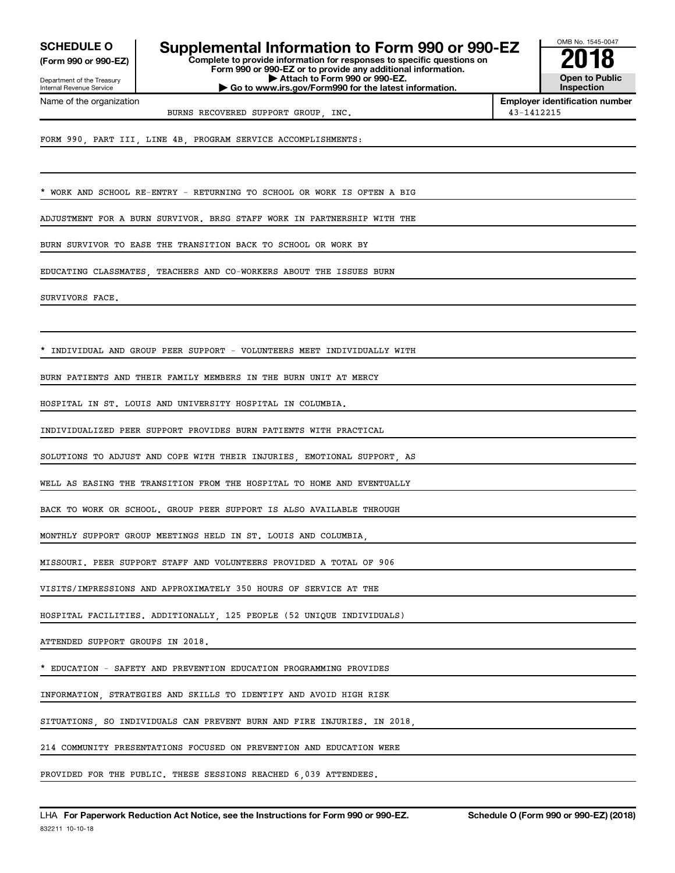**(Form 990 or 990-EZ)**

Department of the Treasury Internal Revenue Service Name of the organization

**COMPOULE O** Supplemental Information to Form 990 or 990-EZ  $\frac{60\text{dB Na} \cdot 1545-004}{2018}$ <br>
Form 990 or 990-EZ or to provide any additional information.

**Form 990 or 990-EZ or to provide any additional information. | Attach to Form 990 or 990-EZ. | Go to www.irs.gov/Form990 for the latest information.**



**Employer identification number** BURNS RECOVERED SUPPORT GROUP, INC. 43-1412215

FORM 990, PART III, LINE 4B, PROGRAM SERVICE ACCOMPLISHMENTS:

WORK AND SCHOOL RE-ENTRY - RETURNING TO SCHOOL OR WORK IS OFTEN A BIG

ADJUSTMENT FOR A BURN SURVIVOR. BRSG STAFF WORK IN PARTNERSHIP WITH THE

BURN SURVIVOR TO EASE THE TRANSITION BACK TO SCHOOL OR WORK BY

EDUCATING CLASSMATES, TEACHERS AND CO-WORKERS ABOUT THE ISSUES BURN

SURVIVORS FACE.

INDIVIDUAL AND GROUP PEER SUPPORT - VOLUNTEERS MEET INDIVIDUALLY WITH

BURN PATIENTS AND THEIR FAMILY MEMBERS IN THE BURN UNIT AT MERCY

HOSPITAL IN ST. LOUIS AND UNIVERSITY HOSPITAL IN COLUMBIA.

INDIVIDUALIZED PEER SUPPORT PROVIDES BURN PATIENTS WITH PRACTICAL

SOLUTIONS TO ADJUST AND COPE WITH THEIR INJURIES, EMOTIONAL SUPPORT, AS

WELL AS EASING THE TRANSITION FROM THE HOSPITAL TO HOME AND EVENTUALLY

BACK TO WORK OR SCHOOL. GROUP PEER SUPPORT IS ALSO AVAILABLE THROUGH

MONTHLY SUPPORT GROUP MEETINGS HELD IN ST. LOUIS AND COLUMBIA,

MISSOURI. PEER SUPPORT STAFF AND VOLUNTEERS PROVIDED A TOTAL OF 906

VISITS/IMPRESSIONS AND APPROXIMATELY 350 HOURS OF SERVICE AT THE

HOSPITAL FACILITIES. ADDITIONALLY, 125 PEOPLE (52 UNIQUE INDIVIDUALS)

ATTENDED SUPPORT GROUPS IN 2018.

\* EDUCATION - SAFETY AND PREVENTION EDUCATION PROGRAMMING PROVIDES

INFORMATION, STRATEGIES AND SKILLS TO IDENTIFY AND AVOID HIGH RISK

SITUATIONS, SO INDIVIDUALS CAN PREVENT BURN AND FIRE INJURIES. IN 2018,

214 COMMUNITY PRESENTATIONS FOCUSED ON PREVENTION AND EDUCATION WERE

PROVIDED FOR THE PUBLIC. THESE SESSIONS REACHED 6,039 ATTENDEES.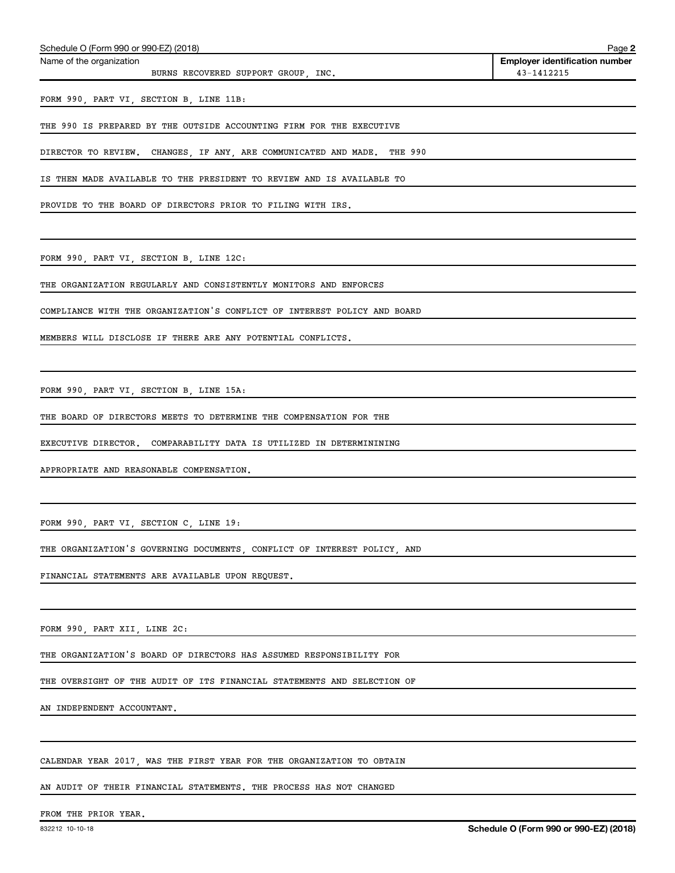| Schedule O (Form 990 or 990-EZ) (2018)<br>Page 2 |                                       |  |  |  |
|--------------------------------------------------|---------------------------------------|--|--|--|
| Name of the organization                         | <b>Employer identification number</b> |  |  |  |
| BURNS RECOVERED SUPPORT GROUP.<br>INC.           | 43-1412215                            |  |  |  |
| FORM 990, PART VI, SECTION B, LINE 11B:          |                                       |  |  |  |

THE 990 IS PREPARED BY THE OUTSIDE ACCOUNTING FIRM FOR THE EXECUTIVE

DIRECTOR TO REVIEW. CHANGES, IF ANY, ARE COMMUNICATED AND MADE. THE 990

IS THEN MADE AVAILABLE TO THE PRESIDENT TO REVIEW AND IS AVAILABLE TO

PROVIDE TO THE BOARD OF DIRECTORS PRIOR TO FILING WITH IRS.

FORM 990, PART VI, SECTION B, LINE 12C:

THE ORGANIZATION REGULARLY AND CONSISTENTLY MONITORS AND ENFORCES

COMPLIANCE WITH THE ORGANIZATION'S CONFLICT OF INTEREST POLICY AND BOARD

MEMBERS WILL DISCLOSE IF THERE ARE ANY POTENTIAL CONFLICTS.

FORM 990, PART VI, SECTION B, LINE 15A:

THE BOARD OF DIRECTORS MEETS TO DETERMINE THE COMPENSATION FOR THE

EXECUTIVE DIRECTOR. COMPARABILITY DATA IS UTILIZED IN DETERMININING

APPROPRIATE AND REASONABLE COMPENSATION.

FORM 990, PART VI, SECTION C, LINE 19:

THE ORGANIZATION'S GOVERNING DOCUMENTS, CONFLICT OF INTEREST POLICY, AND

FINANCIAL STATEMENTS ARE AVAILABLE UPON REQUEST.

FORM 990, PART XII, LINE 2C:

THE ORGANIZATION'S BOARD OF DIRECTORS HAS ASSUMED RESPONSIBILITY FOR

THE OVERSIGHT OF THE AUDIT OF ITS FINANCIAL STATEMENTS AND SELECTION OF

AN INDEPENDENT ACCOUNTANT.

CALENDAR YEAR 2017, WAS THE FIRST YEAR FOR THE ORGANIZATION TO OBTAIN

AN AUDIT OF THEIR FINANCIAL STATEMENTS. THE PROCESS HAS NOT CHANGED

#### FROM THE PRIOR YEAR.